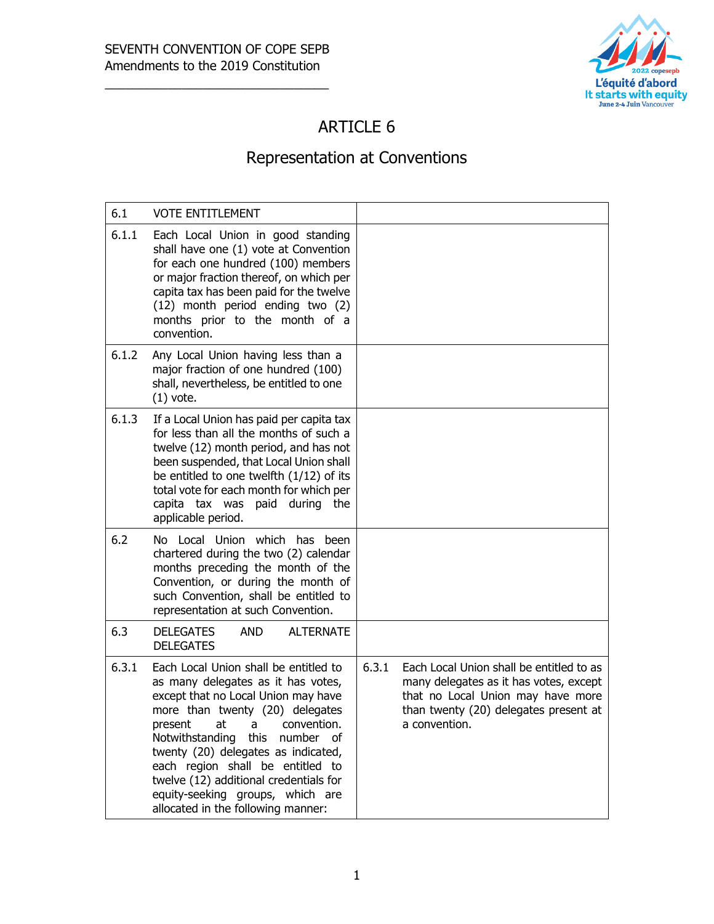

# ARTICLE 6

# Representation at Conventions

| 6.1   | <b>VOTE ENTITLEMENT</b>                                                                                                                                                                                                                                                                                                                                                                                                                      |                                                                                                                                                                                            |
|-------|----------------------------------------------------------------------------------------------------------------------------------------------------------------------------------------------------------------------------------------------------------------------------------------------------------------------------------------------------------------------------------------------------------------------------------------------|--------------------------------------------------------------------------------------------------------------------------------------------------------------------------------------------|
| 6.1.1 | Each Local Union in good standing<br>shall have one (1) vote at Convention<br>for each one hundred (100) members<br>or major fraction thereof, on which per<br>capita tax has been paid for the twelve<br>(12) month period ending two (2)<br>months prior to the month of a<br>convention.                                                                                                                                                  |                                                                                                                                                                                            |
| 6.1.2 | Any Local Union having less than a<br>major fraction of one hundred (100)<br>shall, nevertheless, be entitled to one<br>$(1)$ vote.                                                                                                                                                                                                                                                                                                          |                                                                                                                                                                                            |
| 6.1.3 | If a Local Union has paid per capita tax<br>for less than all the months of such a<br>twelve (12) month period, and has not<br>been suspended, that Local Union shall<br>be entitled to one twelfth $(1/12)$ of its<br>total vote for each month for which per<br>capita tax was paid during the<br>applicable period.                                                                                                                       |                                                                                                                                                                                            |
| 6.2   | No Local Union which has been<br>chartered during the two (2) calendar<br>months preceding the month of the<br>Convention, or during the month of<br>such Convention, shall be entitled to<br>representation at such Convention.                                                                                                                                                                                                             |                                                                                                                                                                                            |
| 6.3   | <b>DELEGATES</b><br><b>AND</b><br><b>ALTERNATE</b><br><b>DELEGATES</b>                                                                                                                                                                                                                                                                                                                                                                       |                                                                                                                                                                                            |
| 6.3.1 | Each Local Union shall be entitled to<br>as many delegates as it has votes,<br>except that no Local Union may have<br>more than twenty (20) delegates<br>present<br>at<br>convention.<br>$\overline{a}$<br>Notwithstanding this number<br>of.<br>twenty (20) delegates as indicated,<br>each region shall be entitled to<br>twelve (12) additional credentials for<br>equity-seeking groups, which are<br>allocated in the following manner: | 6.3.1<br>Each Local Union shall be entitled to as<br>many delegates as it has votes, except<br>that no Local Union may have more<br>than twenty (20) delegates present at<br>a convention. |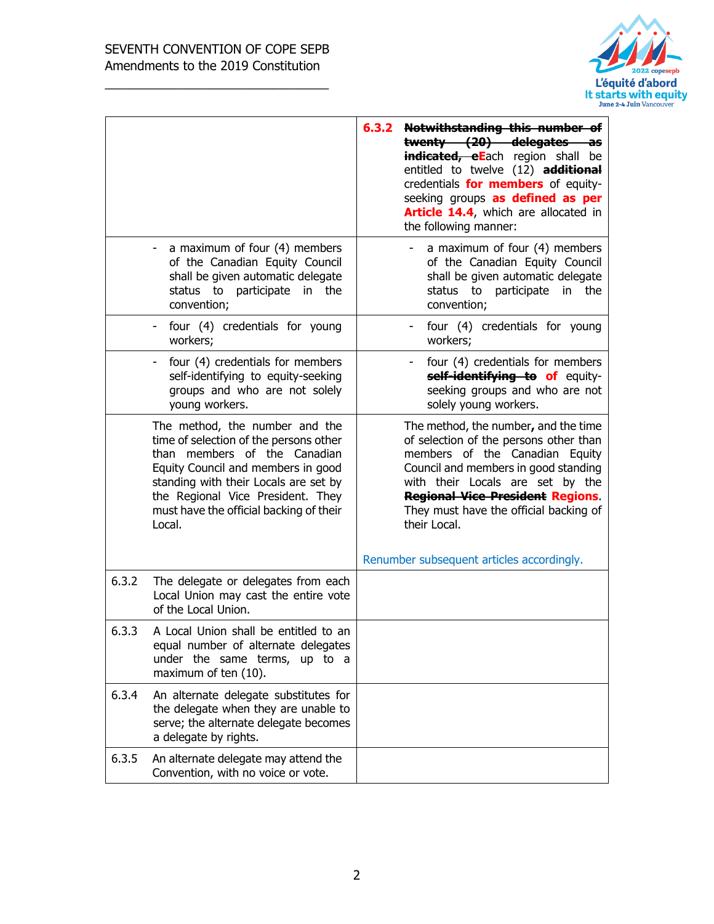

|       |                                                                                                                                                                                                                                                                                   | 6.3.2 Notwithstanding this number of<br>twenty (20) delegates as<br>indicated, eEach region shall be<br>entitled to twelve (12) additional<br>credentials for members of equity-<br>seeking groups as defined as per<br>Article 14.4, which are allocated in<br>the following manner:             |
|-------|-----------------------------------------------------------------------------------------------------------------------------------------------------------------------------------------------------------------------------------------------------------------------------------|---------------------------------------------------------------------------------------------------------------------------------------------------------------------------------------------------------------------------------------------------------------------------------------------------|
|       | a maximum of four (4) members<br>of the Canadian Equity Council<br>shall be given automatic delegate<br>status to participate in the<br>convention;                                                                                                                               | a maximum of four (4) members<br>of the Canadian Equity Council<br>shall be given automatic delegate<br>status to<br>participate<br>in the<br>convention;                                                                                                                                         |
|       | four (4) credentials for young<br>workers;                                                                                                                                                                                                                                        | four (4) credentials for young<br>workers;                                                                                                                                                                                                                                                        |
|       | four (4) credentials for members<br>self-identifying to equity-seeking<br>groups and who are not solely<br>young workers.                                                                                                                                                         | four (4) credentials for members<br>self-identifying to of equity-<br>seeking groups and who are not<br>solely young workers.                                                                                                                                                                     |
|       | The method, the number and the<br>time of selection of the persons other<br>than members of the Canadian<br>Equity Council and members in good<br>standing with their Locals are set by<br>the Regional Vice President. They<br>must have the official backing of their<br>Local. | The method, the number, and the time<br>of selection of the persons other than<br>members of the Canadian Equity<br>Council and members in good standing<br>with their Locals are set by the<br><b>Regional Vice President Regions.</b><br>They must have the official backing of<br>their Local. |
| 6.3.2 | The delegate or delegates from each<br>Local Union may cast the entire vote<br>of the Local Union.                                                                                                                                                                                | Renumber subsequent articles accordingly.                                                                                                                                                                                                                                                         |
| 6.3.3 | A Local Union shall be entitled to an<br>equal number of alternate delegates<br>under the same terms, up to a<br>maximum of ten (10).                                                                                                                                             |                                                                                                                                                                                                                                                                                                   |
| 6.3.4 | An alternate delegate substitutes for<br>the delegate when they are unable to<br>serve; the alternate delegate becomes<br>a delegate by rights.                                                                                                                                   |                                                                                                                                                                                                                                                                                                   |
| 6.3.5 | An alternate delegate may attend the<br>Convention, with no voice or vote.                                                                                                                                                                                                        |                                                                                                                                                                                                                                                                                                   |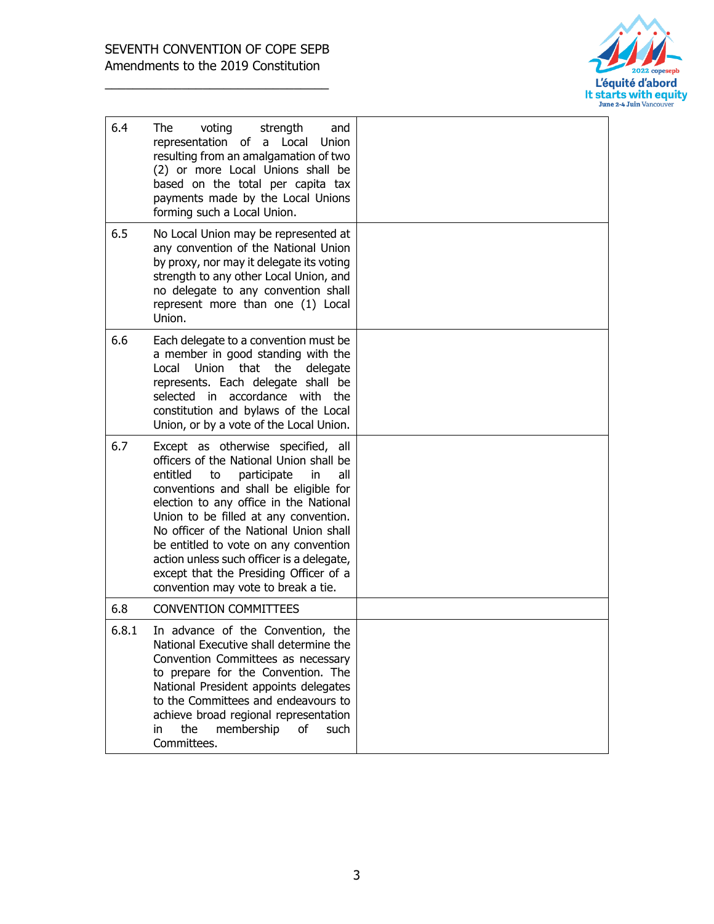

| 6.4   | The<br>voting<br>strength<br>and<br>representation of<br>a Local<br><b>Union</b><br>resulting from an amalgamation of two<br>(2) or more Local Unions shall be<br>based on the total per capita tax<br>payments made by the Local Unions<br>forming such a Local Union.                                                                                                                                                                                                  |  |
|-------|--------------------------------------------------------------------------------------------------------------------------------------------------------------------------------------------------------------------------------------------------------------------------------------------------------------------------------------------------------------------------------------------------------------------------------------------------------------------------|--|
| 6.5   | No Local Union may be represented at<br>any convention of the National Union<br>by proxy, nor may it delegate its voting<br>strength to any other Local Union, and<br>no delegate to any convention shall<br>represent more than one (1) Local<br>Union.                                                                                                                                                                                                                 |  |
| 6.6   | Each delegate to a convention must be<br>a member in good standing with the<br>Union that<br>Local<br>the<br>delegate<br>represents. Each delegate shall be<br>selected in accordance with the<br>constitution and bylaws of the Local<br>Union, or by a vote of the Local Union.                                                                                                                                                                                        |  |
| 6.7   | Except as otherwise specified, all<br>officers of the National Union shall be<br>entitled<br>to<br>participate<br>all<br>in<br>conventions and shall be eligible for<br>election to any office in the National<br>Union to be filled at any convention.<br>No officer of the National Union shall<br>be entitled to vote on any convention<br>action unless such officer is a delegate,<br>except that the Presiding Officer of a<br>convention may vote to break a tie. |  |
| 6.8   | <b>CONVENTION COMMITTEES</b>                                                                                                                                                                                                                                                                                                                                                                                                                                             |  |
| 6.8.1 | In advance of the Convention, the<br>National Executive shall determine the<br>Convention Committees as necessary<br>to prepare for the Convention. The<br>National President appoints delegates<br>to the Committees and endeavours to<br>achieve broad regional representation<br>the<br>membership<br>of<br>such<br>in<br>Committees.                                                                                                                                 |  |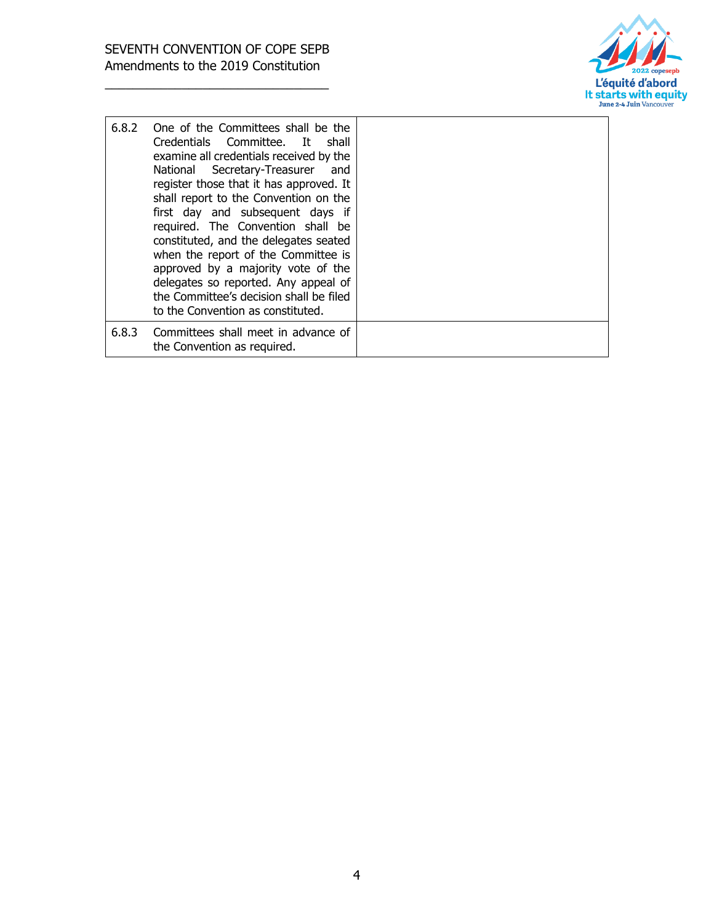

| 6.8.2 | One of the Committees shall be the<br>Credentials Committee. It shall<br>examine all credentials received by the<br>National Secretary-Treasurer<br>and<br>register those that it has approved. It<br>shall report to the Convention on the<br>first day and subsequent days if<br>required. The Convention shall be<br>constituted, and the delegates seated<br>when the report of the Committee is<br>approved by a majority vote of the<br>delegates so reported. Any appeal of<br>the Committee's decision shall be filed<br>to the Convention as constituted. |  |
|-------|--------------------------------------------------------------------------------------------------------------------------------------------------------------------------------------------------------------------------------------------------------------------------------------------------------------------------------------------------------------------------------------------------------------------------------------------------------------------------------------------------------------------------------------------------------------------|--|
| 6.8.3 | Committees shall meet in advance of<br>the Convention as required.                                                                                                                                                                                                                                                                                                                                                                                                                                                                                                 |  |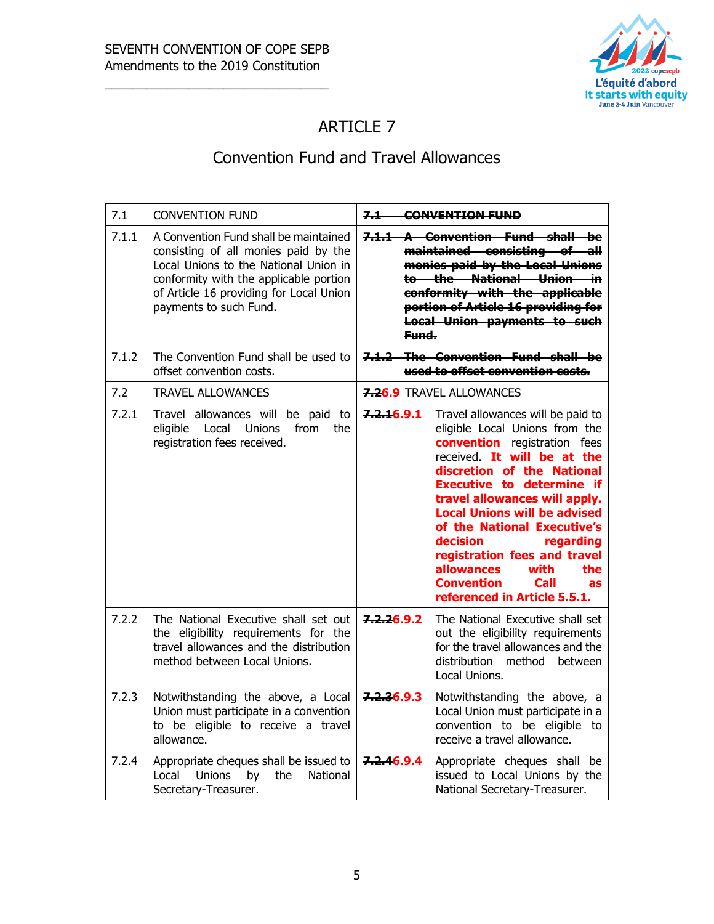

# ARTICLE 7

#### Convention Fund and Travel Allowances

| 7.1   | <b>CONVENTION FUND</b>                                                                                                                                                                                                                | 74<br><b>CONVENTION FUND</b>                                                                                                                                                                                                                                                                                                                                                                                                                                                              |
|-------|---------------------------------------------------------------------------------------------------------------------------------------------------------------------------------------------------------------------------------------|-------------------------------------------------------------------------------------------------------------------------------------------------------------------------------------------------------------------------------------------------------------------------------------------------------------------------------------------------------------------------------------------------------------------------------------------------------------------------------------------|
| 7.1.1 | A Convention Fund shall be maintained<br>consisting of all monies paid by the<br>Local Unions to the National Union in<br>conformity with the applicable portion<br>of Article 16 providing for Local Union<br>payments to such Fund. | 7.1.1 A Convention Fund shall be<br>maintained consisting of all<br>monies paid by the Local Unions<br>to the National Union in<br>conformity with the applicable<br>portion of Article 16 providing for<br><b>Local Union payments to such</b><br>Fund.                                                                                                                                                                                                                                  |
| 7.1.2 | The Convention Fund shall be used to<br>offset convention costs.                                                                                                                                                                      | 7.1.2 The Convention Fund shall be<br>used to offset convention costs.                                                                                                                                                                                                                                                                                                                                                                                                                    |
| 7.2   | <b>TRAVEL ALLOWANCES</b>                                                                                                                                                                                                              | 7.26.9 TRAVEL ALLOWANCES                                                                                                                                                                                                                                                                                                                                                                                                                                                                  |
| 7.2.1 | Travel allowances will be paid to<br>eligible<br>Local<br><b>Unions</b><br>from<br>the<br>registration fees received.                                                                                                                 | 7.2.16.9.1<br>Travel allowances will be paid to<br>eligible Local Unions from the<br>convention registration fees<br>received. It will be at the<br>discretion of the National<br><b>Executive to determine if</b><br>travel allowances will apply.<br><b>Local Unions will be advised</b><br>of the National Executive's<br>decision<br>regarding<br>registration fees and travel<br><b>allowances</b><br>with<br>the<br><b>Convention</b><br>Call<br>as<br>referenced in Article 5.5.1. |
| 7.2.2 | The National Executive shall set out<br>the eligibility requirements for the<br>travel allowances and the distribution<br>method between Local Unions.                                                                                | 7.2.26.9.2<br>The National Executive shall set<br>out the eligibility requirements<br>for the travel allowances and the<br>distribution<br>method<br>between<br>Local Unions.                                                                                                                                                                                                                                                                                                             |
| 7.2.3 | Notwithstanding the above, a Local<br>Union must participate in a convention<br>to be eligible to receive a travel<br>allowance.                                                                                                      | 7.2.36.9.3<br>Notwithstanding the above, a<br>Local Union must participate in a<br>convention to be eligible to<br>receive a travel allowance.                                                                                                                                                                                                                                                                                                                                            |
| 7.2.4 | Appropriate cheques shall be issued to<br>Unions<br>National<br>Local<br>by<br>the<br>Secretary-Treasurer.                                                                                                                            | 7.2.46.9.4<br>Appropriate cheques shall be<br>issued to Local Unions by the<br>National Secretary-Treasurer.                                                                                                                                                                                                                                                                                                                                                                              |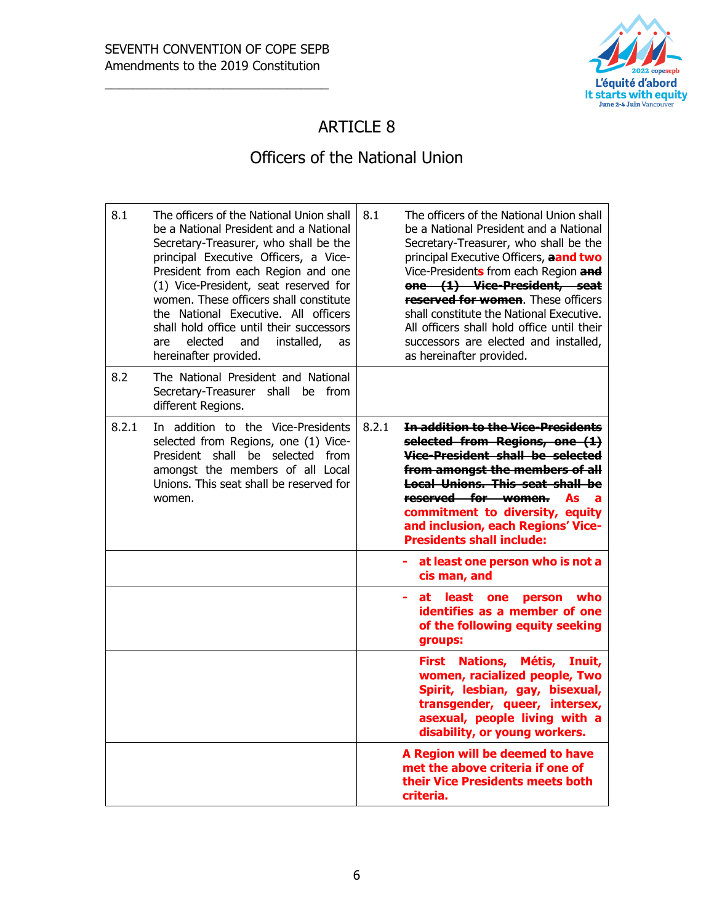

## ARTICLE 8

#### Officers of the National Union

| 8.1   | The officers of the National Union shall<br>be a National President and a National<br>Secretary-Treasurer, who shall be the<br>principal Executive Officers, a Vice-<br>President from each Region and one<br>(1) Vice-President, seat reserved for<br>women. These officers shall constitute<br>the National Executive. All officers<br>shall hold office until their successors<br>elected<br>and<br>installed,<br>are<br>as<br>hereinafter provided. | 8.1   | The officers of the National Union shall<br>be a National President and a National<br>Secretary-Treasurer, who shall be the<br>principal Executive Officers, aand two<br>Vice-Presidents from each Region and<br>one (1) Vice-President, seat<br>reserved for women. These officers<br>shall constitute the National Executive.<br>All officers shall hold office until their<br>successors are elected and installed,<br>as hereinafter provided. |
|-------|---------------------------------------------------------------------------------------------------------------------------------------------------------------------------------------------------------------------------------------------------------------------------------------------------------------------------------------------------------------------------------------------------------------------------------------------------------|-------|----------------------------------------------------------------------------------------------------------------------------------------------------------------------------------------------------------------------------------------------------------------------------------------------------------------------------------------------------------------------------------------------------------------------------------------------------|
| 8.2   | The National President and National<br>Secretary-Treasurer shall be from<br>different Regions.                                                                                                                                                                                                                                                                                                                                                          |       |                                                                                                                                                                                                                                                                                                                                                                                                                                                    |
| 8.2.1 | In addition to the Vice-Presidents<br>selected from Regions, one (1) Vice-<br>President shall be selected from<br>amongst the members of all Local<br>Unions. This seat shall be reserved for<br>women.                                                                                                                                                                                                                                                 | 8.2.1 | In addition to the Vice-Presidents<br>selected from Regions, one (1)<br>Vice-President shall be selected<br>from amongst the members of all<br>Local Unions. This seat shall be<br>reserved for women.<br>As<br>a<br>commitment to diversity, equity<br>and inclusion, each Regions' Vice-<br><b>Presidents shall include:</b>                                                                                                                     |
|       |                                                                                                                                                                                                                                                                                                                                                                                                                                                         |       | at least one person who is not a<br>cis man, and                                                                                                                                                                                                                                                                                                                                                                                                   |
|       |                                                                                                                                                                                                                                                                                                                                                                                                                                                         |       | at least<br>who<br>÷<br>one<br>person<br>identifies as a member of one<br>of the following equity seeking<br>groups:                                                                                                                                                                                                                                                                                                                               |
|       |                                                                                                                                                                                                                                                                                                                                                                                                                                                         |       | <b>Nations,</b><br>Métis,<br>First<br>Inuit,<br>women, racialized people, Two<br>Spirit, lesbian, gay, bisexual,<br>transgender, queer, intersex,<br>asexual, people living with a<br>disability, or young workers.                                                                                                                                                                                                                                |
|       |                                                                                                                                                                                                                                                                                                                                                                                                                                                         |       | A Region will be deemed to have<br>met the above criteria if one of<br>their Vice Presidents meets both<br>criteria.                                                                                                                                                                                                                                                                                                                               |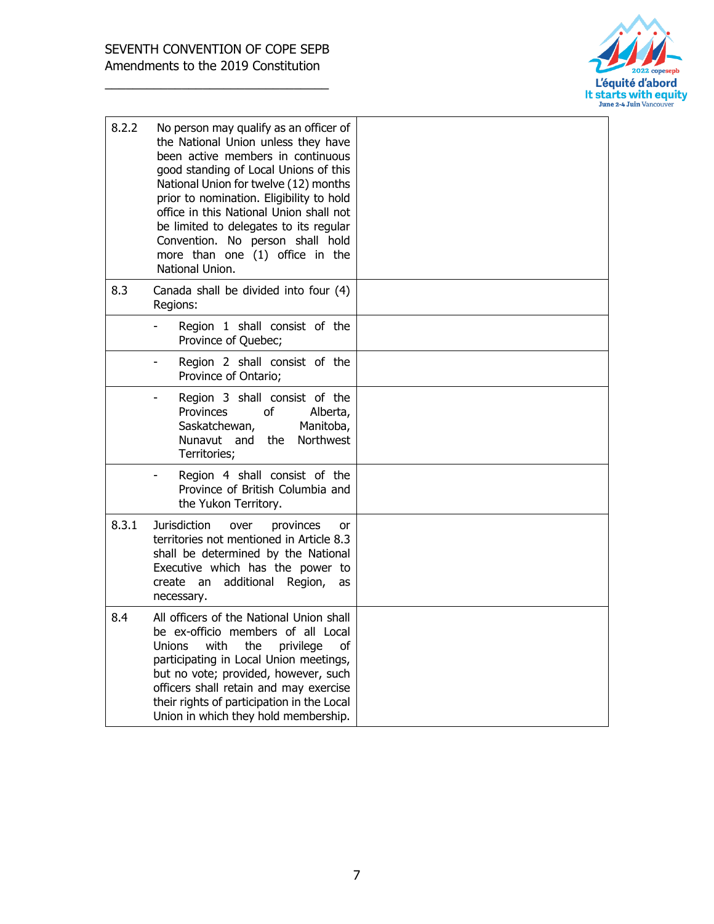

| 8.2.2 | No person may qualify as an officer of<br>the National Union unless they have<br>been active members in continuous<br>good standing of Local Unions of this<br>National Union for twelve (12) months<br>prior to nomination. Eligibility to hold<br>office in this National Union shall not<br>be limited to delegates to its regular<br>Convention. No person shall hold<br>more than one (1) office in the<br>National Union. |  |
|-------|---------------------------------------------------------------------------------------------------------------------------------------------------------------------------------------------------------------------------------------------------------------------------------------------------------------------------------------------------------------------------------------------------------------------------------|--|
| 8.3   | Canada shall be divided into four (4)<br>Regions:                                                                                                                                                                                                                                                                                                                                                                               |  |
|       | Region 1 shall consist of the<br>Province of Quebec;                                                                                                                                                                                                                                                                                                                                                                            |  |
|       | Region 2 shall consist of the<br>Province of Ontario;                                                                                                                                                                                                                                                                                                                                                                           |  |
|       | Region 3 shall consist of the<br>Provinces<br>of<br>Alberta,<br>Saskatchewan,<br>Manitoba,<br>Nunavut and<br>the<br>Northwest<br>Territories;                                                                                                                                                                                                                                                                                   |  |
|       | Region 4 shall consist of the<br>Province of British Columbia and<br>the Yukon Territory.                                                                                                                                                                                                                                                                                                                                       |  |
| 8.3.1 | <b>Jurisdiction</b><br>over<br>provinces<br>or<br>territories not mentioned in Article 8.3<br>shall be determined by the National<br>Executive which has the power to<br>additional<br>create<br>Region,<br>an<br>as<br>necessary.                                                                                                                                                                                              |  |
| 8.4   | All officers of the National Union shall<br>be ex-officio members of all Local<br>Unions<br>with<br>the<br>privilege<br>οf<br>participating in Local Union meetings,<br>but no vote; provided, however, such<br>officers shall retain and may exercise<br>their rights of participation in the Local<br>Union in which they hold membership.                                                                                    |  |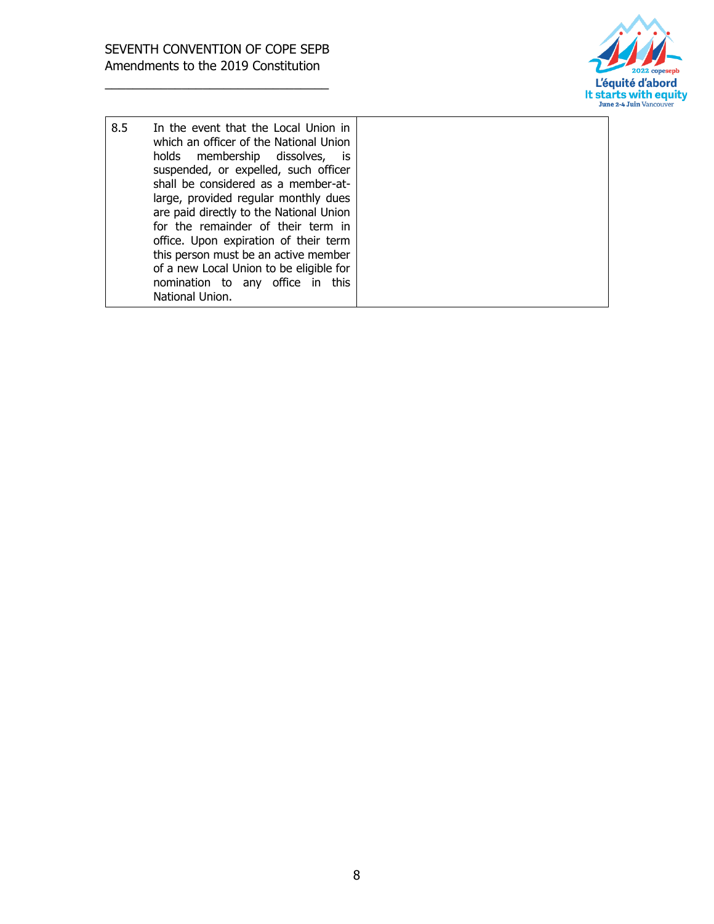

| large, provided regular monthly dues<br>are paid directly to the National Union<br>for the remainder of their term in<br>office. Upon expiration of their term<br>this person must be an active member<br>of a new Local Union to be eligible for<br>nomination to any office in this<br>National Union. |
|----------------------------------------------------------------------------------------------------------------------------------------------------------------------------------------------------------------------------------------------------------------------------------------------------------|
|----------------------------------------------------------------------------------------------------------------------------------------------------------------------------------------------------------------------------------------------------------------------------------------------------------|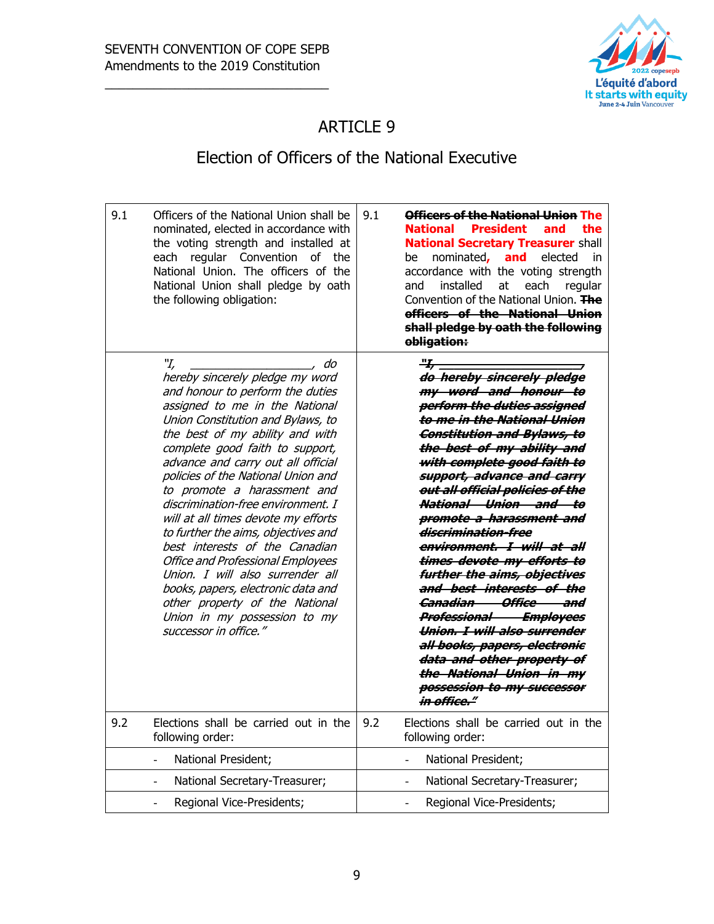'n



## ARTICLE 9

## Election of Officers of the National Executive

| 9.1 | Officers of the National Union shall be<br>nominated, elected in accordance with<br>the voting strength and installed at<br>regular Convention<br>of<br>the<br>each<br>National Union. The officers of the<br>National Union shall pledge by oath<br>the following obligation:                                                                                                                                                                                                                                                                                                                                                                                                                                  | 9.1<br>Officers of the National Union The<br><b>President</b><br><b>National</b><br>and<br>the<br><b>National Secretary Treasurer shall</b><br>nominated,<br>and<br>elected<br>be<br>in<br>accordance with the voting strength<br>installed<br>at<br>each<br>regular<br>and<br>Convention of the National Union. The<br>officers of the National Union<br>shall pledge by oath the following<br>obligation:                                                                                                                                                                                                                                                                                                                                                                               |
|-----|-----------------------------------------------------------------------------------------------------------------------------------------------------------------------------------------------------------------------------------------------------------------------------------------------------------------------------------------------------------------------------------------------------------------------------------------------------------------------------------------------------------------------------------------------------------------------------------------------------------------------------------------------------------------------------------------------------------------|-------------------------------------------------------------------------------------------------------------------------------------------------------------------------------------------------------------------------------------------------------------------------------------------------------------------------------------------------------------------------------------------------------------------------------------------------------------------------------------------------------------------------------------------------------------------------------------------------------------------------------------------------------------------------------------------------------------------------------------------------------------------------------------------|
|     | "І,<br>do<br>hereby sincerely pledge my word<br>and honour to perform the duties<br>assigned to me in the National<br>Union Constitution and Bylaws, to<br>the best of my ability and with<br>complete good faith to support,<br>advance and carry out all official<br>policies of the National Union and<br>to promote a harassment and<br>discrimination-free environment. I<br>will at all times devote my efforts<br>to further the aims, objectives and<br>best interests of the Canadian<br><b>Office and Professional Employees</b><br>Union. I will also surrender all<br>books, papers, electronic data and<br>other property of the National<br>Union in my possession to my<br>successor in office." | <del>"L,</del><br>do hereby sincerely pledge<br>my word and honour to<br>perform the duties assigned<br>to me in the National Union<br><b>Constitution and Bylaws, to</b><br>the best of my ability and<br>with complete good faith to<br>support, advance and carry<br>out all official policies of the<br>National Union and to<br><del>promote a harassment and</del><br><del>discrimination-free</del><br>environment. I will at all<br>times devote my efforts to<br>further the aims, objectives<br>and best interests of the<br><del>Canadian Office and</del><br><b>Professional Employees</b><br>Union. I will also surrender<br>all books, papers, electronic<br><del>data and other property of</del><br>the National Union in my<br>possession to my successor<br>in office." |
| 9.2 | Elections shall be carried out in the<br>following order:                                                                                                                                                                                                                                                                                                                                                                                                                                                                                                                                                                                                                                                       | 9.2<br>Elections shall be carried out in the<br>following order:                                                                                                                                                                                                                                                                                                                                                                                                                                                                                                                                                                                                                                                                                                                          |
|     | National President;<br>$\Box$                                                                                                                                                                                                                                                                                                                                                                                                                                                                                                                                                                                                                                                                                   | National President;<br>$\overline{a}$                                                                                                                                                                                                                                                                                                                                                                                                                                                                                                                                                                                                                                                                                                                                                     |
|     | National Secretary-Treasurer;<br>$\overline{\phantom{a}}$                                                                                                                                                                                                                                                                                                                                                                                                                                                                                                                                                                                                                                                       | National Secretary-Treasurer;                                                                                                                                                                                                                                                                                                                                                                                                                                                                                                                                                                                                                                                                                                                                                             |
|     | Regional Vice-Presidents;<br>$\blacksquare$                                                                                                                                                                                                                                                                                                                                                                                                                                                                                                                                                                                                                                                                     | Regional Vice-Presidents;<br>÷,                                                                                                                                                                                                                                                                                                                                                                                                                                                                                                                                                                                                                                                                                                                                                           |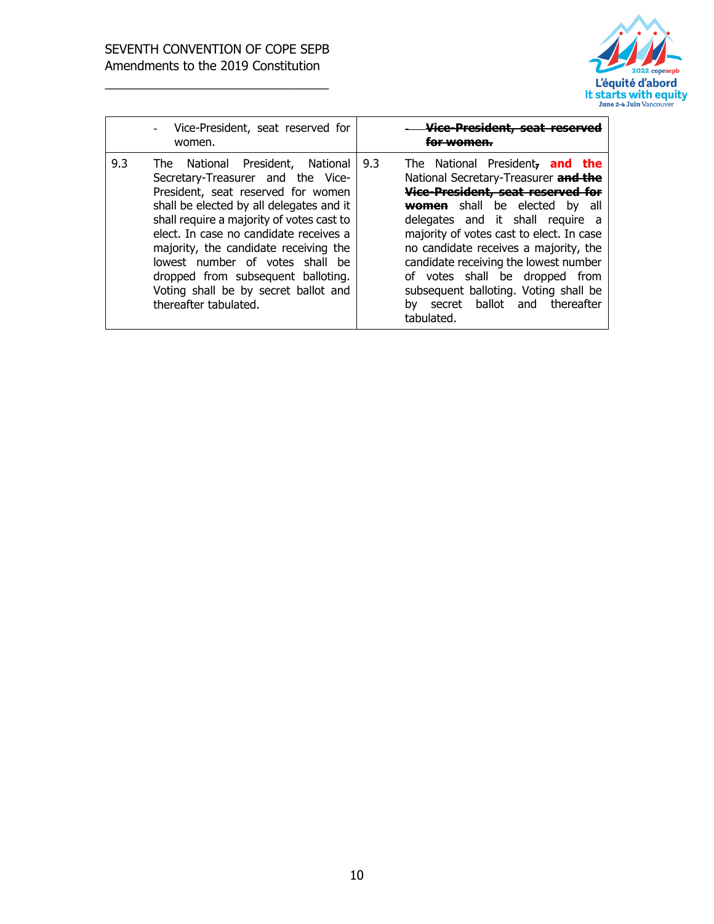

|     | Vice-President, seat reserved for<br>$\overline{a}$<br>women.                                                                                                                                                                                                                                                                                                                                                                     | wwamen.                                                                                                                                                                                                                                                                                                                                                                                                                                                                     |
|-----|-----------------------------------------------------------------------------------------------------------------------------------------------------------------------------------------------------------------------------------------------------------------------------------------------------------------------------------------------------------------------------------------------------------------------------------|-----------------------------------------------------------------------------------------------------------------------------------------------------------------------------------------------------------------------------------------------------------------------------------------------------------------------------------------------------------------------------------------------------------------------------------------------------------------------------|
| 9.3 | The National President, National<br>Secretary-Treasurer and the Vice-<br>President, seat reserved for women<br>shall be elected by all delegates and it<br>shall require a majority of votes cast to<br>elect. In case no candidate receives a<br>majority, the candidate receiving the<br>lowest number of votes shall be<br>dropped from subsequent balloting.<br>Voting shall be by secret ballot and<br>thereafter tabulated. | The National President, and the<br>9.3<br>National Secretary-Treasurer and the<br>Vice-President, seat reserved for<br>shall be elected<br><b>women</b><br>bv<br>all<br>delegates and it shall require<br>a<br>majority of votes cast to elect. In case<br>no candidate receives a majority, the<br>candidate receiving the lowest number<br>of votes shall be dropped from<br>subsequent balloting. Voting shall be<br>ballot and thereafter<br>secret<br>bv<br>tabulated. |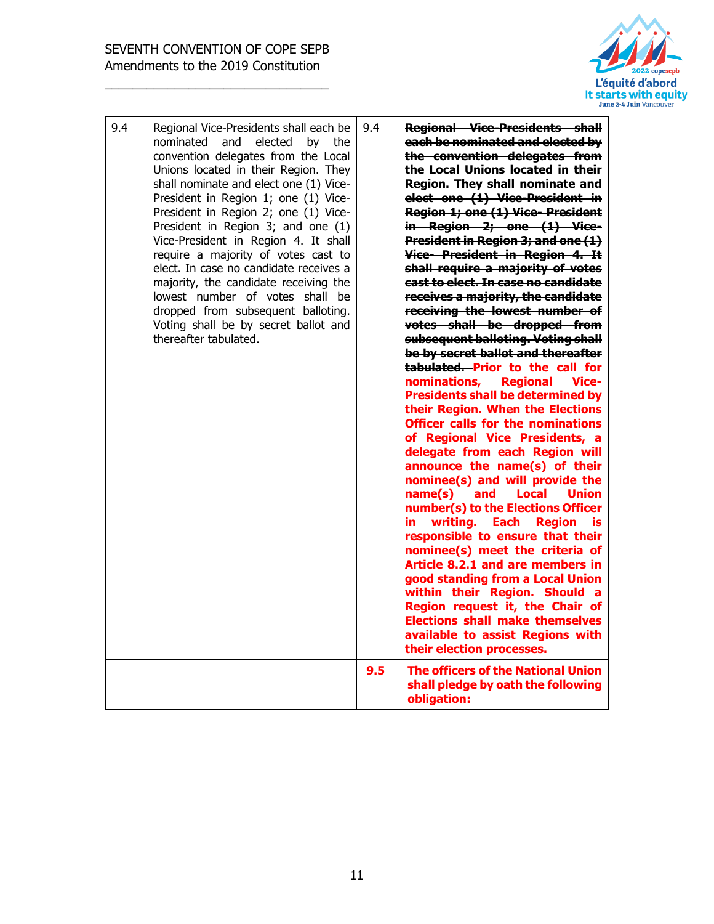

| 9.4 | Regional Vice-Presidents shall each be<br>nominated<br>and<br>elected<br>by<br>the<br>convention delegates from the Local<br>Unions located in their Region. They<br>shall nominate and elect one (1) Vice-<br>President in Region 1; one (1) Vice-<br>President in Region 2; one (1) Vice-<br>President in Region 3; and one (1)<br>Vice-President in Region 4. It shall<br>require a majority of votes cast to<br>elect. In case no candidate receives a<br>majority, the candidate receiving the<br>lowest number of votes shall be<br>dropped from subsequent balloting.<br>Voting shall be by secret ballot and<br>thereafter tabulated. | 9.4 | <b>Regional Vice-Presidents shall</b><br>each be nominated and elected by<br>the convention delegates from<br>the Local Unions located in their<br><b>Region. They shall nominate and</b><br>elect one (1) Vice-President in<br><b>Region 1; one (1) Vice- President</b><br>in Region 2; one (1) Vice-<br><b>President in Region 3; and one (1)</b><br>Vice-President in Region 4. It<br>shall require a majority of votes<br>cast to elect. In case no candidate<br>receives a majority, the candidate<br>receiving the lowest number of<br>votes shall be dropped from<br>subsequent balloting. Voting shall<br>be by secret ballot and thereafter<br>tabulated. Prior to the call for<br>nominations,<br><b>Regional</b><br>Vice-<br><b>Presidents shall be determined by</b><br>their Region. When the Elections<br><b>Officer calls for the nominations</b><br>of Regional Vice Presidents, a<br>delegate from each Region will<br>announce the name(s) of their<br>nominee(s) and will provide the<br>name(s)<br>and<br>Local<br><b>Union</b><br>number(s) to the Elections Officer<br>writing.<br><b>Each</b><br><b>Region</b><br>in.<br>is<br>responsible to ensure that their<br>nominee(s) meet the criteria of<br>Article 8.2.1 and are members in<br>good standing from a Local Union<br>within their Region. Should a<br>Region request it, the Chair of<br><b>Elections shall make themselves</b><br>available to assist Regions with<br>their election processes. |
|-----|-----------------------------------------------------------------------------------------------------------------------------------------------------------------------------------------------------------------------------------------------------------------------------------------------------------------------------------------------------------------------------------------------------------------------------------------------------------------------------------------------------------------------------------------------------------------------------------------------------------------------------------------------|-----|----------------------------------------------------------------------------------------------------------------------------------------------------------------------------------------------------------------------------------------------------------------------------------------------------------------------------------------------------------------------------------------------------------------------------------------------------------------------------------------------------------------------------------------------------------------------------------------------------------------------------------------------------------------------------------------------------------------------------------------------------------------------------------------------------------------------------------------------------------------------------------------------------------------------------------------------------------------------------------------------------------------------------------------------------------------------------------------------------------------------------------------------------------------------------------------------------------------------------------------------------------------------------------------------------------------------------------------------------------------------------------------------------------------------------------------------------------------------------------|
|     |                                                                                                                                                                                                                                                                                                                                                                                                                                                                                                                                                                                                                                               | 9.5 | <b>The officers of the National Union</b><br>shall pledge by oath the following<br>obligation:                                                                                                                                                                                                                                                                                                                                                                                                                                                                                                                                                                                                                                                                                                                                                                                                                                                                                                                                                                                                                                                                                                                                                                                                                                                                                                                                                                                   |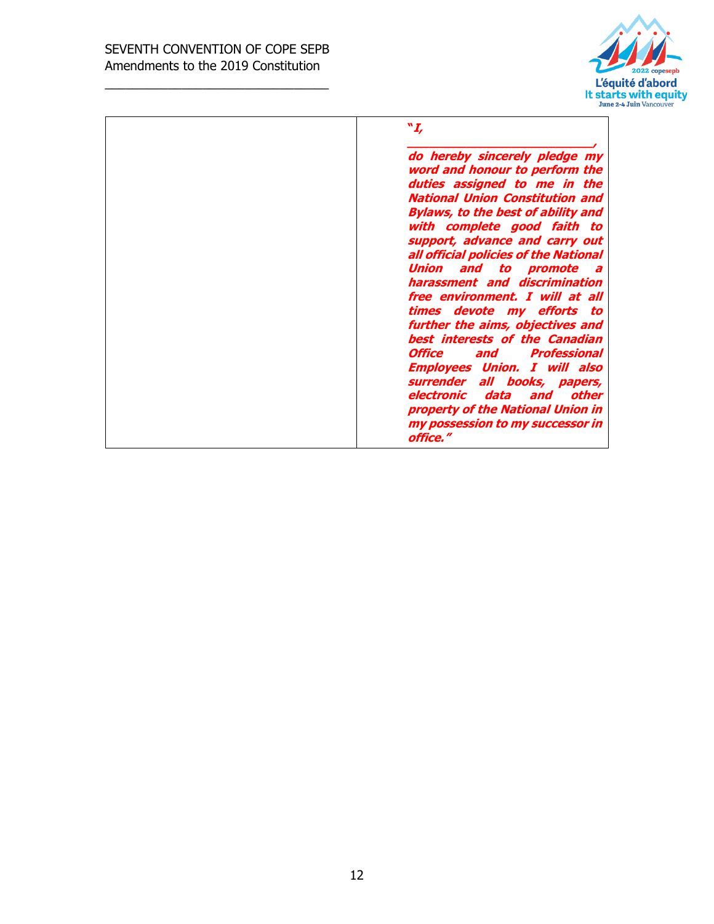#### SEVENTH CONVENTION OF COPE SEPB Amendments to the 2019 Constitution

\_\_\_\_\_\_\_\_\_\_\_\_\_\_\_\_\_\_\_\_\_\_\_\_\_\_\_\_\_\_\_\_



**"I,** 

**\_\_\_\_\_\_\_\_\_\_\_\_\_\_\_\_\_\_\_\_\_\_\_\_\_, do hereby sincerely pledge my word and honour to perform the duties assigned to me in the National Union Constitution and Bylaws, to the best of ability and with complete good faith to support, advance and carry out all official policies of the National Union and to promote a harassment and discrimination free environment. I will at all times devote my efforts to further the aims, objectives and best interests of the Canadian Office and Professional Employees Union. I will also surrender all books, papers, electronic data and other property of the National Union in my possession to my successor in office."**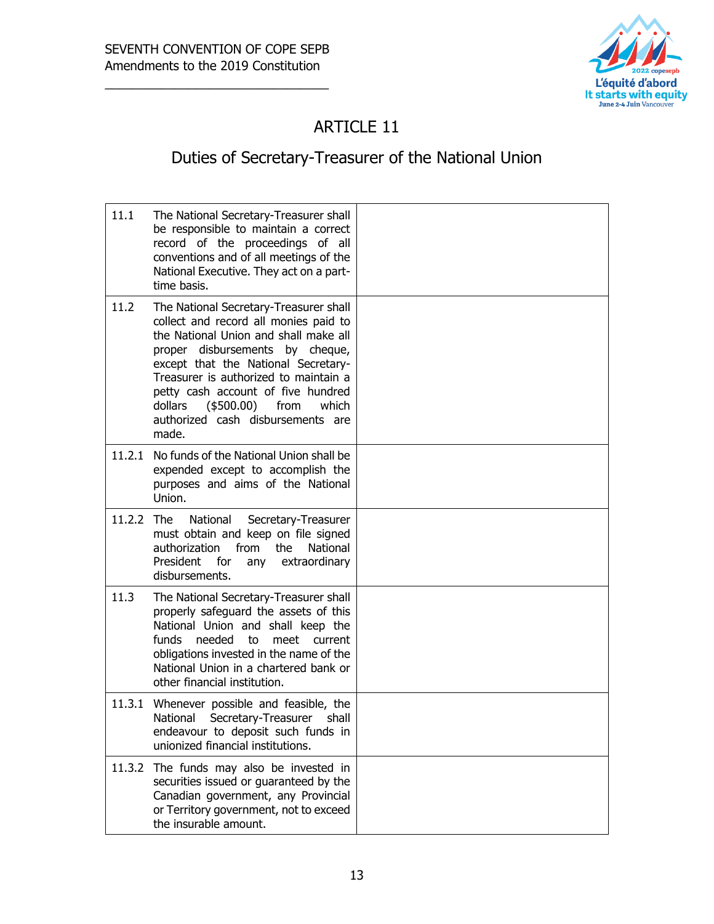

# ARTICLE 11

# Duties of Secretary-Treasurer of the National Union

| 11.1       | The National Secretary-Treasurer shall<br>be responsible to maintain a correct<br>record of the proceedings of all<br>conventions and of all meetings of the<br>National Executive. They act on a part-<br>time basis.                                                                                                                                                      |  |
|------------|-----------------------------------------------------------------------------------------------------------------------------------------------------------------------------------------------------------------------------------------------------------------------------------------------------------------------------------------------------------------------------|--|
| 11.2       | The National Secretary-Treasurer shall<br>collect and record all monies paid to<br>the National Union and shall make all<br>proper disbursements by cheque,<br>except that the National Secretary-<br>Treasurer is authorized to maintain a<br>petty cash account of five hundred<br>dollars<br>$(\$500.00)$<br>from<br>which<br>authorized cash disbursements are<br>made. |  |
|            | 11.2.1 No funds of the National Union shall be<br>expended except to accomplish the<br>purposes and aims of the National<br>Union.                                                                                                                                                                                                                                          |  |
| 11.2.2 The | National<br>Secretary-Treasurer<br>must obtain and keep on file signed<br>from<br>the<br>National<br>authorization<br>President for<br>extraordinary<br>any<br>disbursements.                                                                                                                                                                                               |  |
| 11.3       | The National Secretary-Treasurer shall<br>properly safeguard the assets of this<br>National Union and shall keep the<br>funds<br>needed<br>to<br>meet<br>current<br>obligations invested in the name of the<br>National Union in a chartered bank or<br>other financial institution.                                                                                        |  |
| 11.3.1     | Whenever possible and feasible, the<br>National<br>Secretary-Treasurer<br>shall<br>endeavour to deposit such funds in<br>unionized financial institutions.                                                                                                                                                                                                                  |  |
| 11.3.2     | The funds may also be invested in<br>securities issued or guaranteed by the<br>Canadian government, any Provincial<br>or Territory government, not to exceed<br>the insurable amount.                                                                                                                                                                                       |  |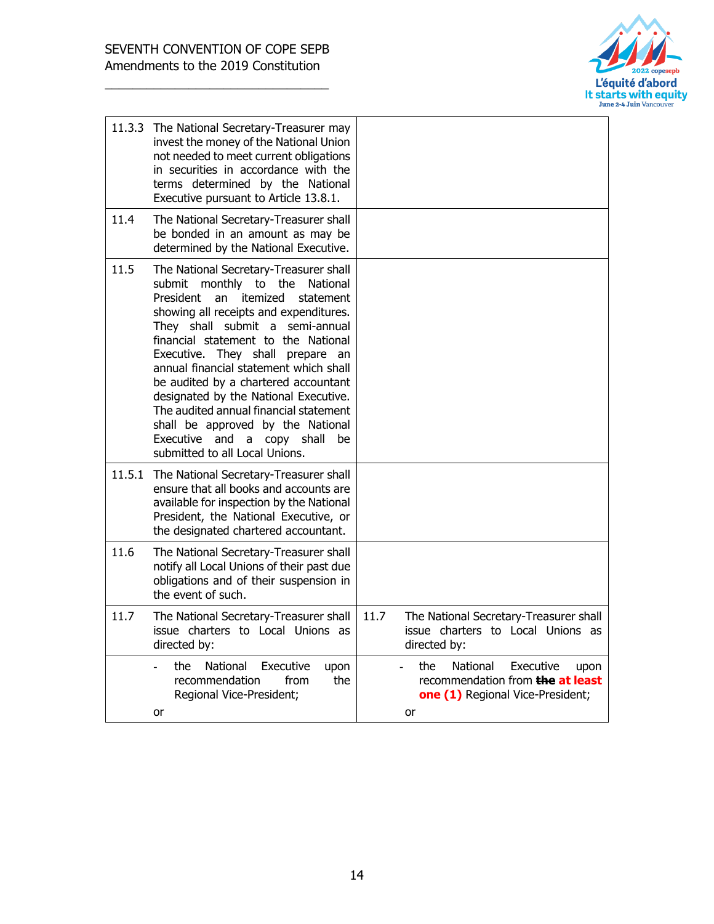

|      | 11.3.3 The National Secretary-Treasurer may<br>invest the money of the National Union<br>not needed to meet current obligations<br>in securities in accordance with the<br>terms determined by the National<br>Executive pursuant to Article 13.8.1.                                                                                                                                                                                                                                                                                                                  |                                                                                                                    |
|------|-----------------------------------------------------------------------------------------------------------------------------------------------------------------------------------------------------------------------------------------------------------------------------------------------------------------------------------------------------------------------------------------------------------------------------------------------------------------------------------------------------------------------------------------------------------------------|--------------------------------------------------------------------------------------------------------------------|
| 11.4 | The National Secretary-Treasurer shall<br>be bonded in an amount as may be<br>determined by the National Executive.                                                                                                                                                                                                                                                                                                                                                                                                                                                   |                                                                                                                    |
| 11.5 | The National Secretary-Treasurer shall<br>submit monthly to the<br>National<br>President<br>itemized<br>an<br>statement<br>showing all receipts and expenditures.<br>They shall submit a semi-annual<br>financial statement to the National<br>Executive. They shall prepare an<br>annual financial statement which shall<br>be audited by a chartered accountant<br>designated by the National Executive.<br>The audited annual financial statement<br>shall be approved by the National<br>Executive and<br>copy shall<br>a<br>be<br>submitted to all Local Unions. |                                                                                                                    |
|      | 11.5.1 The National Secretary-Treasurer shall<br>ensure that all books and accounts are<br>available for inspection by the National<br>President, the National Executive, or<br>the designated chartered accountant.                                                                                                                                                                                                                                                                                                                                                  |                                                                                                                    |
| 11.6 | The National Secretary-Treasurer shall<br>notify all Local Unions of their past due<br>obligations and of their suspension in<br>the event of such.                                                                                                                                                                                                                                                                                                                                                                                                                   |                                                                                                                    |
| 11.7 | The National Secretary-Treasurer shall<br>issue charters to Local Unions as<br>directed by:                                                                                                                                                                                                                                                                                                                                                                                                                                                                           | 11.7<br>The National Secretary-Treasurer shall<br>issue charters to Local Unions as<br>directed by:                |
|      | the<br>National<br>Executive<br>upon<br>recommendation<br>from<br>the<br>Regional Vice-President;<br>or                                                                                                                                                                                                                                                                                                                                                                                                                                                               | National<br>Executive<br>the<br>upon<br>recommendation from the at least<br>one (1) Regional Vice-President;<br>or |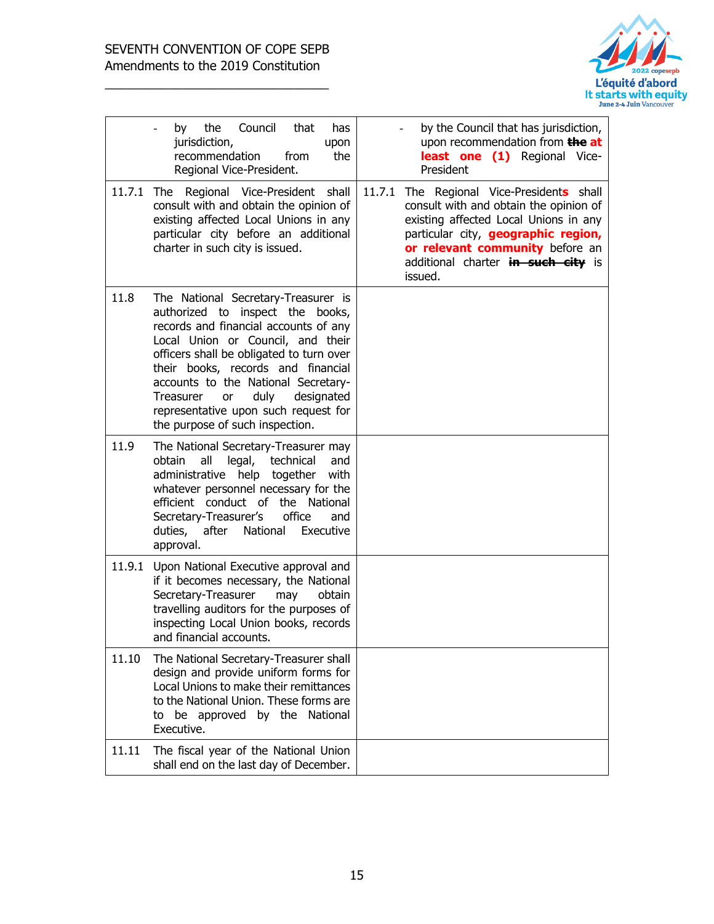

|       | the<br>Council<br>that<br>has<br>by<br>jurisdiction,<br>upon<br>recommendation<br>the<br>from<br>Regional Vice-President.                                                                                                                                                                                                                                                                          | by the Council that has jurisdiction,<br>upon recommendation from the at<br>least one (1) Regional Vice-<br>President                                                                                                                                             |
|-------|----------------------------------------------------------------------------------------------------------------------------------------------------------------------------------------------------------------------------------------------------------------------------------------------------------------------------------------------------------------------------------------------------|-------------------------------------------------------------------------------------------------------------------------------------------------------------------------------------------------------------------------------------------------------------------|
|       | 11.7.1 The Regional Vice-President shall<br>consult with and obtain the opinion of<br>existing affected Local Unions in any<br>particular city before an additional<br>charter in such city is issued.                                                                                                                                                                                             | 11.7.1<br>The Regional Vice-Presidents shall<br>consult with and obtain the opinion of<br>existing affected Local Unions in any<br>particular city, <b>geographic region,</b><br>or relevant community before an<br>additional charter in such city is<br>issued. |
| 11.8  | The National Secretary-Treasurer is<br>authorized to inspect the books,<br>records and financial accounts of any<br>Local Union or Council, and their<br>officers shall be obligated to turn over<br>their books, records and financial<br>accounts to the National Secretary-<br>duly<br>Treasurer<br>designated<br>or<br>representative upon such request for<br>the purpose of such inspection. |                                                                                                                                                                                                                                                                   |
| 11.9  | The National Secretary-Treasurer may<br>all legal,<br>obtain<br>technical<br>and<br>administrative help together<br>with<br>whatever personnel necessary for the<br>efficient conduct of the National<br>Secretary-Treasurer's<br>office<br>and<br>National<br>duties,<br>after<br>Executive<br>approval.                                                                                          |                                                                                                                                                                                                                                                                   |
|       | 11.9.1 Upon National Executive approval and<br>if it becomes necessary, the National<br>Secretary-Treasurer<br>obtain<br>may<br>travelling auditors for the purposes of<br>inspecting Local Union books, records<br>and financial accounts.                                                                                                                                                        |                                                                                                                                                                                                                                                                   |
| 11.10 | The National Secretary-Treasurer shall<br>design and provide uniform forms for<br>Local Unions to make their remittances<br>to the National Union. These forms are<br>be approved by the National<br>to<br>Executive.                                                                                                                                                                              |                                                                                                                                                                                                                                                                   |
| 11.11 | The fiscal year of the National Union<br>shall end on the last day of December.                                                                                                                                                                                                                                                                                                                    |                                                                                                                                                                                                                                                                   |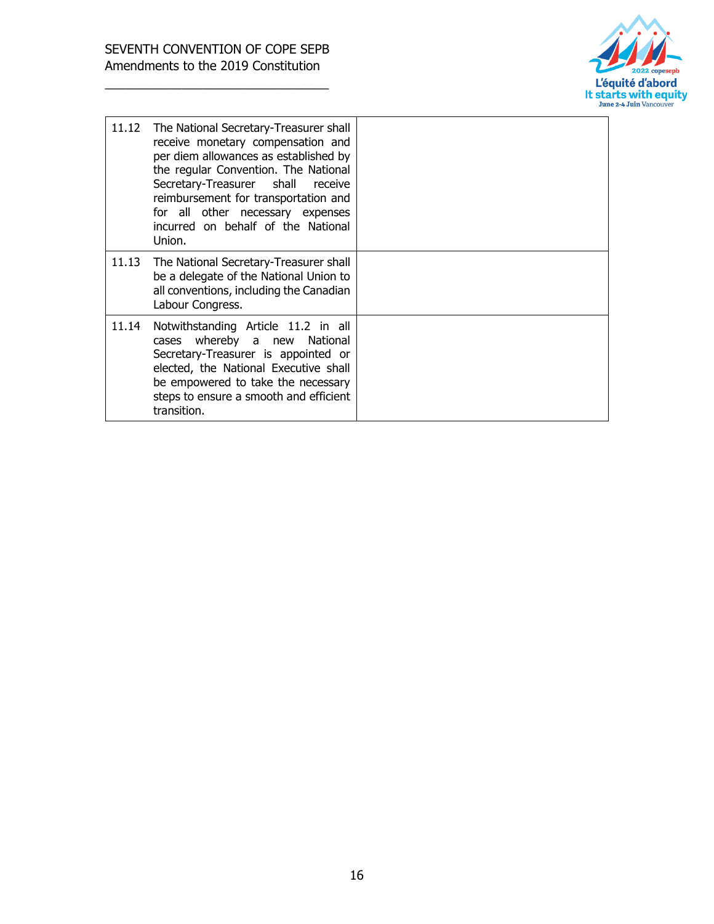

| 11.12 | The National Secretary-Treasurer shall<br>receive monetary compensation and<br>per diem allowances as established by<br>the regular Convention. The National<br>Secretary-Treasurer shall<br>receive<br>reimbursement for transportation and<br>for all other necessary expenses<br>incurred on behalf of the National<br>Union. |  |
|-------|----------------------------------------------------------------------------------------------------------------------------------------------------------------------------------------------------------------------------------------------------------------------------------------------------------------------------------|--|
| 11.13 | The National Secretary-Treasurer shall<br>be a delegate of the National Union to<br>all conventions, including the Canadian<br>Labour Congress.                                                                                                                                                                                  |  |
| 11.14 | Notwithstanding Article 11.2 in all<br>whereby a new<br>National<br>cases<br>Secretary-Treasurer is appointed or<br>elected, the National Executive shall<br>be empowered to take the necessary<br>steps to ensure a smooth and efficient<br>transition.                                                                         |  |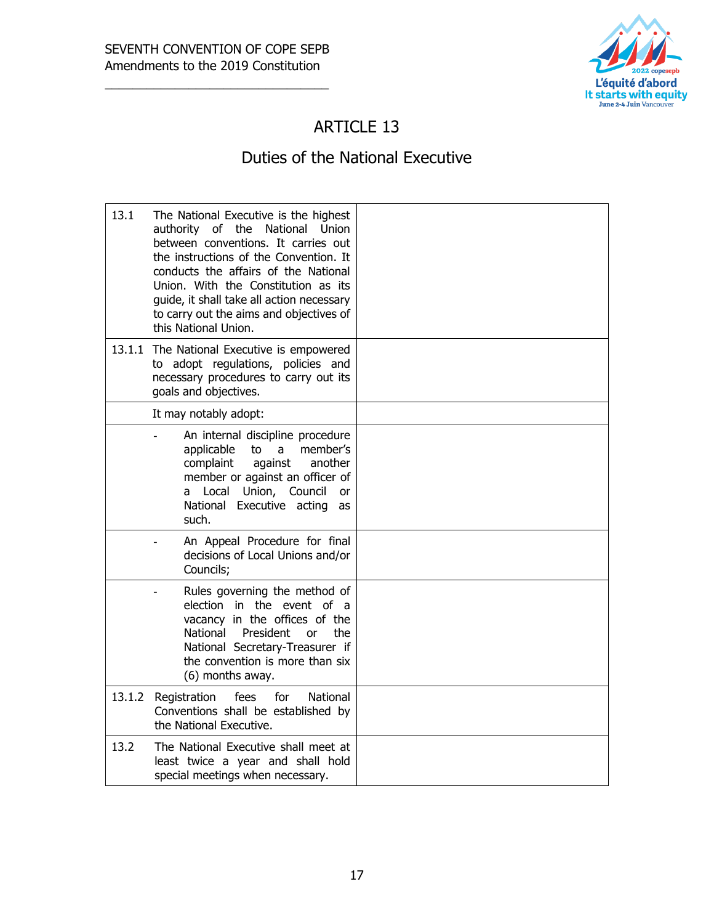

#### ARTICLE 13

#### Duties of the National Executive

| 13.1   | The National Executive is the highest<br>authority of the National Union<br>between conventions. It carries out<br>the instructions of the Convention. It<br>conducts the affairs of the National<br>Union. With the Constitution as its<br>guide, it shall take all action necessary<br>to carry out the aims and objectives of<br>this National Union. |  |
|--------|----------------------------------------------------------------------------------------------------------------------------------------------------------------------------------------------------------------------------------------------------------------------------------------------------------------------------------------------------------|--|
| 13.1.1 | The National Executive is empowered<br>to adopt regulations, policies and<br>necessary procedures to carry out its<br>goals and objectives.                                                                                                                                                                                                              |  |
|        | It may notably adopt:                                                                                                                                                                                                                                                                                                                                    |  |
|        | An internal discipline procedure<br>applicable<br>to<br>a<br>member's<br>complaint<br>against<br>another<br>member or against an officer of<br>a Local Union, Council<br><b>or</b><br>National Executive acting<br>as<br>such.                                                                                                                           |  |
|        | An Appeal Procedure for final<br>decisions of Local Unions and/or<br>Councils;                                                                                                                                                                                                                                                                           |  |
|        | Rules governing the method of<br>election in the event of a<br>vacancy in the offices of the<br>National<br>President<br>the.<br><b>or</b><br>National Secretary-Treasurer if<br>the convention is more than six<br>(6) months away.                                                                                                                     |  |
| 13.1.2 | Registration<br>fees<br>for<br>National<br>Conventions shall be established by<br>the National Executive.                                                                                                                                                                                                                                                |  |
| 13.2   | The National Executive shall meet at<br>least twice a year and shall hold<br>special meetings when necessary.                                                                                                                                                                                                                                            |  |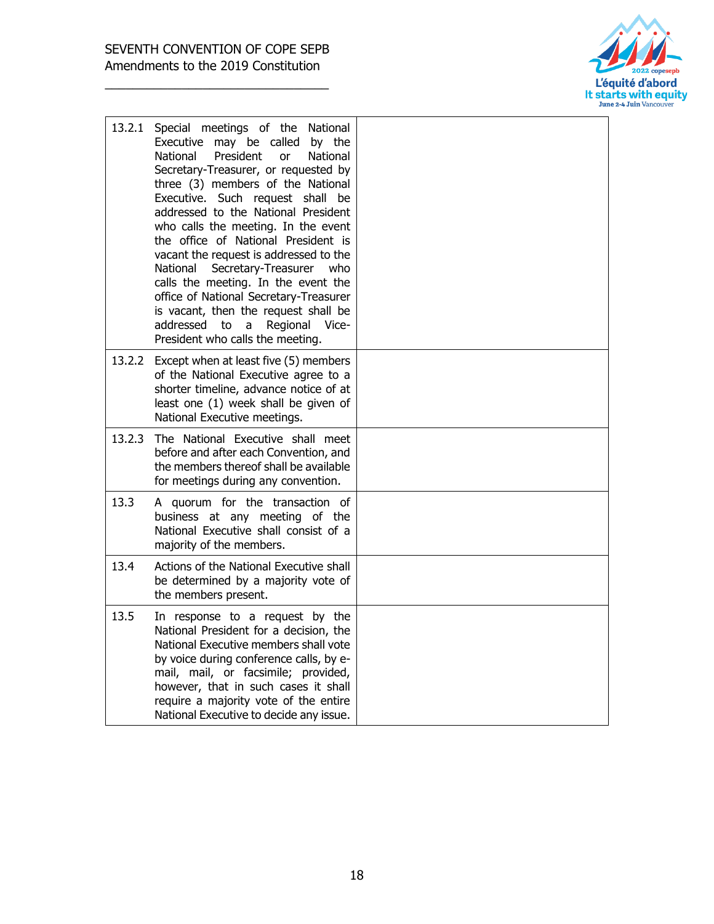

| 13.2.1 | Special meetings of the National<br>Executive may be called by the<br>President<br>National<br>National<br><b>or</b><br>Secretary-Treasurer, or requested by<br>three (3) members of the National<br>Executive. Such request shall be<br>addressed to the National President<br>who calls the meeting. In the event<br>the office of National President is<br>vacant the request is addressed to the<br>National<br>Secretary-Treasurer<br>who<br>calls the meeting. In the event the<br>office of National Secretary-Treasurer<br>is vacant, then the request shall be<br>addressed<br>to<br>a<br>Regional<br>Vice-<br>President who calls the meeting. |  |
|--------|----------------------------------------------------------------------------------------------------------------------------------------------------------------------------------------------------------------------------------------------------------------------------------------------------------------------------------------------------------------------------------------------------------------------------------------------------------------------------------------------------------------------------------------------------------------------------------------------------------------------------------------------------------|--|
|        | 13.2.2 Except when at least five (5) members<br>of the National Executive agree to a<br>shorter timeline, advance notice of at<br>least one (1) week shall be given of<br>National Executive meetings.                                                                                                                                                                                                                                                                                                                                                                                                                                                   |  |
| 13.2.3 | The National Executive shall meet<br>before and after each Convention, and<br>the members thereof shall be available<br>for meetings during any convention.                                                                                                                                                                                                                                                                                                                                                                                                                                                                                              |  |
| 13.3   | A quorum for the transaction of<br>business at any meeting of the<br>National Executive shall consist of a<br>majority of the members.                                                                                                                                                                                                                                                                                                                                                                                                                                                                                                                   |  |
| 13.4   | Actions of the National Executive shall<br>be determined by a majority vote of<br>the members present.                                                                                                                                                                                                                                                                                                                                                                                                                                                                                                                                                   |  |
| 13.5   | In response to a request by the<br>National President for a decision, the<br>National Executive members shall vote<br>by voice during conference calls, by e-<br>mail, mail, or facsimile; provided,<br>however, that in such cases it shall<br>require a majority vote of the entire<br>National Executive to decide any issue.                                                                                                                                                                                                                                                                                                                         |  |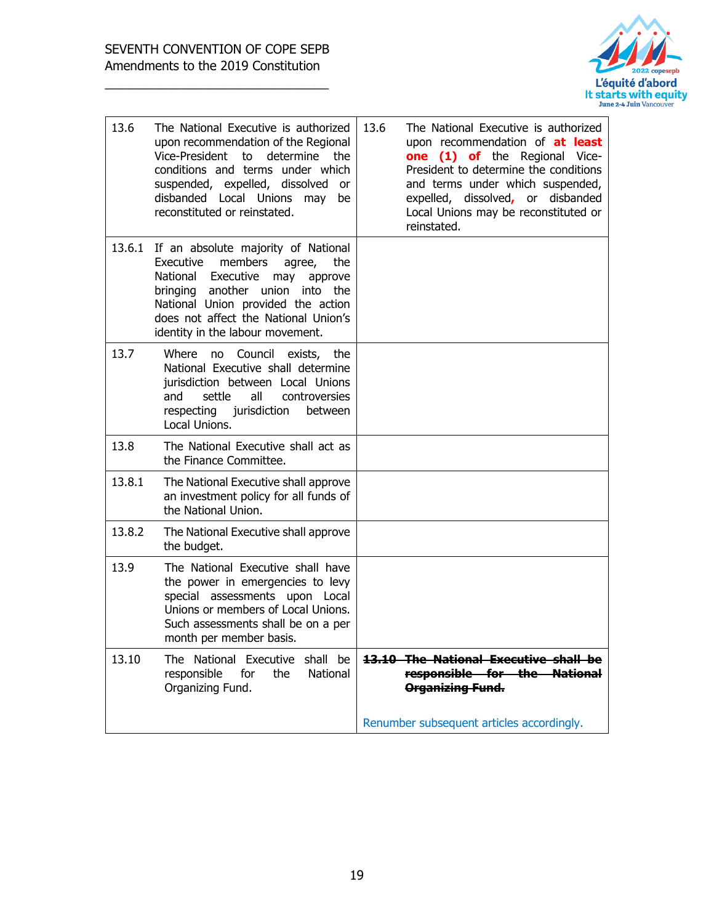

| 13.6   | The National Executive is authorized<br>upon recommendation of the Regional<br>Vice-President to determine the<br>conditions and terms under which<br>suspended, expelled, dissolved<br>- or<br>disbanded Local Unions may<br>be<br>reconstituted or reinstated.          | 13.6<br>The National Executive is authorized<br>upon recommendation of at least<br>one (1) of the Regional Vice-<br>President to determine the conditions<br>and terms under which suspended,<br>expelled, dissolved, or disbanded<br>Local Unions may be reconstituted or<br>reinstated. |
|--------|---------------------------------------------------------------------------------------------------------------------------------------------------------------------------------------------------------------------------------------------------------------------------|-------------------------------------------------------------------------------------------------------------------------------------------------------------------------------------------------------------------------------------------------------------------------------------------|
| 13.6.1 | If an absolute majority of National<br>Executive<br>members<br>the<br>agree,<br>National Executive<br>may<br>approve<br>bringing another union into the<br>National Union provided the action<br>does not affect the National Union's<br>identity in the labour movement. |                                                                                                                                                                                                                                                                                           |
| 13.7   | Council exists, the<br>Where<br>no<br>National Executive shall determine<br>jurisdiction between Local Unions<br>all<br>and<br>settle<br>controversies<br>respecting<br>jurisdiction<br>between<br>Local Unions.                                                          |                                                                                                                                                                                                                                                                                           |
| 13.8   | The National Executive shall act as<br>the Finance Committee.                                                                                                                                                                                                             |                                                                                                                                                                                                                                                                                           |
| 13.8.1 | The National Executive shall approve<br>an investment policy for all funds of<br>the National Union.                                                                                                                                                                      |                                                                                                                                                                                                                                                                                           |
| 13.8.2 | The National Executive shall approve<br>the budget.                                                                                                                                                                                                                       |                                                                                                                                                                                                                                                                                           |
| 13.9   | The National Executive shall have<br>the power in emergencies to levy<br>special assessments upon Local<br>Unions or members of Local Unions.<br>Such assessments shall be on a per<br>month per member basis.                                                            |                                                                                                                                                                                                                                                                                           |
| 13.10  | The National Executive shall be<br>responsible<br>National<br>for<br>the<br>Organizing Fund.                                                                                                                                                                              | 13.10 The National Executive shall be<br>responsible for the National<br>Organizing Fund.                                                                                                                                                                                                 |
|        |                                                                                                                                                                                                                                                                           | Renumber subsequent articles accordingly.                                                                                                                                                                                                                                                 |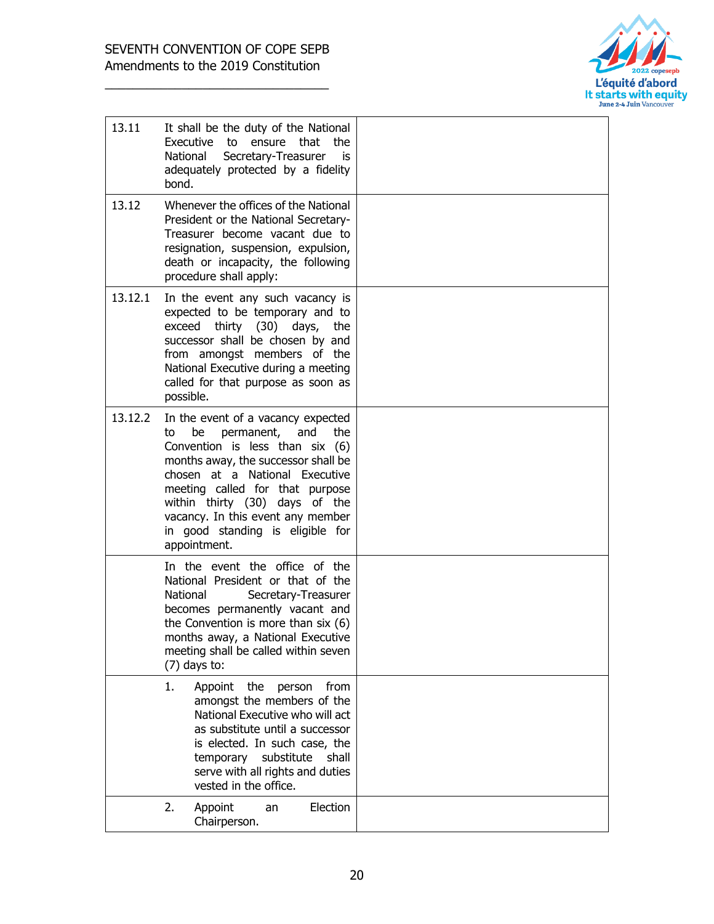

| 13.11   | It shall be the duty of the National<br>Executive to<br>ensure that<br>the<br>National<br>Secretary-Treasurer<br>is<br>adequately protected by a fidelity<br>bond.                                                                                                                                                                                   |  |
|---------|------------------------------------------------------------------------------------------------------------------------------------------------------------------------------------------------------------------------------------------------------------------------------------------------------------------------------------------------------|--|
| 13.12   | Whenever the offices of the National<br>President or the National Secretary-<br>Treasurer become vacant due to<br>resignation, suspension, expulsion,<br>death or incapacity, the following<br>procedure shall apply:                                                                                                                                |  |
| 13.12.1 | In the event any such vacancy is<br>expected to be temporary and to<br>thirty $(30)$<br>days,<br>exceed<br>the<br>successor shall be chosen by and<br>from amongst members of the<br>National Executive during a meeting<br>called for that purpose as soon as<br>possible.                                                                          |  |
| 13.12.2 | In the event of a vacancy expected<br>permanent,<br>be<br>and<br>the<br>to<br>Convention is less than six (6)<br>months away, the successor shall be<br>chosen at a National Executive<br>meeting called for that purpose<br>within thirty (30) days of the<br>vacancy. In this event any member<br>in good standing is eligible for<br>appointment. |  |
|         | In the event the office of the<br>National President or that of the<br>National<br>Secretary-Treasurer<br>becomes permanently vacant and<br>the Convention is more than $six(6)$<br>months away, a National Executive<br>meeting shall be called within seven<br>$(7)$ days to:                                                                      |  |
|         | 1.<br>Appoint the<br>person<br>from<br>amongst the members of the<br>National Executive who will act<br>as substitute until a successor<br>is elected. In such case, the<br>temporary substitute<br>shall<br>serve with all rights and duties<br>vested in the office.                                                                               |  |
|         | Election<br>2.<br>Appoint<br>an<br>Chairperson.                                                                                                                                                                                                                                                                                                      |  |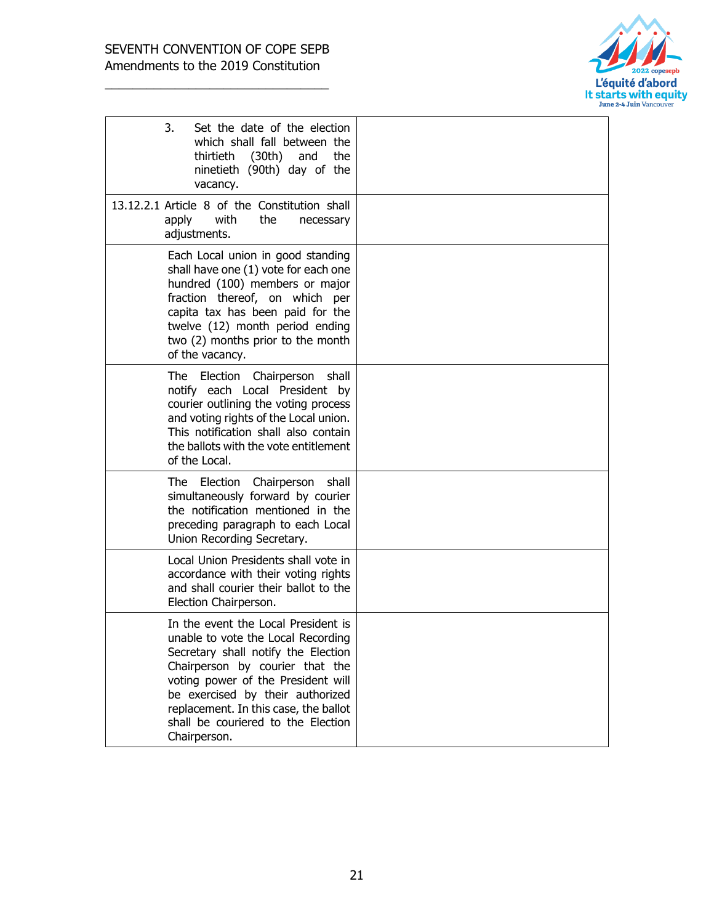

| 3.<br>Set the date of the election<br>which shall fall between the<br>thirtieth (30th) and<br>the<br>ninetieth (90th) day of the<br>vacancy.                                                                                                                                                                                 |  |
|------------------------------------------------------------------------------------------------------------------------------------------------------------------------------------------------------------------------------------------------------------------------------------------------------------------------------|--|
| 13.12.2.1 Article 8 of the Constitution shall<br>with<br>the<br>apply<br>necessary<br>adjustments.                                                                                                                                                                                                                           |  |
| Each Local union in good standing<br>shall have one (1) vote for each one<br>hundred (100) members or major<br>fraction thereof, on which per<br>capita tax has been paid for the<br>twelve (12) month period ending<br>two (2) months prior to the month<br>of the vacancy.                                                 |  |
| The l<br>Election<br>Chairperson shall<br>notify each Local President by<br>courier outlining the voting process<br>and voting rights of the Local union.<br>This notification shall also contain<br>the ballots with the vote entitlement<br>of the Local.                                                                  |  |
| Chairperson<br>The l<br>Election<br>shall<br>simultaneously forward by courier<br>the notification mentioned in the<br>preceding paragraph to each Local<br>Union Recording Secretary.                                                                                                                                       |  |
| Local Union Presidents shall vote in<br>accordance with their voting rights<br>and shall courier their ballot to the<br>Election Chairperson.                                                                                                                                                                                |  |
| In the event the Local President is<br>unable to vote the Local Recording<br>Secretary shall notify the Election<br>Chairperson by courier that the<br>voting power of the President will<br>be exercised by their authorized<br>replacement. In this case, the ballot<br>shall be couriered to the Election<br>Chairperson. |  |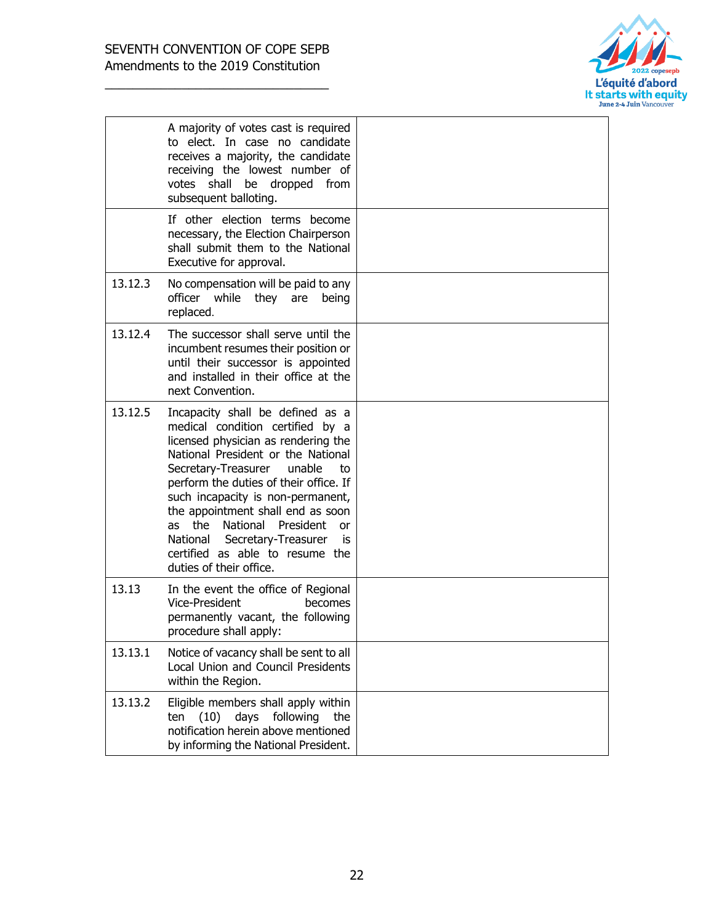

|         | A majority of votes cast is required<br>to elect. In case no candidate<br>receives a majority, the candidate<br>receiving the lowest number of<br>votes shall<br>be dropped<br>from<br>subsequent balloting.                                                                                                                                                                                                                                                    |  |
|---------|-----------------------------------------------------------------------------------------------------------------------------------------------------------------------------------------------------------------------------------------------------------------------------------------------------------------------------------------------------------------------------------------------------------------------------------------------------------------|--|
|         | If other election terms become<br>necessary, the Election Chairperson<br>shall submit them to the National<br>Executive for approval.                                                                                                                                                                                                                                                                                                                           |  |
| 13.12.3 | No compensation will be paid to any<br>officer while they are<br>being<br>replaced.                                                                                                                                                                                                                                                                                                                                                                             |  |
| 13.12.4 | The successor shall serve until the<br>incumbent resumes their position or<br>until their successor is appointed<br>and installed in their office at the<br>next Convention.                                                                                                                                                                                                                                                                                    |  |
| 13.12.5 | Incapacity shall be defined as a<br>medical condition certified by a<br>licensed physician as rendering the<br>National President or the National<br>Secretary-Treasurer<br>unable<br>to<br>perform the duties of their office. If<br>such incapacity is non-permanent,<br>the appointment shall end as soon<br>National<br>the<br>President<br>as<br>or<br>National<br>Secretary-Treasurer<br>is<br>certified as able to resume the<br>duties of their office. |  |
| 13.13   | In the event the office of Regional<br>Vice-President<br>becomes<br>permanently vacant, the following<br>procedure shall apply:                                                                                                                                                                                                                                                                                                                                 |  |
| 13.13.1 | Notice of vacancy shall be sent to all<br>Local Union and Council Presidents<br>within the Region.                                                                                                                                                                                                                                                                                                                                                              |  |
| 13.13.2 | Eligible members shall apply within<br>following<br>(10)<br>days<br>the<br>ten<br>notification herein above mentioned<br>by informing the National President.                                                                                                                                                                                                                                                                                                   |  |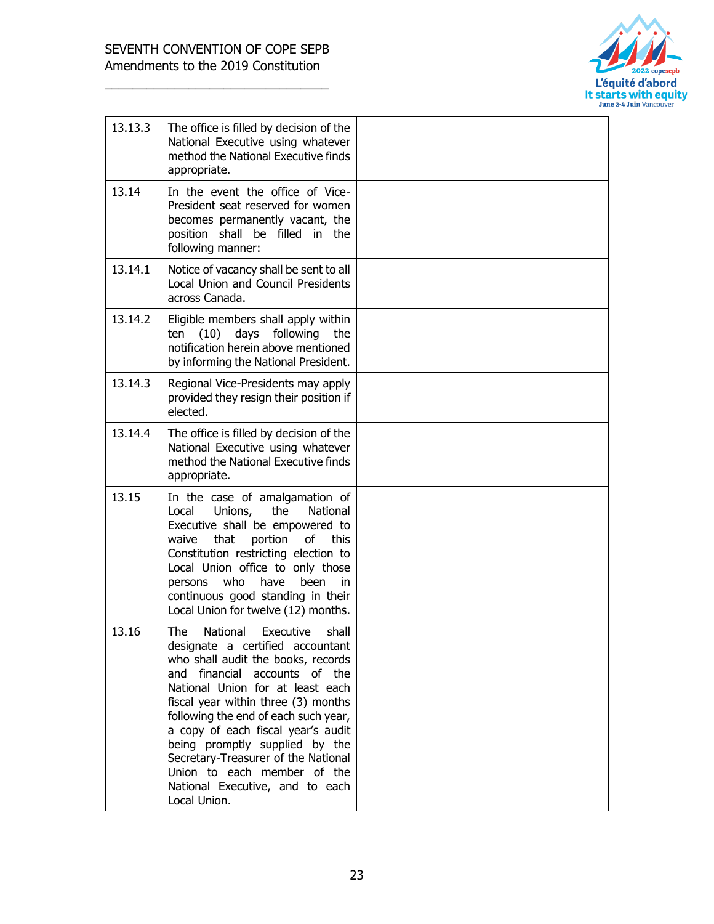

| 13.13.3 | The office is filled by decision of the<br>National Executive using whatever<br>method the National Executive finds<br>appropriate.                                                                                                                                                                                                                                                                                                                                         |  |
|---------|-----------------------------------------------------------------------------------------------------------------------------------------------------------------------------------------------------------------------------------------------------------------------------------------------------------------------------------------------------------------------------------------------------------------------------------------------------------------------------|--|
| 13.14   | In the event the office of Vice-<br>President seat reserved for women<br>becomes permanently vacant, the<br>position shall be filled in the<br>following manner:                                                                                                                                                                                                                                                                                                            |  |
| 13.14.1 | Notice of vacancy shall be sent to all<br>Local Union and Council Presidents<br>across Canada.                                                                                                                                                                                                                                                                                                                                                                              |  |
| 13.14.2 | Eligible members shall apply within<br>days following<br>(10)<br>ten<br>the<br>notification herein above mentioned<br>by informing the National President.                                                                                                                                                                                                                                                                                                                  |  |
| 13.14.3 | Regional Vice-Presidents may apply<br>provided they resign their position if<br>elected.                                                                                                                                                                                                                                                                                                                                                                                    |  |
| 13.14.4 | The office is filled by decision of the<br>National Executive using whatever<br>method the National Executive finds<br>appropriate.                                                                                                                                                                                                                                                                                                                                         |  |
| 13.15   | In the case of amalgamation of<br>Local<br>Unions,<br>the<br>National<br>Executive shall be empowered to<br>waive<br>that<br>portion<br>of<br>this<br>Constitution restricting election to<br>Local Union office to only those<br>who<br>have<br>been<br>persons<br>in.<br>continuous good standing in their<br>Local Union for twelve (12) months.                                                                                                                         |  |
| 13.16   | <b>The</b><br>National<br>Executive<br>shall<br>designate a certified accountant<br>who shall audit the books, records<br>and financial accounts of the<br>National Union for at least each<br>fiscal year within three (3) months<br>following the end of each such year,<br>a copy of each fiscal year's audit<br>being promptly supplied by the<br>Secretary-Treasurer of the National<br>Union to each member of the<br>National Executive, and to each<br>Local Union. |  |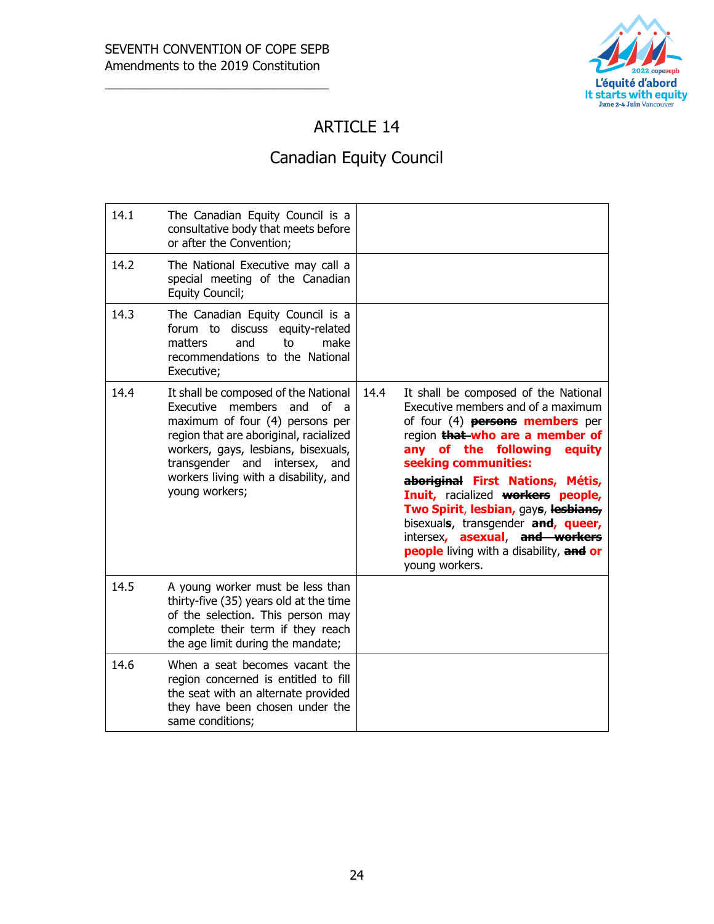

## ARTICLE 14

# Canadian Equity Council

| 14.1 | The Canadian Equity Council is a<br>consultative body that meets before<br>or after the Convention;                                                                                                                                                                                            |      |                                                                                                                                                                                                                                                                                                                                                                                                                                                                                |
|------|------------------------------------------------------------------------------------------------------------------------------------------------------------------------------------------------------------------------------------------------------------------------------------------------|------|--------------------------------------------------------------------------------------------------------------------------------------------------------------------------------------------------------------------------------------------------------------------------------------------------------------------------------------------------------------------------------------------------------------------------------------------------------------------------------|
| 14.2 | The National Executive may call a<br>special meeting of the Canadian<br>Equity Council;                                                                                                                                                                                                        |      |                                                                                                                                                                                                                                                                                                                                                                                                                                                                                |
| 14.3 | The Canadian Equity Council is a<br>forum to<br>discuss equity-related<br>matters<br>make<br>and<br>t٥<br>recommendations to the National<br>Executive;                                                                                                                                        |      |                                                                                                                                                                                                                                                                                                                                                                                                                                                                                |
| 14.4 | It shall be composed of the National<br>members<br>Executive<br>and of a<br>maximum of four (4) persons per<br>region that are aboriginal, racialized<br>workers, gays, lesbians, bisexuals,<br>transgender and<br>intersex,<br>and<br>workers living with a disability, and<br>young workers; | 14.4 | It shall be composed of the National<br>Executive members and of a maximum<br>of four (4) <b>persons members</b> per<br>region that who are a member of<br>any of the following<br>equity<br>seeking communities:<br>aboriginal First Nations, Métis,<br>Inuit, racialized workers people,<br>Two Spirit, lesbian, gays, lesbians,<br>bisexuals, transgender and, queer,<br>intersex, asexual, and workers<br><b>people</b> living with a disability, and or<br>young workers. |
| 14.5 | A young worker must be less than<br>thirty-five (35) years old at the time<br>of the selection. This person may<br>complete their term if they reach<br>the age limit during the mandate;                                                                                                      |      |                                                                                                                                                                                                                                                                                                                                                                                                                                                                                |
| 14.6 | When a seat becomes vacant the<br>region concerned is entitled to fill<br>the seat with an alternate provided<br>they have been chosen under the<br>same conditions;                                                                                                                           |      |                                                                                                                                                                                                                                                                                                                                                                                                                                                                                |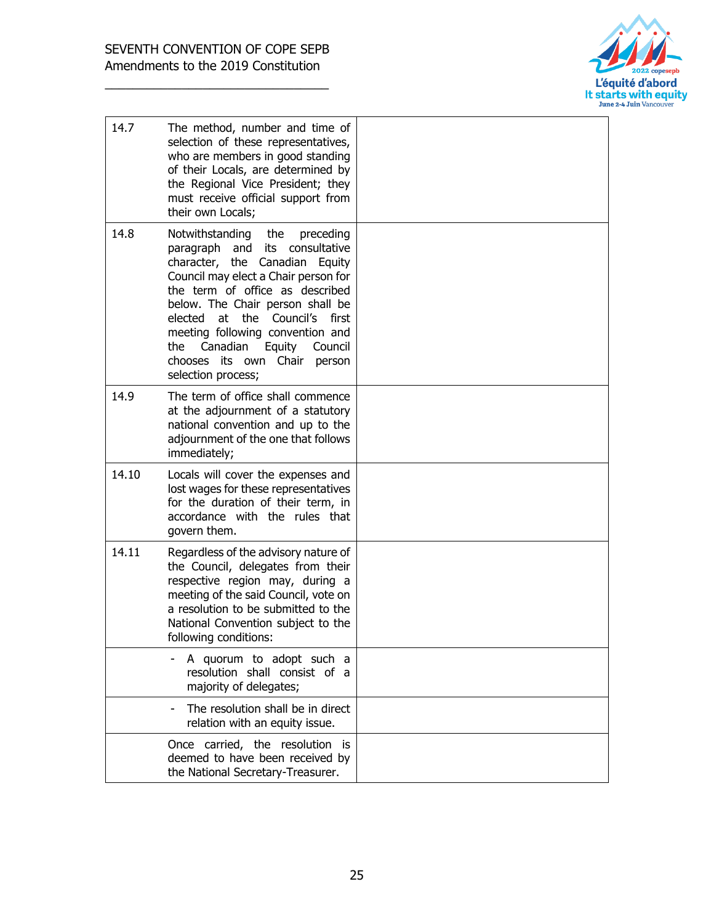

| 14.7  | The method, number and time of<br>selection of these representatives,<br>who are members in good standing<br>of their Locals, are determined by<br>the Regional Vice President; they<br>must receive official support from<br>their own Locals;                                                                                                                                                              |  |
|-------|--------------------------------------------------------------------------------------------------------------------------------------------------------------------------------------------------------------------------------------------------------------------------------------------------------------------------------------------------------------------------------------------------------------|--|
| 14.8  | Notwithstanding<br>the<br>preceding<br>paragraph and its consultative<br>character, the Canadian Equity<br>Council may elect a Chair person for<br>the term of office as described<br>below. The Chair person shall be<br>at<br>the<br>elected<br>Council's<br>first<br>meeting following convention and<br>Canadian<br>the<br>Equity<br>Council<br>chooses its own<br>Chair<br>person<br>selection process; |  |
| 14.9  | The term of office shall commence<br>at the adjournment of a statutory<br>national convention and up to the<br>adjournment of the one that follows<br>immediately;                                                                                                                                                                                                                                           |  |
| 14.10 | Locals will cover the expenses and<br>lost wages for these representatives<br>for the duration of their term, in<br>accordance with the rules that<br>govern them.                                                                                                                                                                                                                                           |  |
| 14.11 | Regardless of the advisory nature of<br>the Council, delegates from their<br>respective region may, during a<br>meeting of the said Council, vote on<br>a resolution to be submitted to the<br>National Convention subject to the<br>following conditions:                                                                                                                                                   |  |
|       | A quorum to adopt such a<br>resolution shall consist of a<br>majority of delegates;                                                                                                                                                                                                                                                                                                                          |  |
|       | The resolution shall be in direct<br>relation with an equity issue.                                                                                                                                                                                                                                                                                                                                          |  |
|       | Once carried, the resolution is<br>deemed to have been received by<br>the National Secretary-Treasurer.                                                                                                                                                                                                                                                                                                      |  |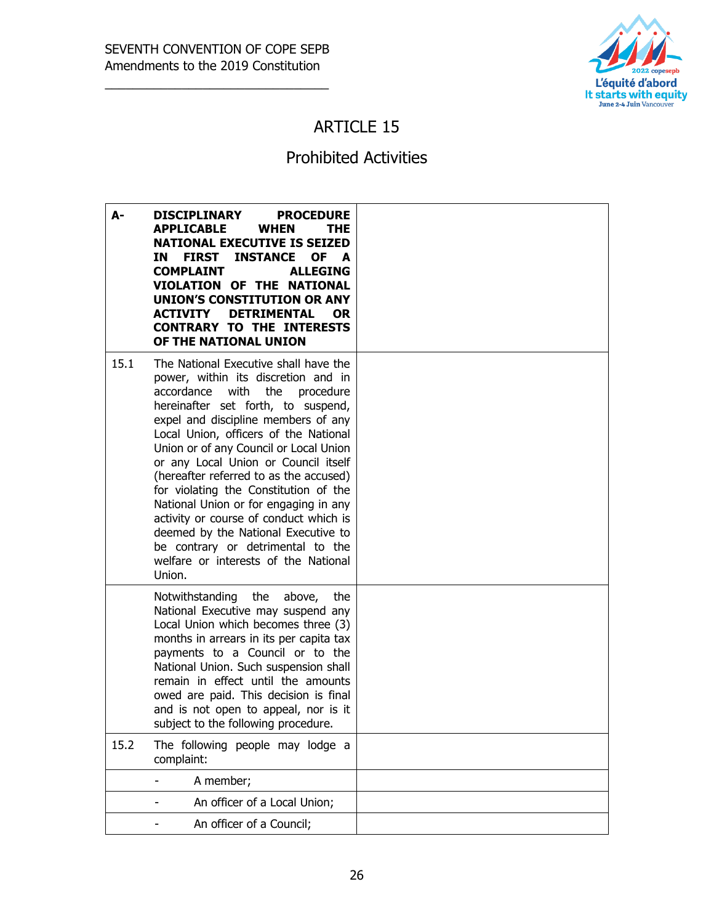

#### ARTICLE 15

## Prohibited Activities

| А-   | <b>DISCIPLINARY</b><br><b>PROCEDURE</b><br><b>APPLICABLE</b><br><b>WHEN</b><br>THE.<br><b>NATIONAL EXECUTIVE IS SEIZED</b><br><b>FIRST INSTANCE</b><br>ΙN<br><b>OF</b><br>A<br><b>COMPLAINT</b><br><b>ALLEGING</b><br>VIOLATION OF THE NATIONAL<br>UNION'S CONSTITUTION OR ANY<br><b>DETRIMENTAL</b><br><b>ACTIVITY</b><br><b>OR</b><br><b>CONTRARY TO THE INTERESTS</b><br>OF THE NATIONAL UNION                                                                                                                                                                                                                            |  |
|------|------------------------------------------------------------------------------------------------------------------------------------------------------------------------------------------------------------------------------------------------------------------------------------------------------------------------------------------------------------------------------------------------------------------------------------------------------------------------------------------------------------------------------------------------------------------------------------------------------------------------------|--|
| 15.1 | The National Executive shall have the<br>power, within its discretion and in<br>accordance with the<br>procedure<br>hereinafter set forth, to suspend,<br>expel and discipline members of any<br>Local Union, officers of the National<br>Union or of any Council or Local Union<br>or any Local Union or Council itself<br>(hereafter referred to as the accused)<br>for violating the Constitution of the<br>National Union or for engaging in any<br>activity or course of conduct which is<br>deemed by the National Executive to<br>be contrary or detrimental to the<br>welfare or interests of the National<br>Union. |  |
|      | Notwithstanding the<br>above,<br>the<br>National Executive may suspend any<br>Local Union which becomes three (3)<br>months in arrears in its per capita tax<br>payments to a Council or to the<br>National Union. Such suspension shall<br>remain in effect until the amounts<br>owed are paid. This decision is final<br>and is not open to appeal, nor is it<br>subject to the following procedure.                                                                                                                                                                                                                       |  |
| 15.2 | The following people may lodge a<br>complaint:                                                                                                                                                                                                                                                                                                                                                                                                                                                                                                                                                                               |  |
|      | A member;                                                                                                                                                                                                                                                                                                                                                                                                                                                                                                                                                                                                                    |  |
|      | An officer of a Local Union;                                                                                                                                                                                                                                                                                                                                                                                                                                                                                                                                                                                                 |  |
|      | An officer of a Council;                                                                                                                                                                                                                                                                                                                                                                                                                                                                                                                                                                                                     |  |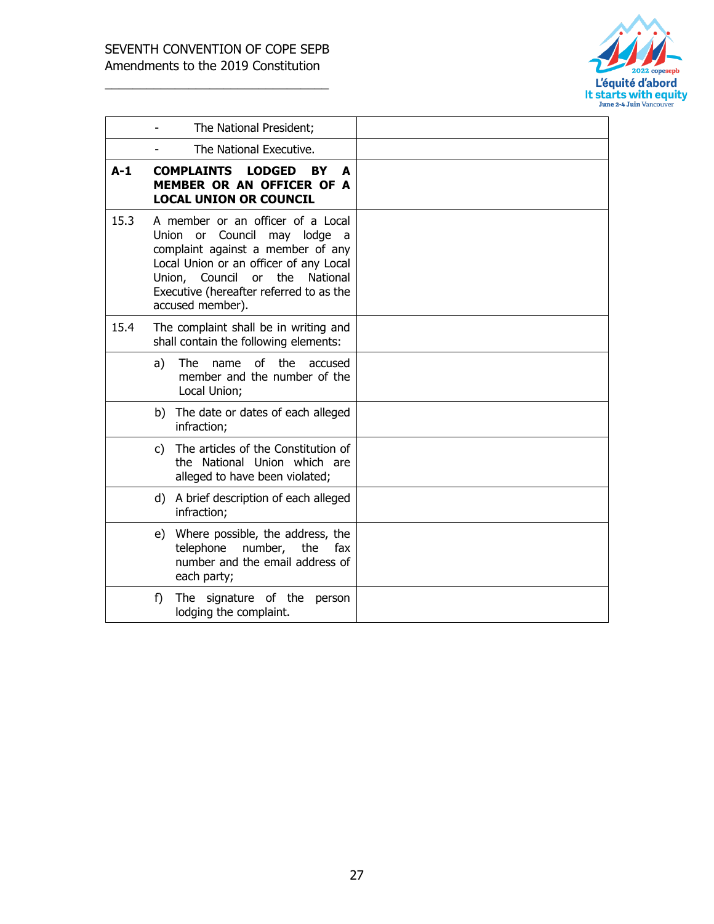

|       | The National President;                                                                                                                                                                                                                                       |
|-------|---------------------------------------------------------------------------------------------------------------------------------------------------------------------------------------------------------------------------------------------------------------|
|       | The National Executive.                                                                                                                                                                                                                                       |
| $A-1$ | <b>COMPLAINTS</b><br><b>LODGED</b><br><b>BY</b><br>A<br>MEMBER OR AN OFFICER OF A<br><b>LOCAL UNION OR COUNCIL</b>                                                                                                                                            |
| 15.3  | A member or an officer of a Local<br>Union or Council may lodge a<br>complaint against a member of any<br>Local Union or an officer of any Local<br>the<br>Union,<br>Council<br>or<br>National<br>Executive (hereafter referred to as the<br>accused member). |
| 15.4  | The complaint shall be in writing and<br>shall contain the following elements:                                                                                                                                                                                |
|       | the<br>The<br>of<br>a)<br>name<br>accused<br>member and the number of the<br>Local Union;                                                                                                                                                                     |
|       | b) The date or dates of each alleged<br>infraction;                                                                                                                                                                                                           |
|       | The articles of the Constitution of<br>C)<br>the National Union which are<br>alleged to have been violated;                                                                                                                                                   |
|       | A brief description of each alleged<br>d)<br>infraction;                                                                                                                                                                                                      |
|       | e) Where possible, the address, the<br>telephone<br>number,<br>the<br>fax<br>number and the email address of<br>each party;                                                                                                                                   |
|       | signature of the<br>f)<br>The<br>person<br>lodging the complaint.                                                                                                                                                                                             |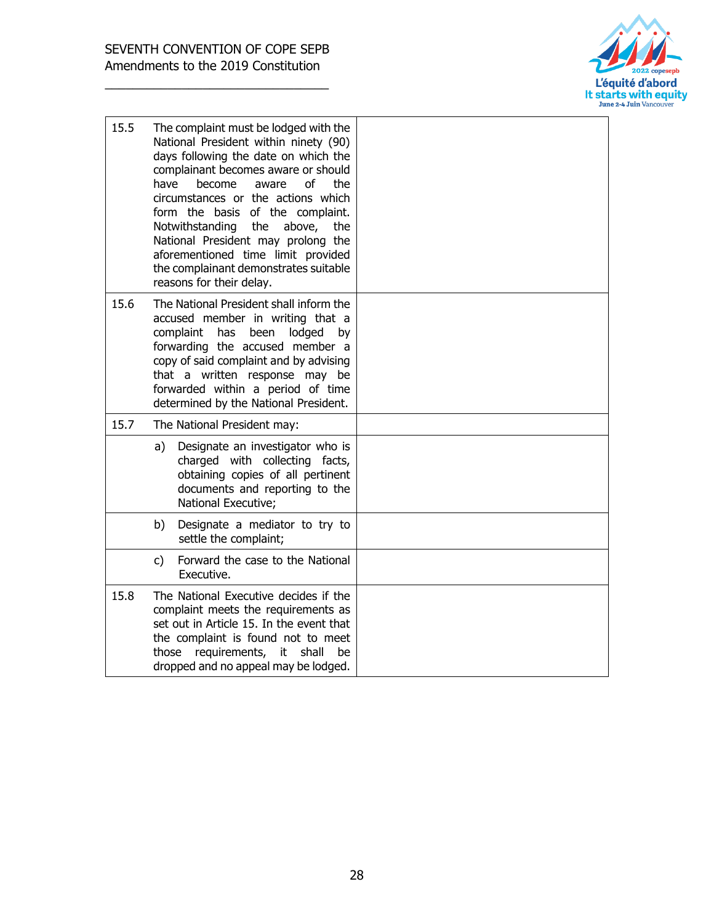

| 15.5 | The complaint must be lodged with the<br>National President within ninety (90)<br>days following the date on which the<br>complainant becomes aware or should<br>of<br>have<br>become<br>the<br>aware<br>circumstances or the actions which<br>form the basis of the complaint.<br>Notwithstanding<br>above,<br>the<br>the<br>National President may prolong the<br>aforementioned time limit provided<br>the complainant demonstrates suitable<br>reasons for their delay. |  |
|------|-----------------------------------------------------------------------------------------------------------------------------------------------------------------------------------------------------------------------------------------------------------------------------------------------------------------------------------------------------------------------------------------------------------------------------------------------------------------------------|--|
| 15.6 | The National President shall inform the<br>accused member in writing that a<br>complaint<br>has<br>been<br>lodged<br>by<br>forwarding the accused member a<br>copy of said complaint and by advising<br>that a written response may be<br>forwarded within a period of time<br>determined by the National President.                                                                                                                                                        |  |
| 15.7 | The National President may:                                                                                                                                                                                                                                                                                                                                                                                                                                                 |  |
|      | Designate an investigator who is<br>a)<br>charged with collecting facts,<br>obtaining copies of all pertinent<br>documents and reporting to the<br>National Executive;                                                                                                                                                                                                                                                                                                      |  |
|      | Designate a mediator to try to<br>b)<br>settle the complaint;                                                                                                                                                                                                                                                                                                                                                                                                               |  |
|      | Forward the case to the National<br>c)<br>Executive.                                                                                                                                                                                                                                                                                                                                                                                                                        |  |
| 15.8 | The National Executive decides if the<br>complaint meets the requirements as<br>set out in Article 15. In the event that<br>the complaint is found not to meet<br>requirements,<br>shall<br>those<br>it<br>be<br>dropped and no appeal may be lodged.                                                                                                                                                                                                                       |  |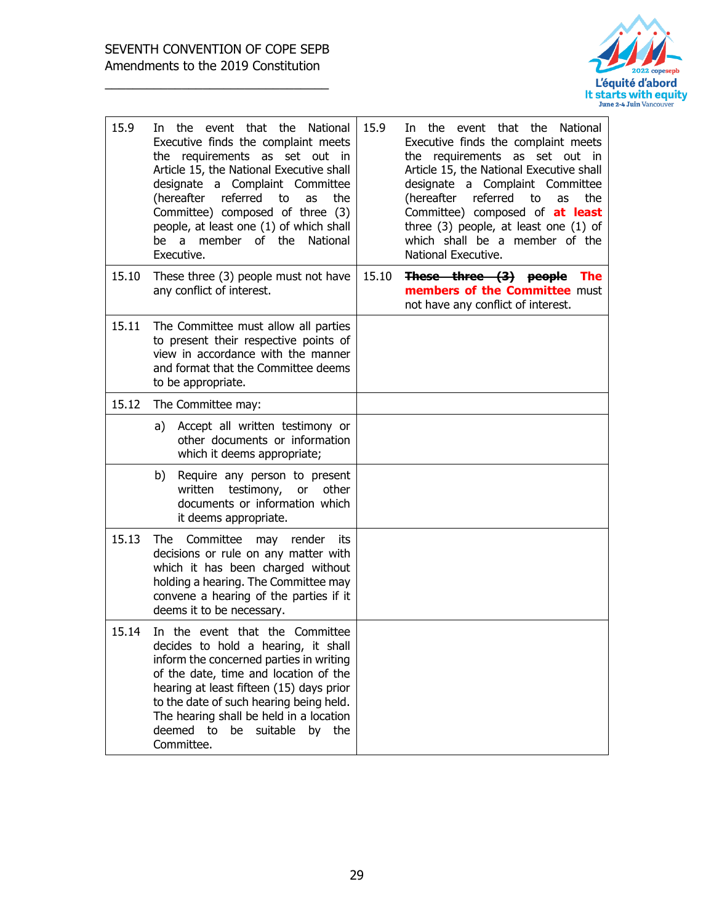

| 15.9  | In the event that the National<br>Executive finds the complaint meets<br>the requirements as set out in<br>Article 15, the National Executive shall<br>designate a Complaint Committee<br>(hereafter referred<br>to<br>the<br>as<br>Committee) composed of three (3)<br>people, at least one (1) of which shall<br>be a member of the National<br>Executive. | 15.9  | In the event that the National<br>Executive finds the complaint meets<br>the requirements as set out in<br>Article 15, the National Executive shall<br>designate a Complaint Committee<br>referred<br>to<br>(hereafter<br>the<br>as<br>Committee) composed of at least<br>three $(3)$ people, at least one $(1)$ of<br>which shall be a member of the<br>National Executive. |
|-------|--------------------------------------------------------------------------------------------------------------------------------------------------------------------------------------------------------------------------------------------------------------------------------------------------------------------------------------------------------------|-------|------------------------------------------------------------------------------------------------------------------------------------------------------------------------------------------------------------------------------------------------------------------------------------------------------------------------------------------------------------------------------|
| 15.10 | These three (3) people must not have<br>any conflict of interest.                                                                                                                                                                                                                                                                                            | 15.10 | These three (3) people The<br>members of the Committee must<br>not have any conflict of interest.                                                                                                                                                                                                                                                                            |
| 15.11 | The Committee must allow all parties<br>to present their respective points of<br>view in accordance with the manner<br>and format that the Committee deems<br>to be appropriate.                                                                                                                                                                             |       |                                                                                                                                                                                                                                                                                                                                                                              |
| 15.12 | The Committee may:                                                                                                                                                                                                                                                                                                                                           |       |                                                                                                                                                                                                                                                                                                                                                                              |
|       | Accept all written testimony or<br>a)<br>other documents or information<br>which it deems appropriate;                                                                                                                                                                                                                                                       |       |                                                                                                                                                                                                                                                                                                                                                                              |
|       | Require any person to present<br>b)<br>testimony,<br>written<br>or<br>other<br>documents or information which<br>it deems appropriate.                                                                                                                                                                                                                       |       |                                                                                                                                                                                                                                                                                                                                                                              |
| 15.13 | The Committee<br>may render<br>its<br>decisions or rule on any matter with<br>which it has been charged without<br>holding a hearing. The Committee may<br>convene a hearing of the parties if it<br>deems it to be necessary.                                                                                                                               |       |                                                                                                                                                                                                                                                                                                                                                                              |
| 15.14 | In the event that the Committee<br>decides to hold a hearing, it shall<br>inform the concerned parties in writing<br>of the date, time and location of the<br>hearing at least fifteen (15) days prior<br>to the date of such hearing being held.<br>The hearing shall be held in a location<br>deemed to be suitable by the<br>Committee.                   |       |                                                                                                                                                                                                                                                                                                                                                                              |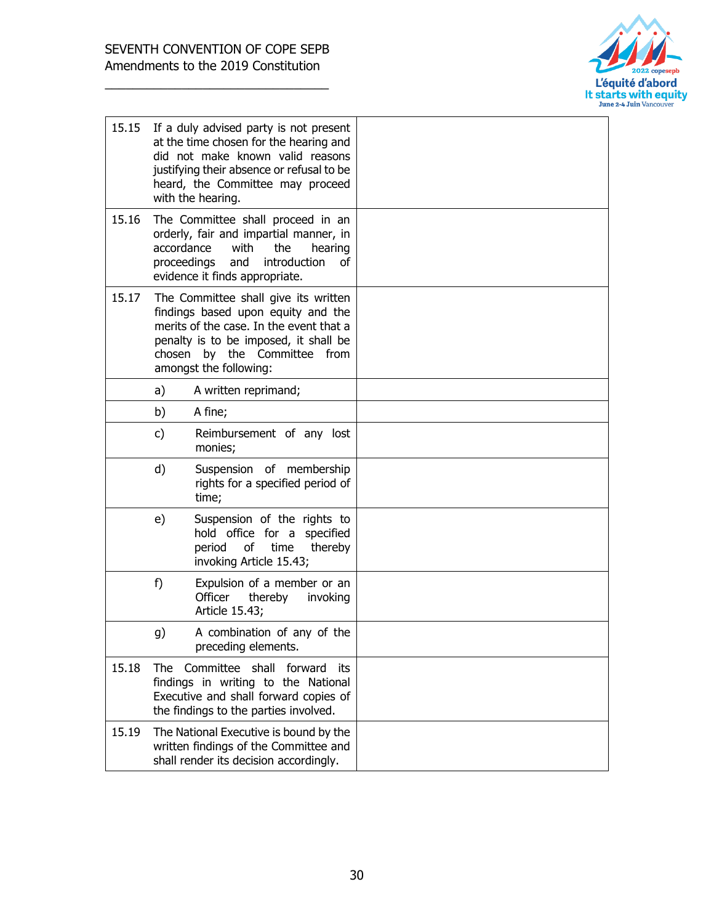

| 15.15 |                           | If a duly advised party is not present<br>at the time chosen for the hearing and<br>did not make known valid reasons<br>justifying their absence or refusal to be<br>heard, the Committee may proceed<br>with the hearing. |  |
|-------|---------------------------|----------------------------------------------------------------------------------------------------------------------------------------------------------------------------------------------------------------------------|--|
| 15.16 | accordance<br>proceedings | The Committee shall proceed in an<br>orderly, fair and impartial manner, in<br>with<br>the<br>hearing<br>introduction<br>and<br>οf<br>evidence it finds appropriate.                                                       |  |
| 15.17 | chosen                    | The Committee shall give its written<br>findings based upon equity and the<br>merits of the case. In the event that a<br>penalty is to be imposed, it shall be<br>by the Committee<br>from<br>amongst the following:       |  |
|       | a)                        | A written reprimand;                                                                                                                                                                                                       |  |
|       | b)                        | A fine;                                                                                                                                                                                                                    |  |
|       | c)                        | Reimbursement of any lost<br>monies;                                                                                                                                                                                       |  |
|       | d)                        | Suspension of membership<br>rights for a specified period of<br>time;                                                                                                                                                      |  |
|       | e)                        | Suspension of the rights to<br>hold office for a<br>specified<br>of<br>thereby<br>period<br>time<br>invoking Article 15.43;                                                                                                |  |
|       | f)                        | Expulsion of a member or an<br>Officer<br>thereby<br>invoking<br>Article 15.43;                                                                                                                                            |  |
|       | g)                        | A combination of any of the<br>preceding elements.                                                                                                                                                                         |  |
| 15.18 |                           | The Committee shall forward<br>its<br>findings in writing to the National<br>Executive and shall forward copies of<br>the findings to the parties involved.                                                                |  |
| 15.19 |                           | The National Executive is bound by the<br>written findings of the Committee and<br>shall render its decision accordingly.                                                                                                  |  |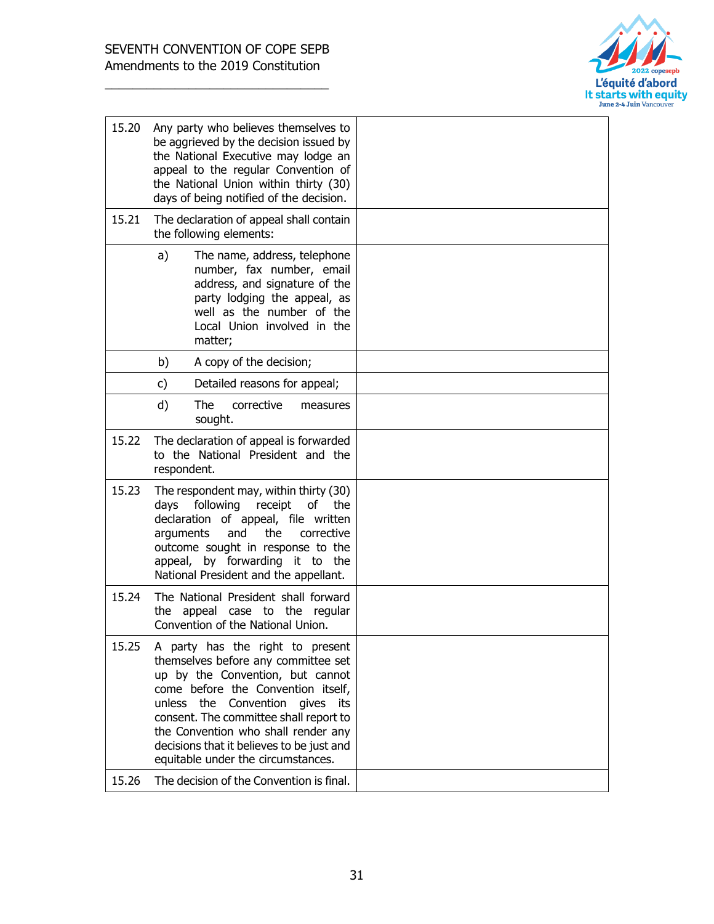

| 15.20 | Any party who believes themselves to<br>be aggrieved by the decision issued by<br>the National Executive may lodge an<br>appeal to the regular Convention of<br>the National Union within thirty (30)<br>days of being notified of the decision.                                                                                                            |  |
|-------|-------------------------------------------------------------------------------------------------------------------------------------------------------------------------------------------------------------------------------------------------------------------------------------------------------------------------------------------------------------|--|
| 15.21 | The declaration of appeal shall contain<br>the following elements:                                                                                                                                                                                                                                                                                          |  |
|       | a)<br>The name, address, telephone<br>number, fax number, email<br>address, and signature of the<br>party lodging the appeal, as<br>well as the number of the<br>Local Union involved in the<br>matter;                                                                                                                                                     |  |
|       | b)<br>A copy of the decision;                                                                                                                                                                                                                                                                                                                               |  |
|       | Detailed reasons for appeal;<br>c)                                                                                                                                                                                                                                                                                                                          |  |
|       | d)<br><b>The</b><br>corrective<br>measures<br>sought.                                                                                                                                                                                                                                                                                                       |  |
| 15.22 | The declaration of appeal is forwarded<br>to the National President and the<br>respondent.                                                                                                                                                                                                                                                                  |  |
| 15.23 | The respondent may, within thirty (30)<br>following<br>receipt<br>days<br>of the<br>declaration of appeal, file written<br>and<br>the<br>arguments<br>corrective<br>outcome sought in response to the<br>appeal, by forwarding it to the<br>National President and the appellant.                                                                           |  |
| 15.24 | The National President shall forward<br>appeal case to the regular<br>the<br>Convention of the National Union.                                                                                                                                                                                                                                              |  |
| 15.25 | A party has the right to present<br>themselves before any committee set<br>up by the Convention, but cannot<br>come before the Convention itself,<br>unless the Convention gives<br>its<br>consent. The committee shall report to<br>the Convention who shall render any<br>decisions that it believes to be just and<br>equitable under the circumstances. |  |
| 15.26 | The decision of the Convention is final.                                                                                                                                                                                                                                                                                                                    |  |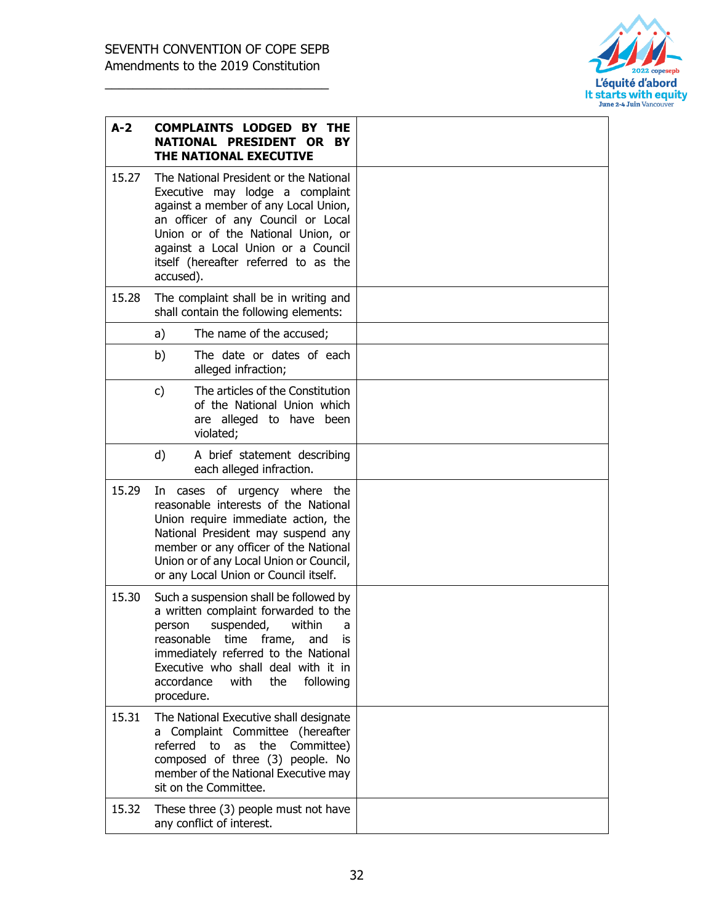

| $A-2$ | <b>COMPLAINTS LODGED BY THE</b><br>NATIONAL PRESIDENT OR BY<br>THE NATIONAL EXECUTIVE                                                                                                                                                                                                         |  |
|-------|-----------------------------------------------------------------------------------------------------------------------------------------------------------------------------------------------------------------------------------------------------------------------------------------------|--|
| 15.27 | The National President or the National<br>Executive may lodge a complaint<br>against a member of any Local Union,<br>an officer of any Council or Local<br>Union or of the National Union, or<br>against a Local Union or a Council<br>itself (hereafter referred to as the<br>accused).      |  |
| 15.28 | The complaint shall be in writing and<br>shall contain the following elements:                                                                                                                                                                                                                |  |
|       | The name of the accused;<br>a)                                                                                                                                                                                                                                                                |  |
|       | The date or dates of each<br>b)<br>alleged infraction;                                                                                                                                                                                                                                        |  |
|       | The articles of the Constitution<br>c)<br>of the National Union which<br>are alleged to have been<br>violated;                                                                                                                                                                                |  |
|       | d)<br>A brief statement describing<br>each alleged infraction.                                                                                                                                                                                                                                |  |
| 15.29 | In cases of urgency where the<br>reasonable interests of the National<br>Union require immediate action, the<br>National President may suspend any<br>member or any officer of the National<br>Union or of any Local Union or Council,<br>or any Local Union or Council itself.               |  |
| 15.30 | Such a suspension shall be followed by<br>a written complaint forwarded to the<br>within<br>suspended,<br>person<br>a<br>reasonable time frame, and is<br>immediately referred to the National<br>Executive who shall deal with it in<br>accordance<br>with<br>the<br>following<br>procedure. |  |
| 15.31 | The National Executive shall designate<br>a Complaint Committee (hereafter<br>referred to<br>the<br>as<br>Committee)<br>composed of three (3) people. No<br>member of the National Executive may<br>sit on the Committee.                                                                     |  |
| 15.32 | These three (3) people must not have<br>any conflict of interest.                                                                                                                                                                                                                             |  |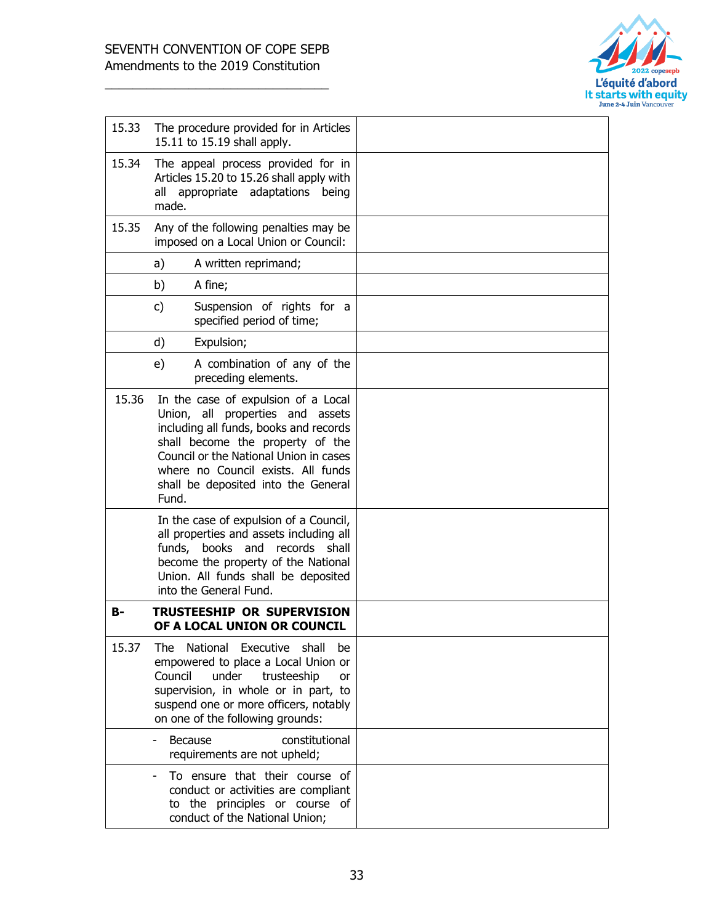

| 15.33 | The procedure provided for in Articles<br>15.11 to 15.19 shall apply.                                                                                                                                                                                                                 |  |
|-------|---------------------------------------------------------------------------------------------------------------------------------------------------------------------------------------------------------------------------------------------------------------------------------------|--|
| 15.34 | The appeal process provided for in<br>Articles 15.20 to 15.26 shall apply with<br>all appropriate adaptations<br>being<br>made.                                                                                                                                                       |  |
| 15.35 | Any of the following penalties may be<br>imposed on a Local Union or Council:                                                                                                                                                                                                         |  |
|       | a)<br>A written reprimand;                                                                                                                                                                                                                                                            |  |
|       | A fine;<br>b)                                                                                                                                                                                                                                                                         |  |
|       | c)<br>Suspension of rights for a<br>specified period of time;                                                                                                                                                                                                                         |  |
|       | d)<br>Expulsion;                                                                                                                                                                                                                                                                      |  |
|       | e)<br>A combination of any of the<br>preceding elements.                                                                                                                                                                                                                              |  |
| 15.36 | In the case of expulsion of a Local<br>Union, all properties and assets<br>including all funds, books and records<br>shall become the property of the<br>Council or the National Union in cases<br>where no Council exists. All funds<br>shall be deposited into the General<br>Fund. |  |
|       | In the case of expulsion of a Council,<br>all properties and assets including all<br>funds, books and records shall<br>become the property of the National<br>Union. All funds shall be deposited<br>into the General Fund.                                                           |  |
| в-    | <b>TRUSTEESHIP OR SUPERVISION</b><br>OF A LOCAL UNION OR COUNCIL                                                                                                                                                                                                                      |  |
| 15.37 | National Executive<br>shall<br>The<br>be<br>empowered to place a Local Union or<br>Council<br>under<br>trusteeship<br>or<br>supervision, in whole or in part, to<br>suspend one or more officers, notably<br>on one of the following grounds:                                         |  |
|       | Because<br>constitutional<br>requirements are not upheld;                                                                                                                                                                                                                             |  |
|       | To ensure that their course of<br>conduct or activities are compliant<br>to the principles or course of<br>conduct of the National Union;                                                                                                                                             |  |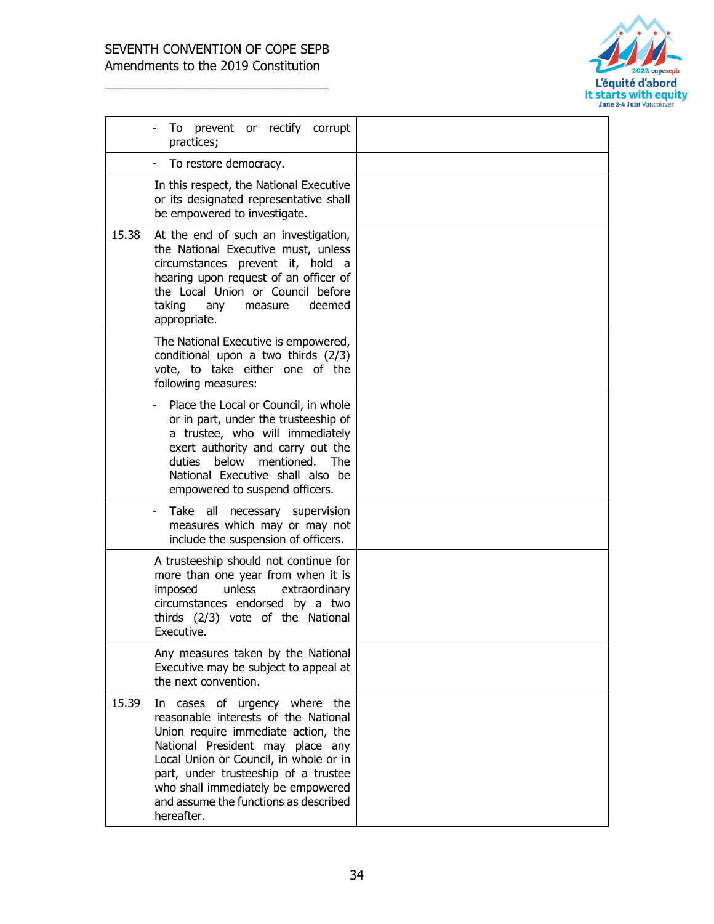

|       | To prevent or rectify corrupt<br>practices;                                                                                                                                                                                                                                                                                     |  |
|-------|---------------------------------------------------------------------------------------------------------------------------------------------------------------------------------------------------------------------------------------------------------------------------------------------------------------------------------|--|
|       | To restore democracy.                                                                                                                                                                                                                                                                                                           |  |
|       | In this respect, the National Executive<br>or its designated representative shall<br>be empowered to investigate.                                                                                                                                                                                                               |  |
| 15.38 | At the end of such an investigation,<br>the National Executive must, unless<br>circumstances prevent it, hold a<br>hearing upon request of an officer of<br>the Local Union or Council before<br>taking<br>deemed<br>any<br>measure<br>appropriate.                                                                             |  |
|       | The National Executive is empowered,<br>conditional upon a two thirds (2/3)<br>vote, to take either one of the<br>following measures:                                                                                                                                                                                           |  |
|       | Place the Local or Council, in whole<br>or in part, under the trusteeship of<br>a trustee, who will immediately<br>exert authority and carry out the<br>duties below<br>mentioned. The<br>National Executive shall also be<br>empowered to suspend officers.                                                                    |  |
|       | Take all necessary supervision<br>measures which may or may not<br>include the suspension of officers.                                                                                                                                                                                                                          |  |
|       | A trusteeship should not continue for<br>more than one year from when it is<br>imposed<br>unless<br>extraordinary<br>circumstances endorsed by a two<br>thirds (2/3) vote of the National<br>Executive.                                                                                                                         |  |
|       | Any measures taken by the National<br>Executive may be subject to appeal at<br>the next convention.                                                                                                                                                                                                                             |  |
| 15.39 | In cases of urgency where the<br>reasonable interests of the National<br>Union require immediate action, the<br>National President may place any<br>Local Union or Council, in whole or in<br>part, under trusteeship of a trustee<br>who shall immediately be empowered<br>and assume the functions as described<br>hereafter. |  |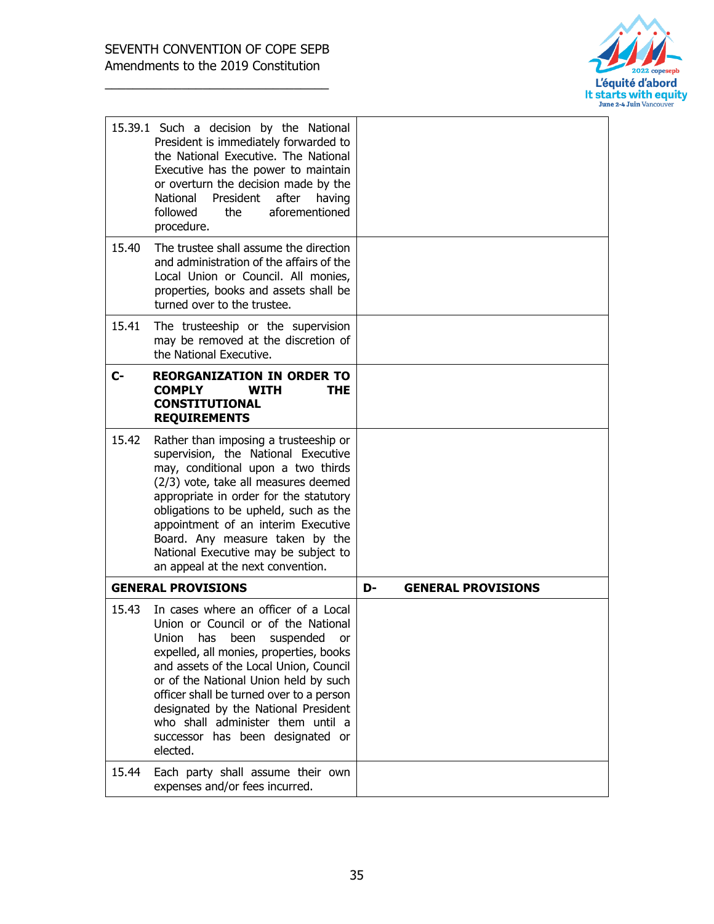

|       | 15.39.1 Such a decision by the National<br>President is immediately forwarded to<br>the National Executive. The National<br>Executive has the power to maintain<br>or overturn the decision made by the<br>National<br>President<br>after<br>having<br>followed<br>the<br>aforementioned<br>procedure.                                                                                                                     |    |                           |
|-------|----------------------------------------------------------------------------------------------------------------------------------------------------------------------------------------------------------------------------------------------------------------------------------------------------------------------------------------------------------------------------------------------------------------------------|----|---------------------------|
| 15.40 | The trustee shall assume the direction<br>and administration of the affairs of the<br>Local Union or Council. All monies,<br>properties, books and assets shall be<br>turned over to the trustee.                                                                                                                                                                                                                          |    |                           |
| 15.41 | The trusteeship or the supervision<br>may be removed at the discretion of<br>the National Executive.                                                                                                                                                                                                                                                                                                                       |    |                           |
| $C-$  | <b>REORGANIZATION IN ORDER TO</b><br><b>COMPLY</b><br><b>WITH</b><br><b>THE</b><br><b>CONSTITUTIONAL</b><br><b>REQUIREMENTS</b>                                                                                                                                                                                                                                                                                            |    |                           |
| 15.42 | Rather than imposing a trusteeship or<br>supervision, the National Executive<br>may, conditional upon a two thirds<br>(2/3) vote, take all measures deemed<br>appropriate in order for the statutory<br>obligations to be upheld, such as the<br>appointment of an interim Executive<br>Board. Any measure taken by the<br>National Executive may be subject to<br>an appeal at the next convention.                       |    |                           |
|       | <b>GENERAL PROVISIONS</b>                                                                                                                                                                                                                                                                                                                                                                                                  | D- | <b>GENERAL PROVISIONS</b> |
| 15.43 | In cases where an officer of a Local<br>Union or Council or of the National<br>Union<br>been suspended<br>has<br>or<br>expelled, all monies, properties, books<br>and assets of the Local Union, Council<br>or of the National Union held by such<br>officer shall be turned over to a person<br>designated by the National President<br>who shall administer them until a<br>successor has been designated or<br>elected. |    |                           |
| 15.44 | Each party shall assume their own<br>expenses and/or fees incurred.                                                                                                                                                                                                                                                                                                                                                        |    |                           |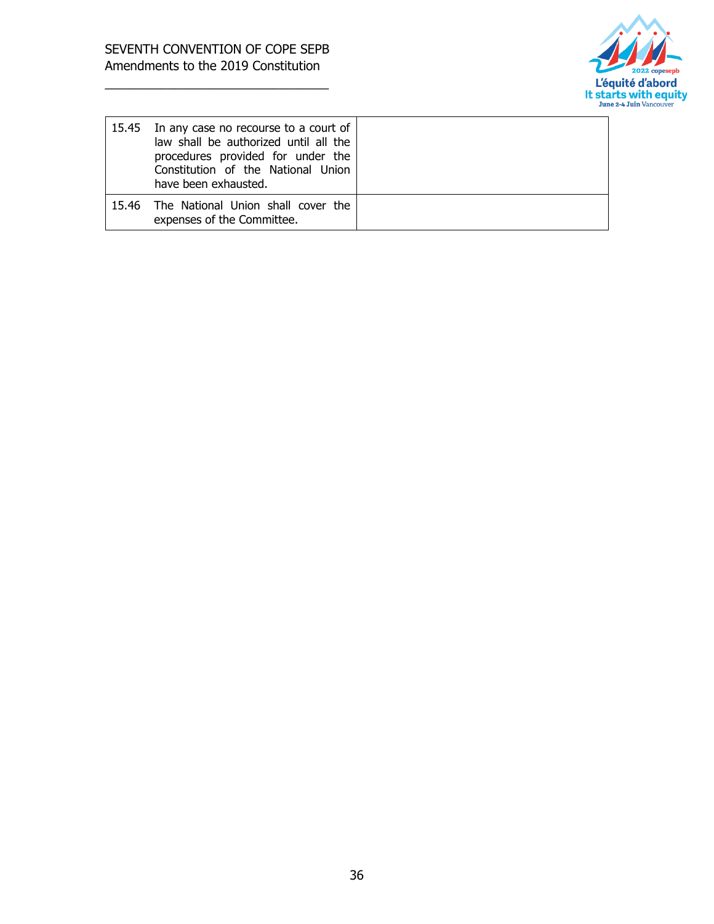

| 15.45 In any case no recourse to a court of<br>law shall be authorized until all the<br>procedures provided for under the<br>Constitution of the National Union<br>have been exhausted. |  |
|-----------------------------------------------------------------------------------------------------------------------------------------------------------------------------------------|--|
| 15.46 The National Union shall cover the<br>expenses of the Committee.                                                                                                                  |  |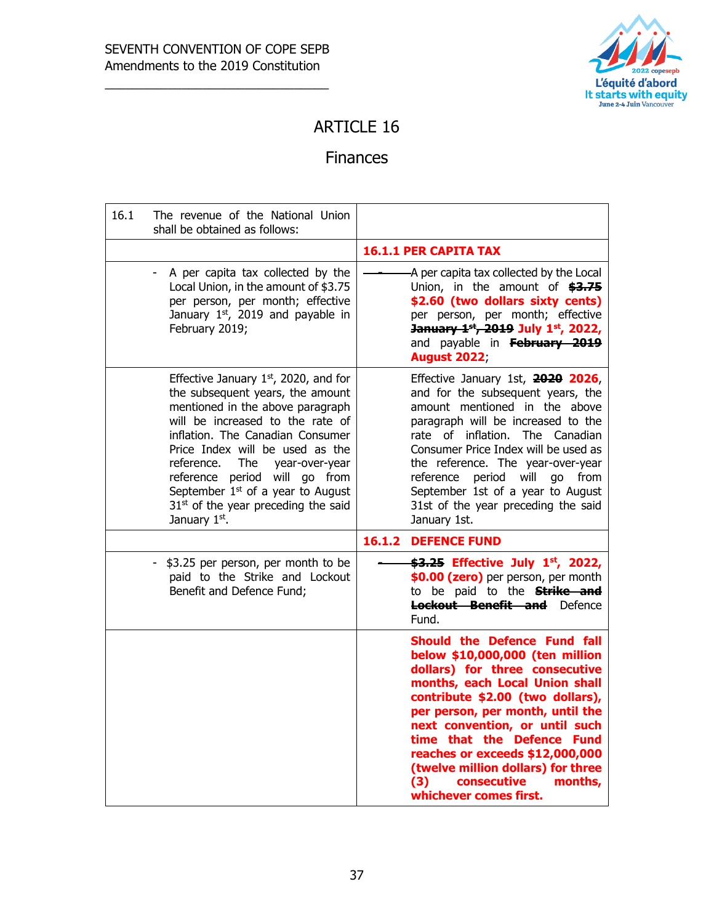

#### ARTICLE 16

#### Finances

| 16.1 | The revenue of the National Union<br>shall be obtained as follows:                                                                                                                                                                                                                                                                                                                                 |                                                                                                                                                                                                                                                                                                                                                                                                                        |
|------|----------------------------------------------------------------------------------------------------------------------------------------------------------------------------------------------------------------------------------------------------------------------------------------------------------------------------------------------------------------------------------------------------|------------------------------------------------------------------------------------------------------------------------------------------------------------------------------------------------------------------------------------------------------------------------------------------------------------------------------------------------------------------------------------------------------------------------|
|      |                                                                                                                                                                                                                                                                                                                                                                                                    | <b>16.1.1 PER CAPITA TAX</b>                                                                                                                                                                                                                                                                                                                                                                                           |
|      | A per capita tax collected by the<br>Local Union, in the amount of \$3.75<br>per person, per month; effective<br>January $1st$ , 2019 and payable in<br>February 2019;                                                                                                                                                                                                                             | -A per capita tax collected by the Local<br>Union, in the amount of \$3.75<br>\$2.60 (two dollars sixty cents)<br>per person, per month; effective<br>January 1st, 2019 July 1st, 2022,<br>and payable in February 2019<br><b>August 2022;</b>                                                                                                                                                                         |
|      | Effective January $1st$ , 2020, and for<br>the subsequent years, the amount<br>mentioned in the above paragraph<br>will be increased to the rate of<br>inflation. The Canadian Consumer<br>Price Index will be used as the<br>reference.<br>The<br>year-over-year<br>reference period will go from<br>September $1st$ of a year to August<br>$31st$ of the year preceding the said<br>January 1st. | Effective January 1st, 2020 2026,<br>and for the subsequent years, the<br>amount mentioned in the above<br>paragraph will be increased to the<br>rate of inflation. The Canadian<br>Consumer Price Index will be used as<br>the reference. The year-over-year<br>period will<br>reference<br>go from<br>September 1st of a year to August<br>31st of the year preceding the said<br>January 1st.                       |
|      |                                                                                                                                                                                                                                                                                                                                                                                                    | <b>16.1.2 DEFENCE FUND</b>                                                                                                                                                                                                                                                                                                                                                                                             |
|      | - \$3.25 per person, per month to be<br>paid to the Strike and Lockout<br>Benefit and Defence Fund;                                                                                                                                                                                                                                                                                                | \$3.25 Effective July 1st, 2022,<br>\$0.00 (zero) per person, per month<br>to be paid to the <b>Strike and</b><br><b>Lockout Benefit and</b> Defence<br>Fund.                                                                                                                                                                                                                                                          |
|      |                                                                                                                                                                                                                                                                                                                                                                                                    | <b>Should the Defence Fund fall</b><br>below \$10,000,000 (ten million<br>dollars) for three consecutive<br>months, each Local Union shall<br>contribute \$2.00 (two dollars),<br>per person, per month, until the<br>next convention, or until such<br>time that the Defence Fund<br>reaches or exceeds \$12,000,000<br>(twelve million dollars) for three<br>consecutive<br>(3)<br>months,<br>whichever comes first. |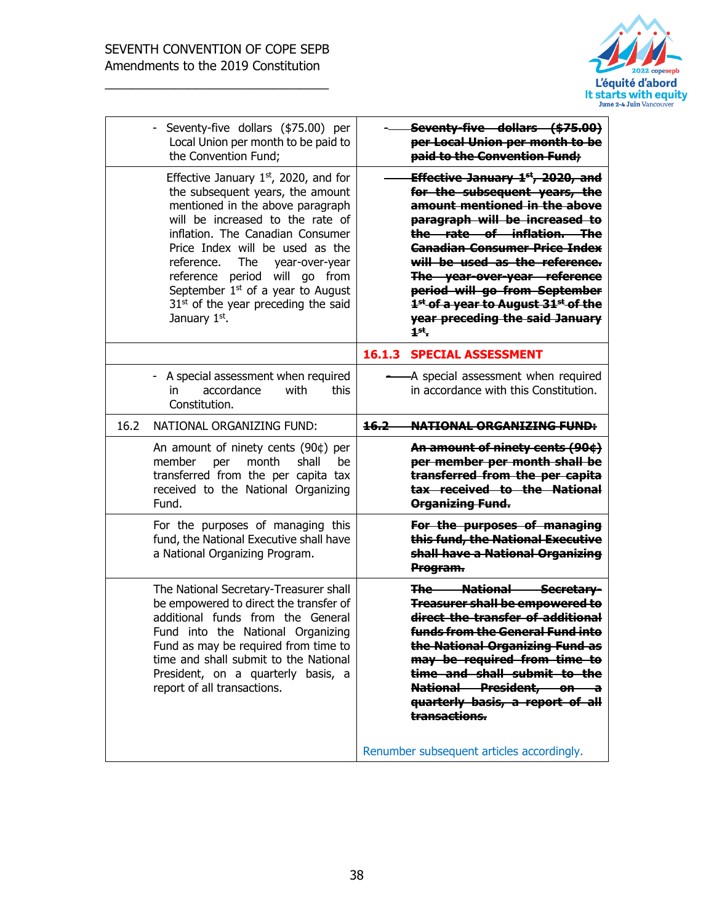

| Seventy-five dollars (\$75.00)<br>per Local Union per month to be<br>paid to the Convention Fund;                                                                                                                                                                                                                                                                                                                                       |
|-----------------------------------------------------------------------------------------------------------------------------------------------------------------------------------------------------------------------------------------------------------------------------------------------------------------------------------------------------------------------------------------------------------------------------------------|
| Effective January 1 <sup>st</sup> , 2020, and<br>for the subsequent years, the<br>amount mentioned in the above<br>paragraph will be increased to<br>the rate of inflation. The<br><b>Canadian Consumer Price Index</b><br>will be used as the reference.<br>The year-over-year reference<br>period will go from September<br>1 <sup>st</sup> of a year to August 31 <sup>st</sup> of the<br>year preceding the said January<br>$1st$ . |
| 16.1.3<br><b>SPECIAL ASSESSMENT</b>                                                                                                                                                                                                                                                                                                                                                                                                     |
| -A special assessment when required<br>in accordance with this Constitution.                                                                                                                                                                                                                                                                                                                                                            |
| 16.2<br><b>NATIONAL ORGANIZING FUND:</b>                                                                                                                                                                                                                                                                                                                                                                                                |
| An amount of ninety cents (90¢)<br>per member per month shall be<br>transferred from the per capita<br>tax received to the National<br>Organizing Fund.                                                                                                                                                                                                                                                                                 |
| For the purposes of managing<br>this fund, the National Executive<br>shall have a National Organizing<br>Program.                                                                                                                                                                                                                                                                                                                       |
| The National Secretary-<br><b>Treasurer shall be empowered to</b><br>direct the transfer of additional<br>funds from the General Fund into<br>the National Organizing Fund as<br>may be required from time to<br>time and shall submit to the<br>National President, on a<br>quarterly basis, a report of all<br>transactions.<br>Renumber subsequent articles accordingly.                                                             |
|                                                                                                                                                                                                                                                                                                                                                                                                                                         |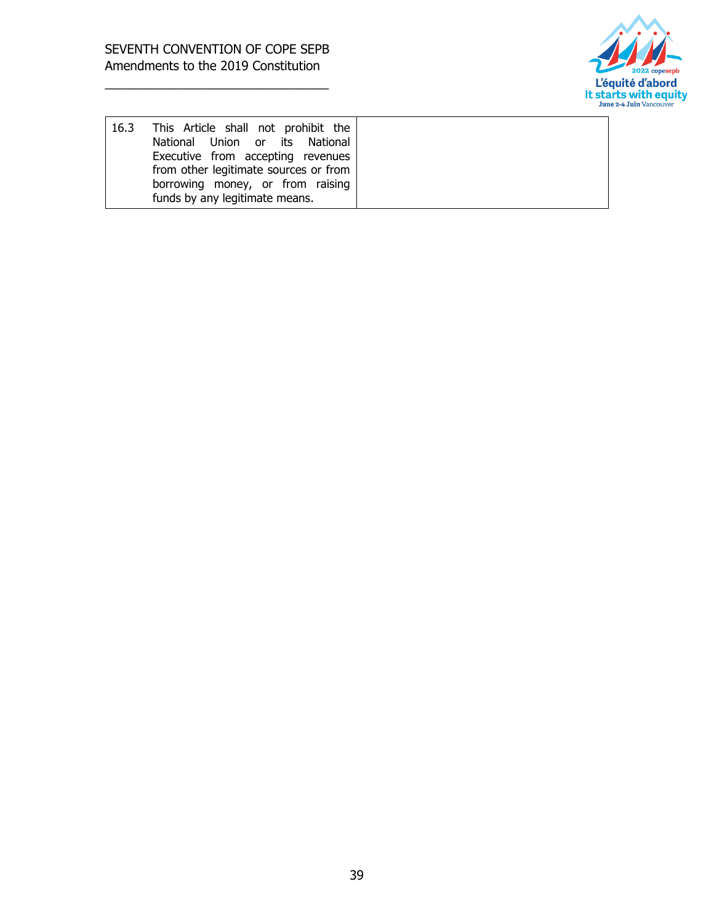

| 16.3 | This Article shall not prohibit the   |
|------|---------------------------------------|
|      | National Union or its National        |
|      | Executive from accepting revenues     |
|      | from other legitimate sources or from |
|      | borrowing money, or from raising      |
|      | funds by any legitimate means.        |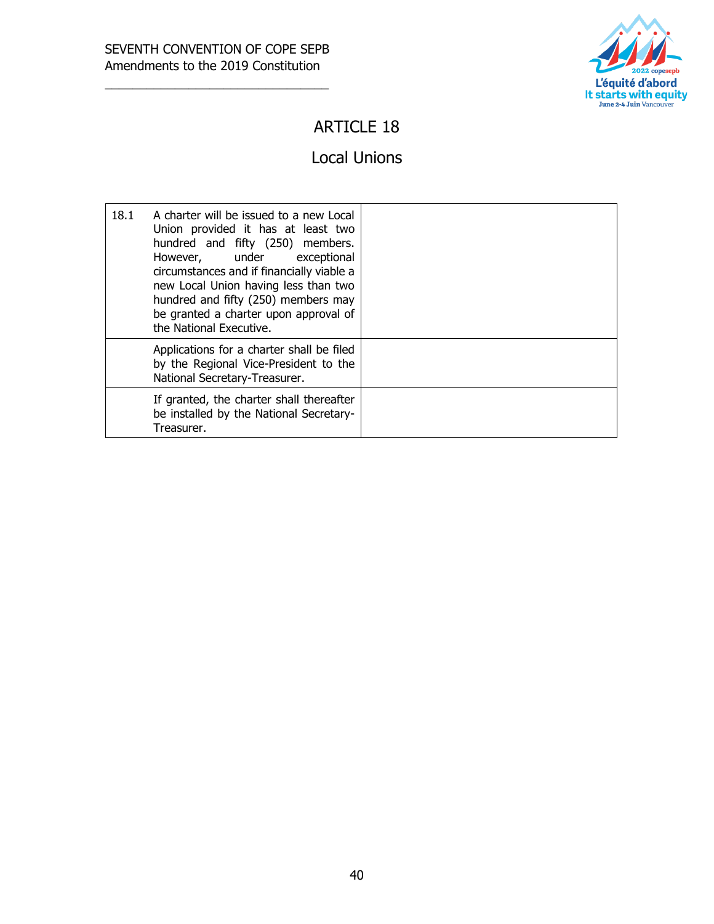

## ARTICLE 18

#### Local Unions

| 18.1 | A charter will be issued to a new Local<br>Union provided it has at least two<br>hundred and fifty (250) members.<br>However, under exceptional<br>circumstances and if financially viable a<br>new Local Union having less than two<br>hundred and fifty (250) members may<br>be granted a charter upon approval of<br>the National Executive. |  |
|------|-------------------------------------------------------------------------------------------------------------------------------------------------------------------------------------------------------------------------------------------------------------------------------------------------------------------------------------------------|--|
|      | Applications for a charter shall be filed<br>by the Regional Vice-President to the<br>National Secretary-Treasurer.                                                                                                                                                                                                                             |  |
|      | If granted, the charter shall thereafter<br>be installed by the National Secretary-<br>Treasurer.                                                                                                                                                                                                                                               |  |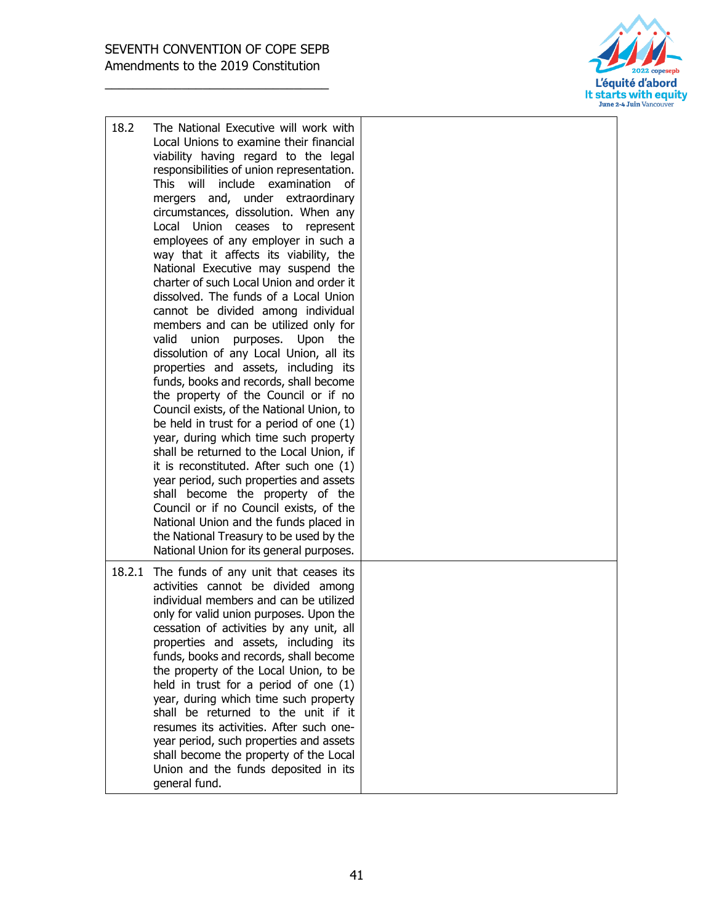

| 18.2   | The National Executive will work with<br>Local Unions to examine their financial<br>viability having regard to the legal<br>responsibilities of union representation.<br>This will<br>include examination<br>οf<br>mergers and, under extraordinary<br>circumstances, dissolution. When any<br>Local Union ceases to<br>represent<br>employees of any employer in such a<br>way that it affects its viability, the<br>National Executive may suspend the<br>charter of such Local Union and order it<br>dissolved. The funds of a Local Union<br>cannot be divided among individual<br>members and can be utilized only for<br>valid<br>union<br>purposes.<br>Upon<br>the<br>dissolution of any Local Union, all its<br>properties and assets, including its<br>funds, books and records, shall become<br>the property of the Council or if no<br>Council exists, of the National Union, to<br>be held in trust for a period of one (1)<br>year, during which time such property<br>shall be returned to the Local Union, if<br>it is reconstituted. After such one (1)<br>year period, such properties and assets<br>shall become the property of the<br>Council or if no Council exists, of the<br>National Union and the funds placed in<br>the National Treasury to be used by the<br>National Union for its general purposes. |  |
|--------|------------------------------------------------------------------------------------------------------------------------------------------------------------------------------------------------------------------------------------------------------------------------------------------------------------------------------------------------------------------------------------------------------------------------------------------------------------------------------------------------------------------------------------------------------------------------------------------------------------------------------------------------------------------------------------------------------------------------------------------------------------------------------------------------------------------------------------------------------------------------------------------------------------------------------------------------------------------------------------------------------------------------------------------------------------------------------------------------------------------------------------------------------------------------------------------------------------------------------------------------------------------------------------------------------------------------------------|--|
| 18.2.1 | The funds of any unit that ceases its<br>activities cannot be divided among<br>individual members and can be utilized<br>only for valid union purposes. Upon the<br>cessation of activities by any unit, all<br>properties and assets, including its<br>funds, books and records, shall become<br>the property of the Local Union, to be<br>held in trust for a period of one (1)<br>year, during which time such property<br>shall be returned to the unit if it<br>resumes its activities. After such one-<br>year period, such properties and assets<br>shall become the property of the Local<br>Union and the funds deposited in its<br>general fund.                                                                                                                                                                                                                                                                                                                                                                                                                                                                                                                                                                                                                                                                         |  |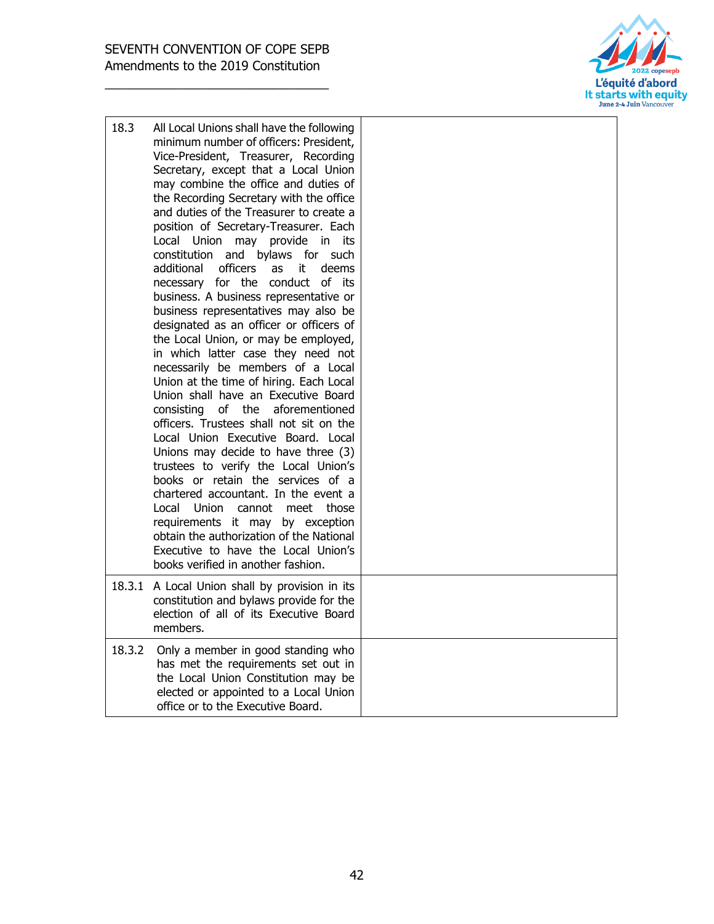

| 18.3   | All Local Unions shall have the following<br>minimum number of officers: President,<br>Vice-President, Treasurer, Recording<br>Secretary, except that a Local Union<br>may combine the office and duties of<br>the Recording Secretary with the office<br>and duties of the Treasurer to create a<br>position of Secretary-Treasurer. Each<br>Local Union may provide<br>in in<br>its<br>constitution and bylaws for such<br>additional<br>officers<br>it<br>deems<br>as<br>necessary for the conduct of its<br>business. A business representative or<br>business representatives may also be<br>designated as an officer or officers of<br>the Local Union, or may be employed,<br>in which latter case they need not<br>necessarily be members of a Local<br>Union at the time of hiring. Each Local<br>Union shall have an Executive Board<br>of the<br>aforementioned<br>consisting<br>officers. Trustees shall not sit on the<br>Local Union Executive Board. Local<br>Unions may decide to have three (3)<br>trustees to verify the Local Union's<br>books or retain the services of a<br>chartered accountant. In the event a<br>Local Union cannot<br>meet those<br>requirements it may by exception<br>obtain the authorization of the National<br>Executive to have the Local Union's<br>books verified in another fashion. |  |
|--------|----------------------------------------------------------------------------------------------------------------------------------------------------------------------------------------------------------------------------------------------------------------------------------------------------------------------------------------------------------------------------------------------------------------------------------------------------------------------------------------------------------------------------------------------------------------------------------------------------------------------------------------------------------------------------------------------------------------------------------------------------------------------------------------------------------------------------------------------------------------------------------------------------------------------------------------------------------------------------------------------------------------------------------------------------------------------------------------------------------------------------------------------------------------------------------------------------------------------------------------------------------------------------------------------------------------------------------------|--|
|        | 18.3.1 A Local Union shall by provision in its<br>constitution and bylaws provide for the<br>election of all of its Executive Board<br>members.                                                                                                                                                                                                                                                                                                                                                                                                                                                                                                                                                                                                                                                                                                                                                                                                                                                                                                                                                                                                                                                                                                                                                                                        |  |
| 18.3.2 | Only a member in good standing who<br>has met the requirements set out in<br>the Local Union Constitution may be<br>elected or appointed to a Local Union<br>office or to the Executive Board.                                                                                                                                                                                                                                                                                                                                                                                                                                                                                                                                                                                                                                                                                                                                                                                                                                                                                                                                                                                                                                                                                                                                         |  |
|        |                                                                                                                                                                                                                                                                                                                                                                                                                                                                                                                                                                                                                                                                                                                                                                                                                                                                                                                                                                                                                                                                                                                                                                                                                                                                                                                                        |  |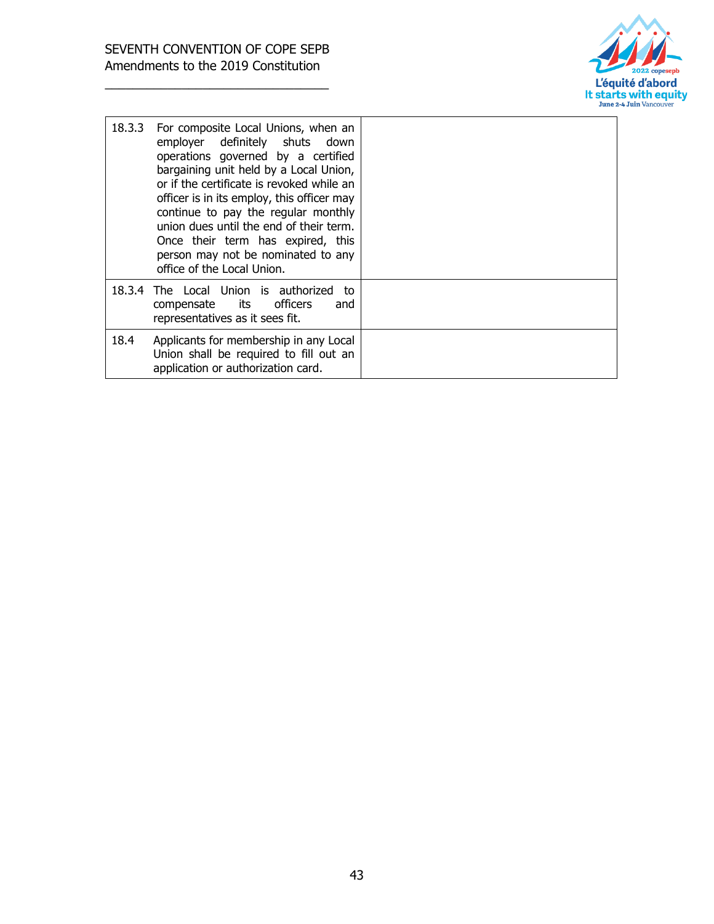

| 18.3.3 | For composite Local Unions, when an<br>employer definitely shuts down<br>operations governed by a certified<br>bargaining unit held by a Local Union,<br>or if the certificate is revoked while an<br>officer is in its employ, this officer may<br>continue to pay the regular monthly<br>union dues until the end of their term.<br>Once their term has expired, this<br>person may not be nominated to any<br>office of the Local Union. |  |
|--------|---------------------------------------------------------------------------------------------------------------------------------------------------------------------------------------------------------------------------------------------------------------------------------------------------------------------------------------------------------------------------------------------------------------------------------------------|--|
|        | 18.3.4 The Local Union is authorized<br>to<br>compensate its officers<br>and<br>representatives as it sees fit.                                                                                                                                                                                                                                                                                                                             |  |
| 18.4   | Applicants for membership in any Local<br>Union shall be required to fill out an<br>application or authorization card.                                                                                                                                                                                                                                                                                                                      |  |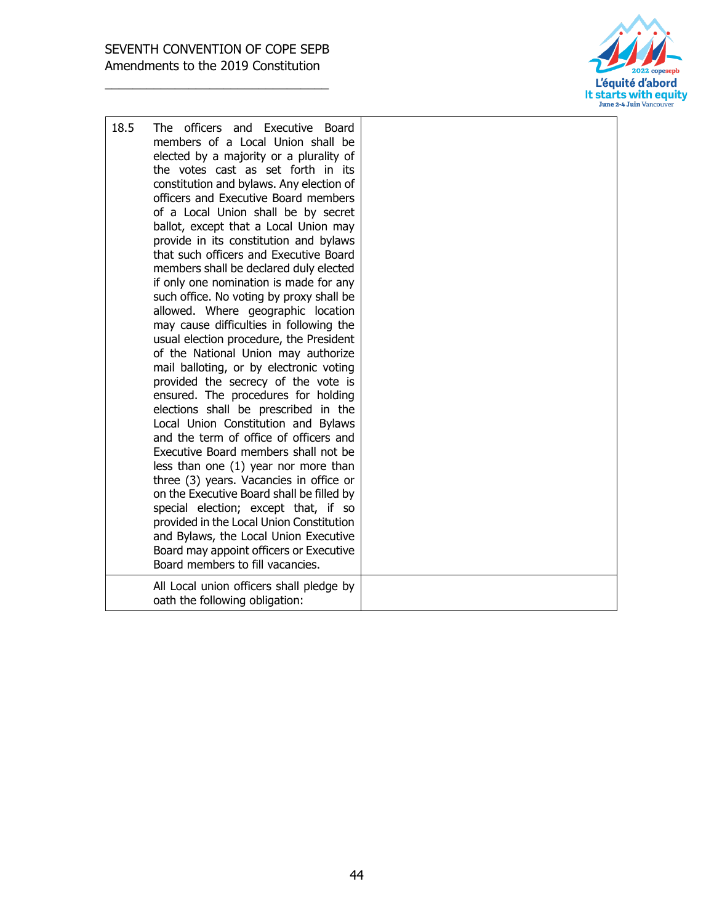

| 18.5 | The officers and Executive Board<br>members of a Local Union shall be<br>elected by a majority or a plurality of<br>the votes cast as set forth in its<br>constitution and bylaws. Any election of<br>officers and Executive Board members<br>of a Local Union shall be by secret<br>ballot, except that a Local Union may<br>provide in its constitution and bylaws<br>that such officers and Executive Board<br>members shall be declared duly elected<br>if only one nomination is made for any<br>such office. No voting by proxy shall be<br>allowed. Where geographic location<br>may cause difficulties in following the<br>usual election procedure, the President<br>of the National Union may authorize<br>mail balloting, or by electronic voting<br>provided the secrecy of the vote is<br>ensured. The procedures for holding<br>elections shall be prescribed in the<br>Local Union Constitution and Bylaws<br>and the term of office of officers and<br>Executive Board members shall not be<br>less than one (1) year nor more than<br>three (3) years. Vacancies in office or<br>on the Executive Board shall be filled by<br>special election; except that, if so<br>provided in the Local Union Constitution<br>and Bylaws, the Local Union Executive<br>Board may appoint officers or Executive<br>Board members to fill vacancies.<br>All Local union officers shall pledge by |
|------|-----------------------------------------------------------------------------------------------------------------------------------------------------------------------------------------------------------------------------------------------------------------------------------------------------------------------------------------------------------------------------------------------------------------------------------------------------------------------------------------------------------------------------------------------------------------------------------------------------------------------------------------------------------------------------------------------------------------------------------------------------------------------------------------------------------------------------------------------------------------------------------------------------------------------------------------------------------------------------------------------------------------------------------------------------------------------------------------------------------------------------------------------------------------------------------------------------------------------------------------------------------------------------------------------------------------------------------------------------------------------------------------------------|
|      | oath the following obligation:                                                                                                                                                                                                                                                                                                                                                                                                                                                                                                                                                                                                                                                                                                                                                                                                                                                                                                                                                                                                                                                                                                                                                                                                                                                                                                                                                                      |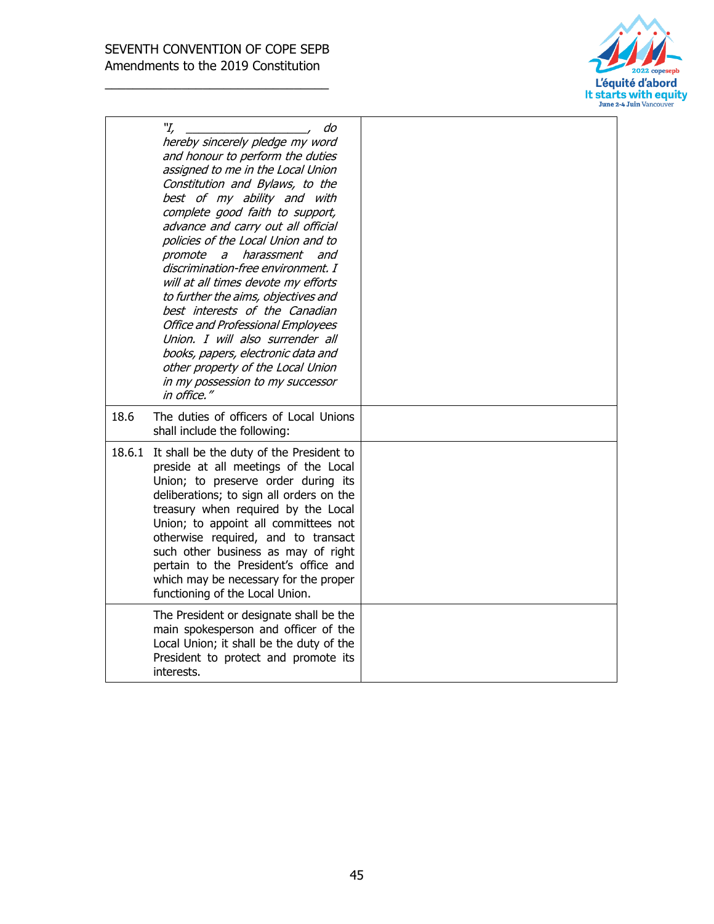

|        | "І,<br>do<br>hereby sincerely pledge my word<br>and honour to perform the duties<br>assigned to me in the Local Union<br>Constitution and Bylaws, to the<br>best of my ability and with<br>complete good faith to support,<br>advance and carry out all official<br>policies of the Local Union and to<br>harassment<br>promote<br>$\partial$<br>and<br>discrimination-free environment. I<br>will at all times devote my efforts<br>to further the aims, objectives and<br>best interests of the Canadian<br><b>Office and Professional Employees</b><br>Union. I will also surrender all<br>books, papers, electronic data and<br>other property of the Local Union<br>in my possession to my successor<br>in office." |  |
|--------|--------------------------------------------------------------------------------------------------------------------------------------------------------------------------------------------------------------------------------------------------------------------------------------------------------------------------------------------------------------------------------------------------------------------------------------------------------------------------------------------------------------------------------------------------------------------------------------------------------------------------------------------------------------------------------------------------------------------------|--|
| 18.6   | The duties of officers of Local Unions<br>shall include the following:                                                                                                                                                                                                                                                                                                                                                                                                                                                                                                                                                                                                                                                   |  |
| 18.6.1 | It shall be the duty of the President to<br>preside at all meetings of the Local<br>Union; to preserve order during its<br>deliberations; to sign all orders on the<br>treasury when required by the Local<br>Union; to appoint all committees not<br>otherwise required, and to transact<br>such other business as may of right<br>pertain to the President's office and<br>which may be necessary for the proper<br>functioning of the Local Union.                                                                                                                                                                                                                                                                    |  |
|        | The President or designate shall be the<br>main spokesperson and officer of the<br>Local Union; it shall be the duty of the<br>President to protect and promote its<br>interests.                                                                                                                                                                                                                                                                                                                                                                                                                                                                                                                                        |  |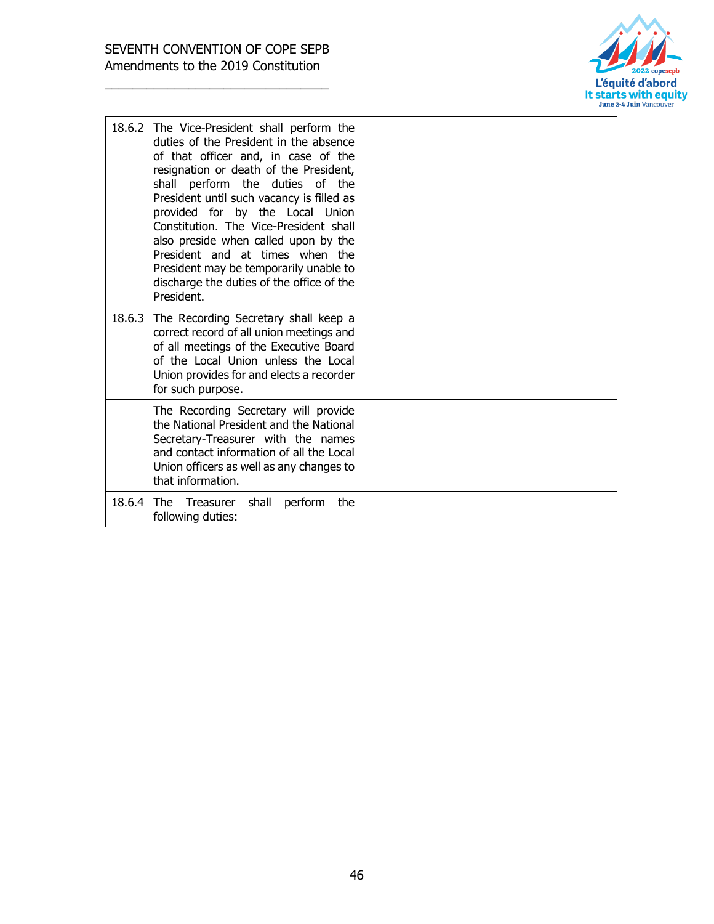

|            | 18.6.2 The Vice-President shall perform the<br>duties of the President in the absence<br>of that officer and, in case of the<br>resignation or death of the President,<br>perform the duties<br>shall<br>of the<br>President until such vacancy is filled as<br>provided for by the Local Union<br>Constitution. The Vice-President shall<br>also preside when called upon by the<br>President and at times when the<br>President may be temporarily unable to<br>discharge the duties of the office of the<br>President. |  |
|------------|---------------------------------------------------------------------------------------------------------------------------------------------------------------------------------------------------------------------------------------------------------------------------------------------------------------------------------------------------------------------------------------------------------------------------------------------------------------------------------------------------------------------------|--|
|            | 18.6.3 The Recording Secretary shall keep a<br>correct record of all union meetings and<br>of all meetings of the Executive Board<br>of the Local Union unless the Local<br>Union provides for and elects a recorder<br>for such purpose.                                                                                                                                                                                                                                                                                 |  |
|            | The Recording Secretary will provide<br>the National President and the National<br>Secretary-Treasurer with the names<br>and contact information of all the Local<br>Union officers as well as any changes to<br>that information.                                                                                                                                                                                                                                                                                        |  |
| 18.6.4 The | shall<br>Treasurer<br>perform<br>the<br>following duties:                                                                                                                                                                                                                                                                                                                                                                                                                                                                 |  |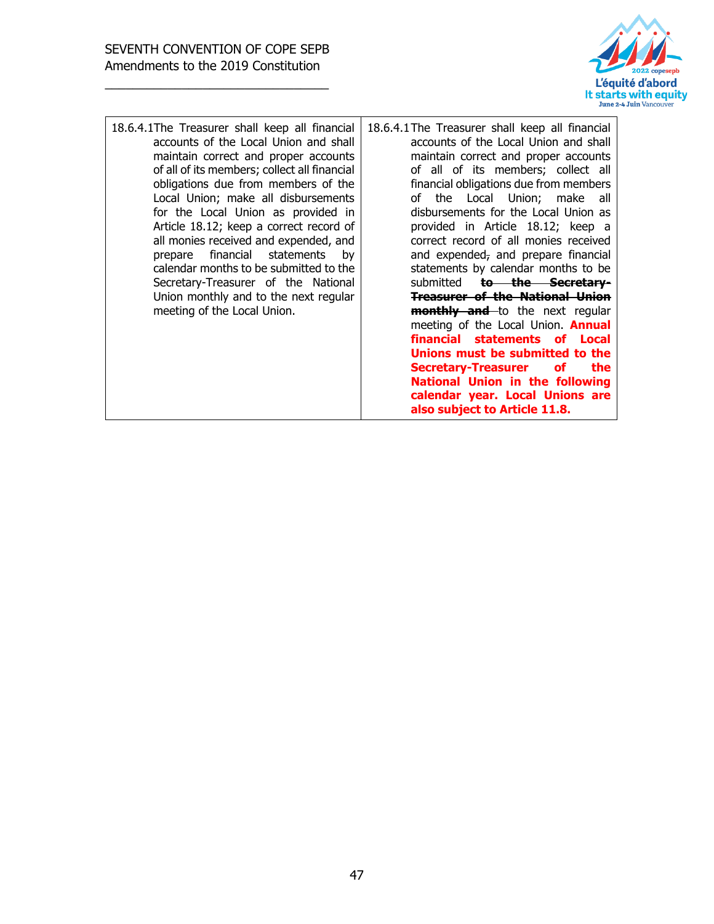

| 18.6.4.1 The Treasurer shall keep all financial<br>accounts of the Local Union and shall<br>maintain correct and proper accounts<br>of all of its members; collect all financial<br>obligations due from members of the<br>Local Union; make all disbursements<br>for the Local Union as provided in<br>Article 18.12; keep a correct record of<br>all monies received and expended, and<br>financial statements by<br>prepare<br>calendar months to be submitted to the<br>Secretary-Treasurer of the National<br>Union monthly and to the next regular<br>meeting of the Local Union. | 18.6.4.1 The Treasurer shall keep all financial<br>accounts of the Local Union and shall<br>maintain correct and proper accounts<br>of all of its members; collect all<br>financial obligations due from members<br>of the Local Union; make all<br>disbursements for the Local Union as<br>provided in Article 18.12; keep a<br>correct record of all monies received<br>and expended, and prepare financial<br>statements by calendar months to be<br>submitted to the Secretary-<br><b>Treasurer of the National Union</b><br><b>monthly and</b> to the next regular<br>meeting of the Local Union. <b>Annual</b><br>financial statements of Local<br>Unions must be submitted to the<br><b>Secretary-Treasurer</b><br>the<br>of<br><b>National Union in the following</b><br>calendar year. Local Unions are<br>also subject to Article 11.8. |
|-----------------------------------------------------------------------------------------------------------------------------------------------------------------------------------------------------------------------------------------------------------------------------------------------------------------------------------------------------------------------------------------------------------------------------------------------------------------------------------------------------------------------------------------------------------------------------------------|---------------------------------------------------------------------------------------------------------------------------------------------------------------------------------------------------------------------------------------------------------------------------------------------------------------------------------------------------------------------------------------------------------------------------------------------------------------------------------------------------------------------------------------------------------------------------------------------------------------------------------------------------------------------------------------------------------------------------------------------------------------------------------------------------------------------------------------------------|
|-----------------------------------------------------------------------------------------------------------------------------------------------------------------------------------------------------------------------------------------------------------------------------------------------------------------------------------------------------------------------------------------------------------------------------------------------------------------------------------------------------------------------------------------------------------------------------------------|---------------------------------------------------------------------------------------------------------------------------------------------------------------------------------------------------------------------------------------------------------------------------------------------------------------------------------------------------------------------------------------------------------------------------------------------------------------------------------------------------------------------------------------------------------------------------------------------------------------------------------------------------------------------------------------------------------------------------------------------------------------------------------------------------------------------------------------------------|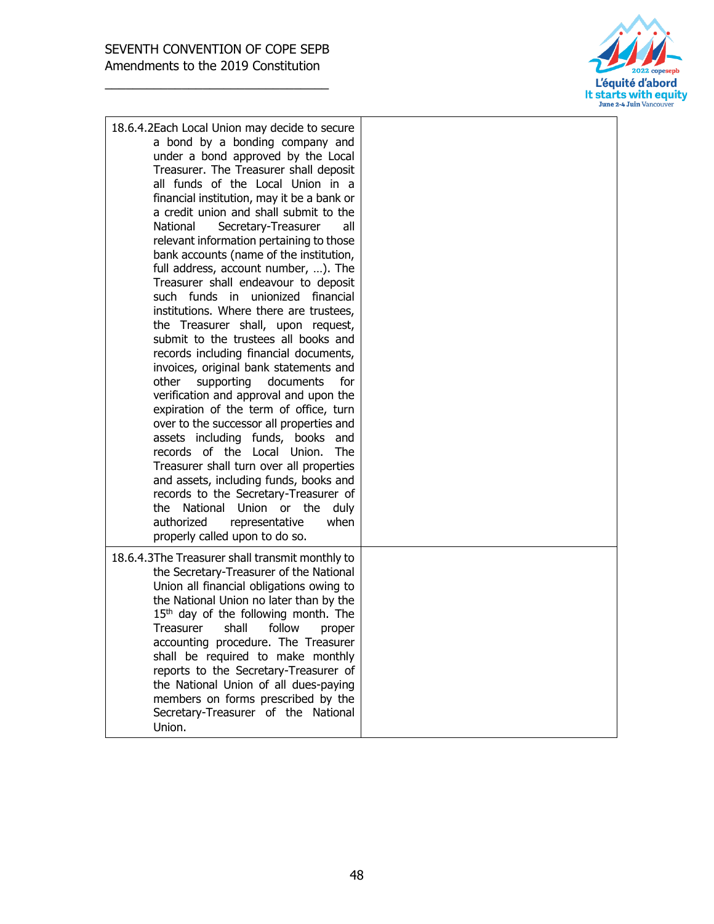

| 18.6.4.2Each Local Union may decide to secure<br>a bond by a bonding company and<br>under a bond approved by the Local<br>Treasurer. The Treasurer shall deposit<br>all funds of the Local Union in a<br>financial institution, may it be a bank or<br>a credit union and shall submit to the<br>National<br>Secretary-Treasurer<br>all<br>relevant information pertaining to those<br>bank accounts (name of the institution,<br>full address, account number, ). The<br>Treasurer shall endeavour to deposit<br>such funds in unionized financial<br>institutions. Where there are trustees,<br>the Treasurer shall, upon request,<br>submit to the trustees all books and<br>records including financial documents,<br>invoices, original bank statements and<br>supporting<br>documents<br>other<br>for<br>verification and approval and upon the<br>expiration of the term of office, turn<br>over to the successor all properties and<br>assets including funds, books and<br>records of the Local Union.<br><b>The</b><br>Treasurer shall turn over all properties<br>and assets, including funds, books and<br>records to the Secretary-Treasurer of<br>the National Union or the<br>duly<br>authorized<br>representative<br>when<br>properly called upon to do so. |
|-----------------------------------------------------------------------------------------------------------------------------------------------------------------------------------------------------------------------------------------------------------------------------------------------------------------------------------------------------------------------------------------------------------------------------------------------------------------------------------------------------------------------------------------------------------------------------------------------------------------------------------------------------------------------------------------------------------------------------------------------------------------------------------------------------------------------------------------------------------------------------------------------------------------------------------------------------------------------------------------------------------------------------------------------------------------------------------------------------------------------------------------------------------------------------------------------------------------------------------------------------------------------------|
| 18.6.4.3The Treasurer shall transmit monthly to<br>the Secretary-Treasurer of the National<br>Union all financial obligations owing to<br>the National Union no later than by the<br>$15th$ day of the following month. The<br>shall<br>follow<br>Treasurer<br>proper<br>accounting procedure. The Treasurer<br>shall be required to make monthly<br>reports to the Secretary-Treasurer of<br>the National Union of all dues-paying<br>members on forms prescribed by the<br>Secretary-Treasurer of the National<br>Union.                                                                                                                                                                                                                                                                                                                                                                                                                                                                                                                                                                                                                                                                                                                                                  |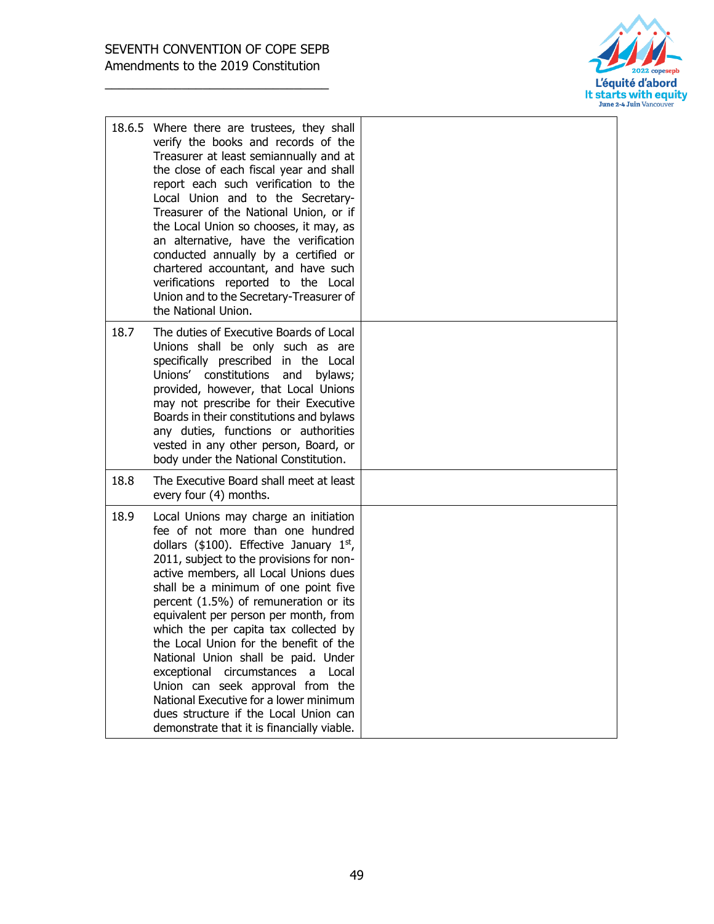

|      | 18.6.5 Where there are trustees, they shall<br>verify the books and records of the<br>Treasurer at least semiannually and at<br>the close of each fiscal year and shall<br>report each such verification to the<br>Local Union and to the Secretary-<br>Treasurer of the National Union, or if<br>the Local Union so chooses, it may, as<br>an alternative, have the verification<br>conducted annually by a certified or<br>chartered accountant, and have such<br>verifications reported to the Local<br>Union and to the Secretary-Treasurer of<br>the National Union.                                                                                                  |  |
|------|----------------------------------------------------------------------------------------------------------------------------------------------------------------------------------------------------------------------------------------------------------------------------------------------------------------------------------------------------------------------------------------------------------------------------------------------------------------------------------------------------------------------------------------------------------------------------------------------------------------------------------------------------------------------------|--|
| 18.7 | The duties of Executive Boards of Local<br>Unions shall be only such as are<br>specifically prescribed in the Local<br>Unions' constitutions<br>and<br>bylaws;<br>provided, however, that Local Unions<br>may not prescribe for their Executive<br>Boards in their constitutions and bylaws<br>any duties, functions or authorities<br>vested in any other person, Board, or<br>body under the National Constitution.                                                                                                                                                                                                                                                      |  |
| 18.8 | The Executive Board shall meet at least<br>every four (4) months.                                                                                                                                                                                                                                                                                                                                                                                                                                                                                                                                                                                                          |  |
| 18.9 | Local Unions may charge an initiation<br>fee of not more than one hundred<br>dollars (\$100). Effective January 1st,<br>2011, subject to the provisions for non-<br>active members, all Local Unions dues<br>shall be a minimum of one point five<br>percent (1.5%) of remuneration or its<br>equivalent per person per month, from<br>which the per capita tax collected by<br>the Local Union for the benefit of the<br>National Union shall be paid. Under<br>exceptional circumstances a<br>Local<br>Union can seek approval from the<br>National Executive for a lower minimum<br>dues structure if the Local Union can<br>demonstrate that it is financially viable. |  |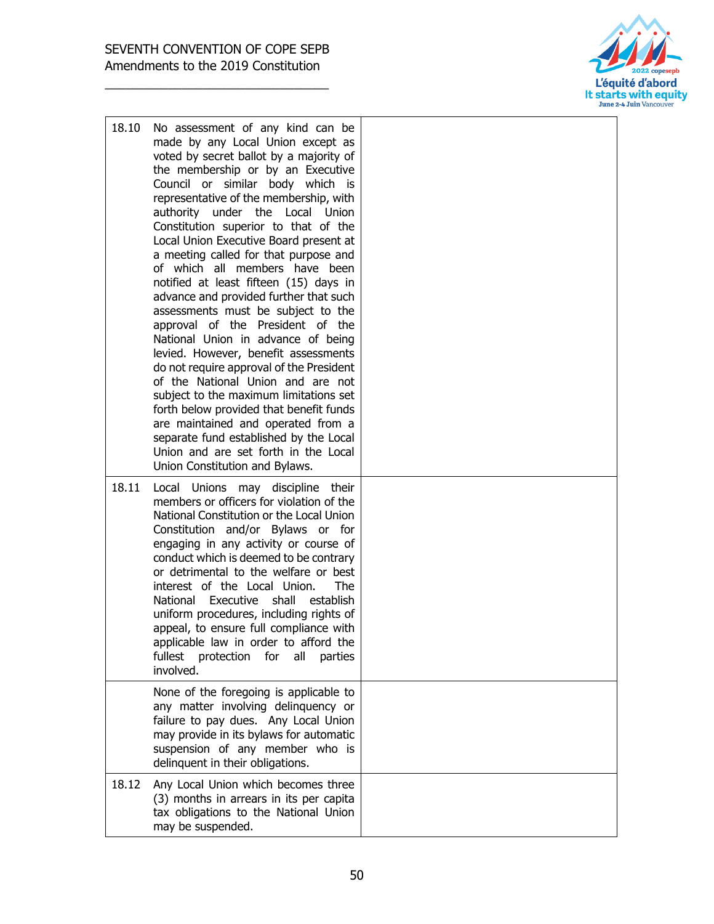

| 18.10 | No assessment of any kind can be<br>made by any Local Union except as<br>voted by secret ballot by a majority of<br>the membership or by an Executive<br>Council or similar body which is<br>representative of the membership, with<br>authority under the Local<br>Union<br>Constitution superior to that of the<br>Local Union Executive Board present at<br>a meeting called for that purpose and<br>of which all members have been<br>notified at least fifteen (15) days in<br>advance and provided further that such<br>assessments must be subject to the<br>approval of the President of the<br>National Union in advance of being<br>levied. However, benefit assessments<br>do not require approval of the President<br>of the National Union and are not<br>subject to the maximum limitations set<br>forth below provided that benefit funds<br>are maintained and operated from a<br>separate fund established by the Local<br>Union and are set forth in the Local<br>Union Constitution and Bylaws. |  |
|-------|--------------------------------------------------------------------------------------------------------------------------------------------------------------------------------------------------------------------------------------------------------------------------------------------------------------------------------------------------------------------------------------------------------------------------------------------------------------------------------------------------------------------------------------------------------------------------------------------------------------------------------------------------------------------------------------------------------------------------------------------------------------------------------------------------------------------------------------------------------------------------------------------------------------------------------------------------------------------------------------------------------------------|--|
| 18.11 | Local Unions may discipline their<br>members or officers for violation of the<br>National Constitution or the Local Union<br>Constitution and/or Bylaws or for<br>engaging in any activity or course of<br>conduct which is deemed to be contrary<br>or detrimental to the welfare or best<br>interest of the Local Union.<br><b>The</b><br>National Executive shall<br>establish<br>uniform procedures, including rights of<br>appeal, to ensure full compliance with<br>applicable law in order to afford the<br>fullest<br>protection for<br>all<br>parties<br>involved.                                                                                                                                                                                                                                                                                                                                                                                                                                        |  |
|       | None of the foregoing is applicable to<br>any matter involving delinquency or<br>failure to pay dues. Any Local Union<br>may provide in its bylaws for automatic<br>suspension of any member who is<br>delinquent in their obligations.                                                                                                                                                                                                                                                                                                                                                                                                                                                                                                                                                                                                                                                                                                                                                                            |  |
| 18.12 | Any Local Union which becomes three<br>(3) months in arrears in its per capita<br>tax obligations to the National Union<br>may be suspended.                                                                                                                                                                                                                                                                                                                                                                                                                                                                                                                                                                                                                                                                                                                                                                                                                                                                       |  |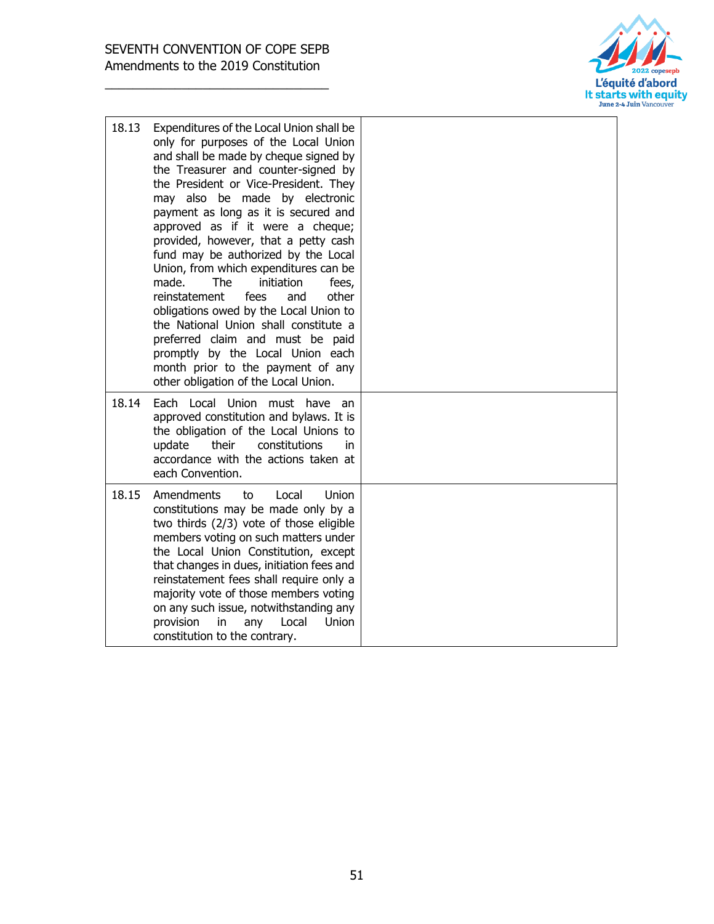

| 18.13 | Expenditures of the Local Union shall be<br>only for purposes of the Local Union<br>and shall be made by cheque signed by<br>the Treasurer and counter-signed by<br>the President or Vice-President. They<br>may also be made by electronic<br>payment as long as it is secured and<br>approved as if it were a cheque;<br>provided, however, that a petty cash<br>fund may be authorized by the Local<br>Union, from which expenditures can be<br>made.<br><b>The</b><br>initiation<br>fees,<br>reinstatement<br>fees<br>other<br>and<br>obligations owed by the Local Union to<br>the National Union shall constitute a<br>preferred claim and must be paid<br>promptly by the Local Union each<br>month prior to the payment of any<br>other obligation of the Local Union. |  |
|-------|--------------------------------------------------------------------------------------------------------------------------------------------------------------------------------------------------------------------------------------------------------------------------------------------------------------------------------------------------------------------------------------------------------------------------------------------------------------------------------------------------------------------------------------------------------------------------------------------------------------------------------------------------------------------------------------------------------------------------------------------------------------------------------|--|
| 18.14 | Each Local Union<br>must have<br>an<br>approved constitution and bylaws. It is<br>the obligation of the Local Unions to<br>their<br>constitutions<br>update<br>in.<br>accordance with the actions taken at<br>each Convention.                                                                                                                                                                                                                                                                                                                                                                                                                                                                                                                                                 |  |
| 18.15 | Amendments<br><b>Union</b><br>to<br>Local<br>constitutions may be made only by a<br>two thirds (2/3) vote of those eligible<br>members voting on such matters under<br>the Local Union Constitution, except<br>that changes in dues, initiation fees and<br>reinstatement fees shall require only a<br>majority vote of those members voting<br>on any such issue, notwithstanding any<br>provision<br>in<br>Local<br>Union<br>any<br>constitution to the contrary.                                                                                                                                                                                                                                                                                                            |  |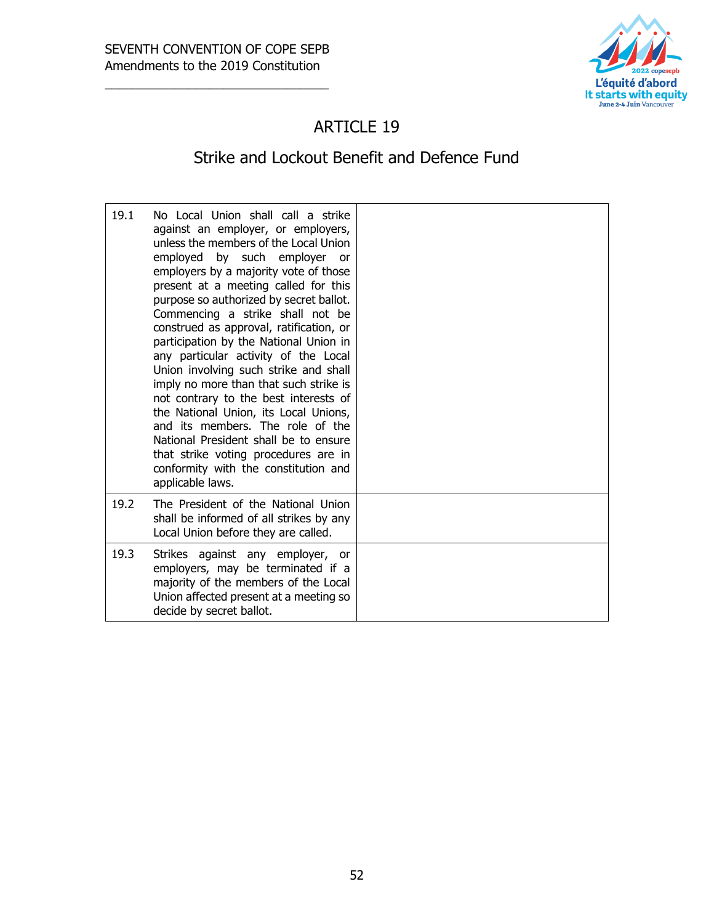

## ARTICLE 19

# Strike and Lockout Benefit and Defence Fund

| 19.1 | No Local Union shall call a strike<br>against an employer, or employers,<br>unless the members of the Local Union<br>employed by such employer or<br>employers by a majority vote of those<br>present at a meeting called for this<br>purpose so authorized by secret ballot.<br>Commencing a strike shall not be<br>construed as approval, ratification, or<br>participation by the National Union in<br>any particular activity of the Local<br>Union involving such strike and shall<br>imply no more than that such strike is<br>not contrary to the best interests of<br>the National Union, its Local Unions,<br>and its members. The role of the<br>National President shall be to ensure<br>that strike voting procedures are in<br>conformity with the constitution and<br>applicable laws. |  |
|------|------------------------------------------------------------------------------------------------------------------------------------------------------------------------------------------------------------------------------------------------------------------------------------------------------------------------------------------------------------------------------------------------------------------------------------------------------------------------------------------------------------------------------------------------------------------------------------------------------------------------------------------------------------------------------------------------------------------------------------------------------------------------------------------------------|--|
| 19.2 | The President of the National Union<br>shall be informed of all strikes by any<br>Local Union before they are called.                                                                                                                                                                                                                                                                                                                                                                                                                                                                                                                                                                                                                                                                                |  |
| 19.3 | Strikes against any employer, or<br>employers, may be terminated if a<br>majority of the members of the Local<br>Union affected present at a meeting so<br>decide by secret ballot.                                                                                                                                                                                                                                                                                                                                                                                                                                                                                                                                                                                                                  |  |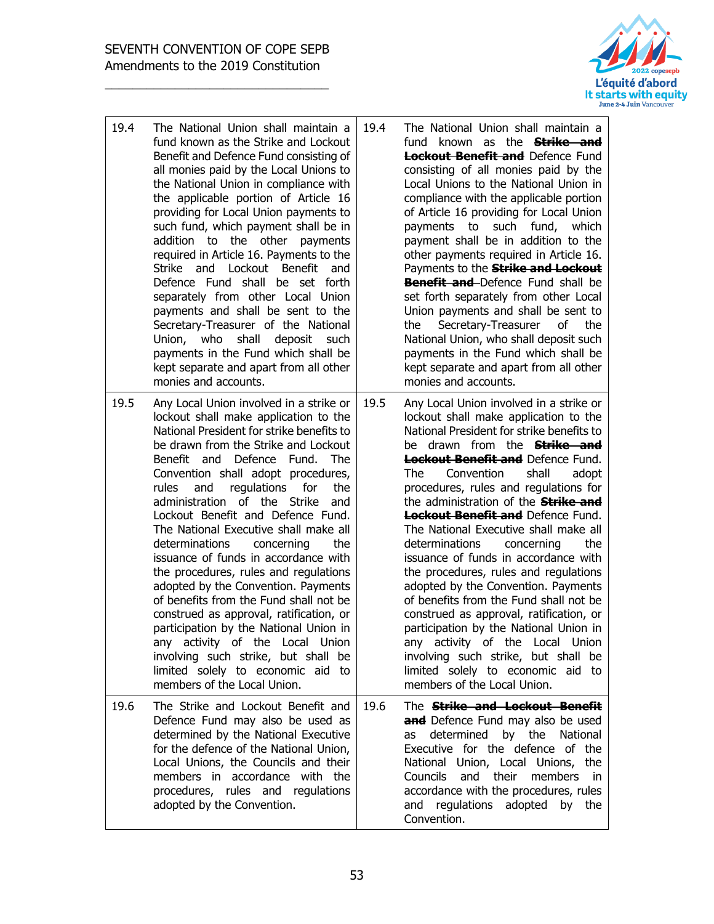

| 19.4 | The National Union shall maintain a<br>fund known as the Strike and Lockout<br>Benefit and Defence Fund consisting of<br>all monies paid by the Local Unions to<br>the National Union in compliance with<br>the applicable portion of Article 16<br>providing for Local Union payments to<br>such fund, which payment shall be in<br>addition to the other<br>payments<br>required in Article 16. Payments to the<br>Lockout Benefit<br>Strike<br>and<br>and<br>Defence Fund shall be set forth<br>separately from other Local Union<br>payments and shall be sent to the<br>Secretary-Treasurer of the National<br>Union, who<br>shall<br>deposit<br>such<br>payments in the Fund which shall be<br>kept separate and apart from all other<br>monies and accounts.                                                                                                     | 19.4 | The National Union shall maintain a<br>fund known as the <b>Strike and</b><br><b>Lockout Benefit and</b> Defence Fund<br>consisting of all monies paid by the<br>Local Unions to the National Union in<br>compliance with the applicable portion<br>of Article 16 providing for Local Union<br>such<br>payments to<br>fund,<br>which<br>payment shall be in addition to the<br>other payments required in Article 16.<br>Payments to the <b>Strike and Lockout</b><br><b>Benefit and</b> Defence Fund shall be<br>set forth separately from other Local<br>Union payments and shall be sent to<br>Secretary-Treasurer<br>of<br>the<br>the<br>National Union, who shall deposit such<br>payments in the Fund which shall be<br>kept separate and apart from all other<br>monies and accounts.                                                                              |
|------|-------------------------------------------------------------------------------------------------------------------------------------------------------------------------------------------------------------------------------------------------------------------------------------------------------------------------------------------------------------------------------------------------------------------------------------------------------------------------------------------------------------------------------------------------------------------------------------------------------------------------------------------------------------------------------------------------------------------------------------------------------------------------------------------------------------------------------------------------------------------------|------|---------------------------------------------------------------------------------------------------------------------------------------------------------------------------------------------------------------------------------------------------------------------------------------------------------------------------------------------------------------------------------------------------------------------------------------------------------------------------------------------------------------------------------------------------------------------------------------------------------------------------------------------------------------------------------------------------------------------------------------------------------------------------------------------------------------------------------------------------------------------------|
| 19.5 | Any Local Union involved in a strike or<br>lockout shall make application to the<br>National President for strike benefits to<br>be drawn from the Strike and Lockout<br>Benefit and<br>Defence Fund.<br><b>The</b><br>Convention shall adopt procedures,<br>and<br>regulations<br>for<br>rules<br>the<br>administration of the Strike<br>and<br>Lockout Benefit and Defence Fund.<br>The National Executive shall make all<br>determinations<br>concerning<br>the<br>issuance of funds in accordance with<br>the procedures, rules and regulations<br>adopted by the Convention. Payments<br>of benefits from the Fund shall not be<br>construed as approval, ratification, or<br>participation by the National Union in<br>any activity of the Local Union<br>involving such strike, but shall be<br>limited solely to economic aid to<br>members of the Local Union. | 19.5 | Any Local Union involved in a strike or<br>lockout shall make application to the<br>National President for strike benefits to<br>be drawn from the <b>Strike and</b><br><b>Lockout Benefit and Defence Fund.</b><br>shall<br>Convention<br>adopt<br>The<br>procedures, rules and regulations for<br>the administration of the <b>Strike and</b><br>Lockout Benefit and Defence Fund.<br>The National Executive shall make all<br>determinations<br>the<br>concerning<br>issuance of funds in accordance with<br>the procedures, rules and regulations<br>adopted by the Convention. Payments<br>of benefits from the Fund shall not be<br>construed as approval, ratification, or<br>participation by the National Union in<br>any activity of the Local Union<br>involving such strike, but shall be<br>limited solely to economic aid to<br>members of the Local Union. |
| 19.6 | The Strike and Lockout Benefit and<br>Defence Fund may also be used as<br>determined by the National Executive<br>for the defence of the National Union,<br>Local Unions, the Councils and their<br>members in accordance with the<br>procedures, rules and regulations<br>adopted by the Convention.                                                                                                                                                                                                                                                                                                                                                                                                                                                                                                                                                                   | 19.6 | The <b>Strike and Lockout Benefit</b><br>and Defence Fund may also be used<br>determined by the<br>National<br>as<br>Executive for the defence of the<br>National Union, Local Unions, the<br>and their members<br>Councils<br>in in<br>accordance with the procedures, rules<br>and regulations adopted by the<br>Convention.                                                                                                                                                                                                                                                                                                                                                                                                                                                                                                                                            |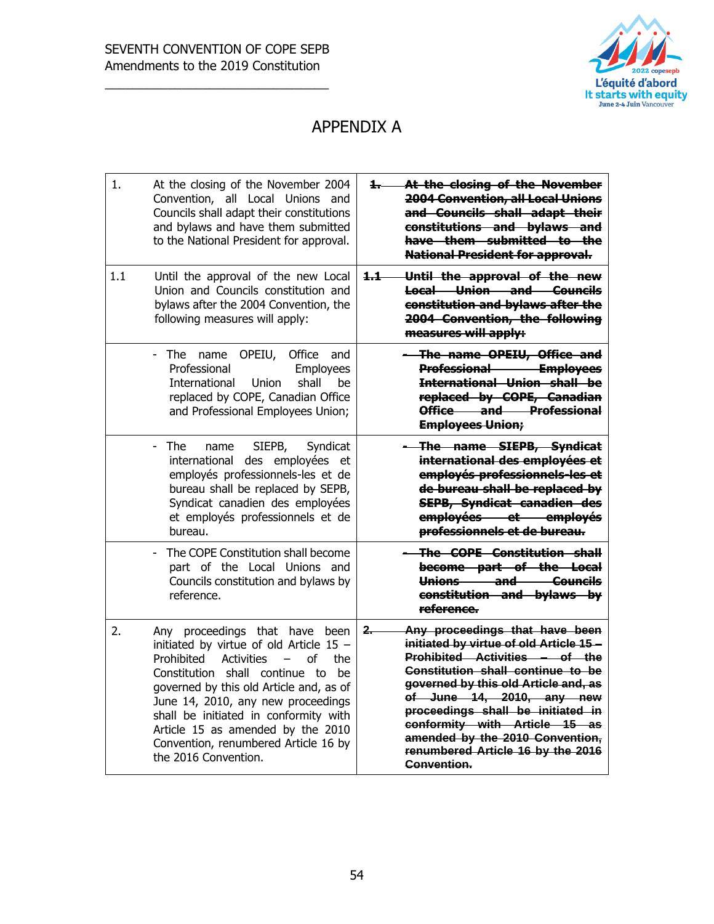

#### APPENDIX A

| At the closing of the November<br>1. .<br><b>2004 Convention, all Local Unions</b><br>and Councils shall adapt their<br>constitutions and bylaws and<br>have them submitted to the<br><b>National President for approval.</b>                                                                                                                                                                     | 1.<br>At the closing of the November 2004<br>Convention, all Local Unions and<br>Councils shall adapt their constitutions<br>and bylaws and have them submitted<br>to the National President for approval.                                                                                                                                                                                                        |
|---------------------------------------------------------------------------------------------------------------------------------------------------------------------------------------------------------------------------------------------------------------------------------------------------------------------------------------------------------------------------------------------------|-------------------------------------------------------------------------------------------------------------------------------------------------------------------------------------------------------------------------------------------------------------------------------------------------------------------------------------------------------------------------------------------------------------------|
| Until the approval of the new<br>$1.1 -$<br><b>Local Union and Councils</b><br>constitution and bylaws after the<br>2004 Convention, the following<br>measures will apply:                                                                                                                                                                                                                        | 1.1<br>Until the approval of the new Local<br>Union and Councils constitution and<br>bylaws after the 2004 Convention, the<br>following measures will apply:                                                                                                                                                                                                                                                      |
| The name OPEIU, Office and<br>Professional Employees<br><b>International Union shall be</b><br>replaced by COPE, Canadian<br>Office and Professional<br><b>Employees Union;</b>                                                                                                                                                                                                                   | - The<br>OPEIU, Office<br>and<br>name<br>Professional<br>Employees<br>International<br>Union<br>shall<br>be<br>replaced by COPE, Canadian Office<br>and Professional Employees Union;                                                                                                                                                                                                                             |
| The name SIEPB, Syndicat<br>international des employées et<br>employés professionnels-les et<br>de bureau shall be replaced by<br><b>SEPB, Syndicat canadien des</b><br>employées et employés<br>professionnels et de bureau.                                                                                                                                                                     | - The<br>SIEPB,<br>Syndicat<br>name<br>international des employées et<br>employés professionnels-les et de<br>bureau shall be replaced by SEPB,<br>Syndicat canadien des employées<br>et employés professionnels et de<br>bureau.                                                                                                                                                                                 |
| The COPE Constitution shall<br>become part of the Local<br>Unions and Councils<br>constitution and bylaws by<br>reference.                                                                                                                                                                                                                                                                        | The COPE Constitution shall become<br>part of the Local Unions and<br>Councils constitution and bylaws by<br>reference.                                                                                                                                                                                                                                                                                           |
| $2-$<br>Any proceedings that have been<br>initiated by virtue of old Article 15 -<br>Prohibited Activities - of the<br>Constitution shall continue to be<br>governed by this old Article and, as<br>of June 14, 2010, any new<br>proceedings shall be initiated in<br>conformity with Article 15 as<br>amended by the 2010 Convention,<br>renumbered Article 16 by the 2016<br><b>Convention.</b> | 2.<br>Any proceedings that have been<br>initiated by virtue of old Article 15 -<br>Prohibited<br>Activities<br>of<br>the<br>$\qquad \qquad -$<br>Constitution shall continue to be<br>governed by this old Article and, as of<br>June 14, 2010, any new proceedings<br>shall be initiated in conformity with<br>Article 15 as amended by the 2010<br>Convention, renumbered Article 16 by<br>the 2016 Convention. |